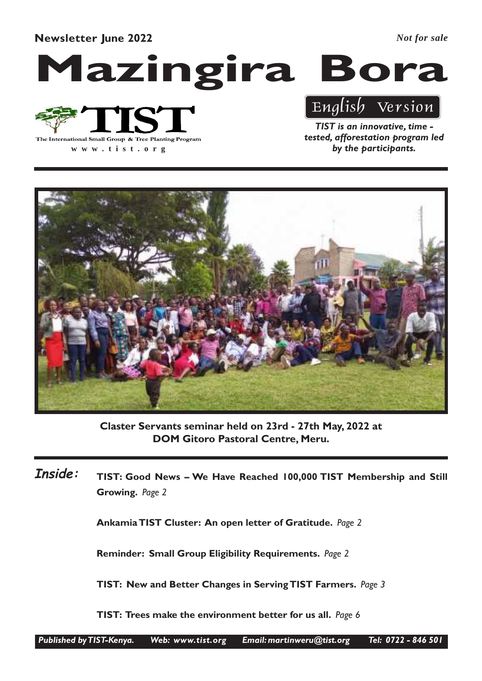Newsletter June 2022

*Not for sale*

## Mazingira Bora



**www .tist.org**

TIST is an innovative, time tested, afforestation program led by the participants.

English Version



Claster Servants seminar held on 23rd - 27th May, 2022 at DOM Gitoro Pastoral Centre, Meru.

TIST: Good News – We Have Reached 100,000 TIST Membership and Still Growing. Page 2 Inside:

Ankamia TIST Cluster: An open letter of Gratitude. Page 2

Reminder: Small Group Eligibility Requirements. Page 2

TIST: New and Better Changes in Serving TIST Farmers. Page 3

TIST: Trees make the environment better for us all. Page 6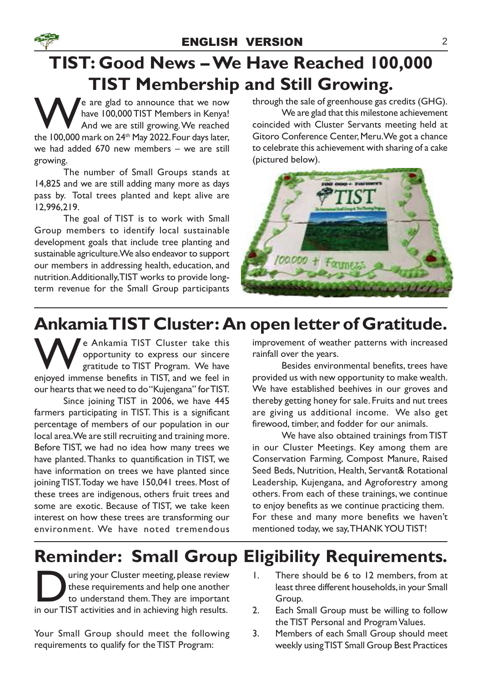## TIST: Good News – We Have Reached 100,000 TIST Membership and Still Growing.

e are glad to announce that we now<br>have 100,000 TIST Members in Kenya!<br>And we are still growing. We reached<br>the 100,000 mark on 24<sup>th</sup> May 2022. Four days later. have 100,000 TIST Members in Kenya! And we are still growing. We reached the 100,000 mark on 24<sup>th</sup> May 2022. Four days later, we had added 670 new members – we are still growing.

The number of Small Groups stands at 14,825 and we are still adding many more as days pass by. Total trees planted and kept alive are 12,996,219.

The goal of TIST is to work with Small Group members to identify local sustainable development goals that include tree planting and sustainable agriculture. We also endeavor to support our members in addressing health, education, and nutrition.Additionally, TIST works to provide longterm revenue for the Small Group participants

through the sale of greenhouse gas credits (GHG).

We are glad that this milestone achievement coincided with Cluster Servants meeting held at Gitoro Conference Center, Meru. We got a chance to celebrate this achievement with sharing of a cake (pictured below).



## Ankamia TIST Cluster: An open letter of Gratitude.

We Ankamia TIST Cluster take this<br>
opportunity to express our sincere<br>
enjoyed immense benefits in TIST, and we feel in opportunity to express our sincere gratitude to TIST Program. We have our hearts that we need to do "Kujengana" for TIST.

Since joining TIST in 2006, we have 445 farmers participating in TIST. This is a significant percentage of members of our population in our local area. We are still recruiting and training more. Before TIST, we had no idea how many trees we have planted.Thanks to quantification in TIST, we have information on trees we have planted since joining TIST. Today we have 150,041 trees. Most of these trees are indigenous, others fruit trees and some are exotic. Because of TIST, we take keen interest on how these trees are transforming our environment. We have noted tremendous

improvement of weather patterns with increased rainfall over the years.

Besides environmental benefits, trees have provided us with new opportunity to make wealth. We have established beehives in our groves and thereby getting honey for sale. Fruits and nut trees are giving us additional income. We also get firewood, timber, and fodder for our animals.

We have also obtained trainings from TIST in our Cluster Meetings. Key among them are Conservation Farming, Compost Manure, Raised Seed Beds, Nutrition, Health, Servant& Rotational Leadership, Kujengana, and Agroforestry among others. From each of these trainings, we continue to enjoy benefits as we continue practicing them. For these and many more benefits we haven't mentioned today, we say, THANK YOU TIST!

## Reminder: Small Group Eligibility Requirements.

These requirements and help one another<br>to understand them. They are important<br>in our TIST activities and in achieving high results. uring your Cluster meeting, please review these requirements and help one another to understand them.They are important

Your Small Group should meet the following requirements to qualify for the TIST Program:

- 1. There should be 6 to 12 members, from at least three different households, in your Small Group.
- 2. Each Small Group must be willing to follow the TIST Personal and Program Values.
- 3. Members of each Small Group should meet weekly using TIST Small Group Best Practices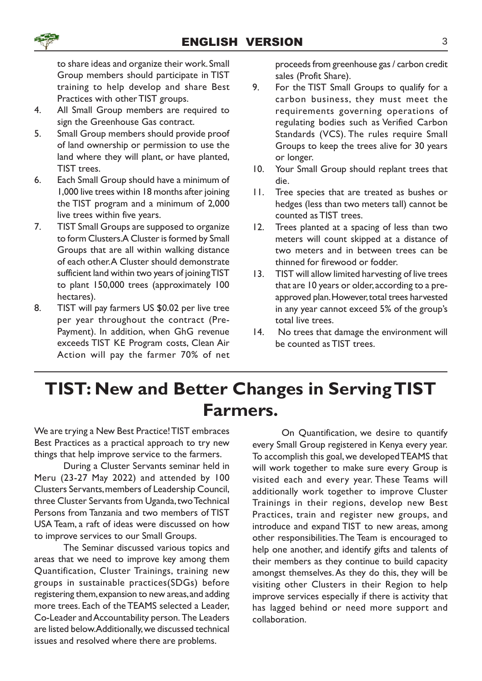to share ideas and organize their work. Small Group members should participate in TIST training to help develop and share Best Practices with other TIST groups.

- 4. All Small Group members are required to sign the Greenhouse Gas contract.
- 5. Small Group members should provide proof of land ownership or permission to use the land where they will plant, or have planted, TIST trees.
- 6. Each Small Group should have a minimum of 1,000 live trees within 18 months after joining the TIST program and a minimum of 2,000 live trees within five years.
- 7. TIST Small Groups are supposed to organize to form Clusters.A Cluster is formed by Small Groups that are all within walking distance of each other. A Cluster should demonstrate sufficient land within two years of joining TIST to plant 150,000 trees (approximately 100 hectares).
- 8. TIST will pay farmers US \$0.02 per live tree per year throughout the contract (Pre-Payment). In addition, when GhG revenue exceeds TIST KE Program costs, Clean Air Action will pay the farmer 70% of net

proceeds from greenhouse gas / carbon credit sales (Profit Share).

- 9. For the TIST Small Groups to qualify for a carbon business, they must meet the requirements governing operations of regulating bodies such as Verified Carbon Standards (VCS). The rules require Small Groups to keep the trees alive for 30 years or longer.
- 10. Your Small Group should replant trees that die.
- 11. Tree species that are treated as bushes or hedges (less than two meters tall) cannot be counted as TIST trees.
- 12. Trees planted at a spacing of less than two meters will count skipped at a distance of two meters and in between trees can be thinned for firewood or fodder.
- 13. TIST will allow limited harvesting of live trees that are 10 years or older, according to a preapproved plan. However, total trees harvested in any year cannot exceed 5% of the group's total live trees.
- 14. No trees that damage the environment will be counted as TIST trees.

### TIST: New and Better Changes in Serving TIST Farmers.

We are trying a New Best Practice! TIST embraces Best Practices as a practical approach to try new things that help improve service to the farmers.

During a Cluster Servants seminar held in Meru (23-27 May 2022) and attended by 100 Clusters Servants, members of Leadership Council, three Cluster Servants from Uganda, two Technical Persons from Tanzania and two members of TIST USA Team, a raft of ideas were discussed on how to improve services to our Small Groups.

The Seminar discussed various topics and areas that we need to improve key among them Quantification, Cluster Trainings, training new groups in sustainable practices(SDGs) before registering them, expansion to new areas, and adding more trees. Each of the TEAMS selected a Leader, Co-Leader and Accountability person. The Leaders are listed below. Additionally, we discussed technical issues and resolved where there are problems.

On Quantification, we desire to quantify every Small Group registered in Kenya every year. To accomplish this goal, we developed TEAMS that will work together to make sure every Group is visited each and every year. These Teams will additionally work together to improve Cluster Trainings in their regions, develop new Best Practices, train and register new groups, and introduce and expand TIST to new areas, among other responsibilities.The Team is encouraged to help one another, and identify gifts and talents of their members as they continue to build capacity amongst themselves.As they do this, they will be visiting other Clusters in their Region to help improve services especially if there is activity that has lagged behind or need more support and collaboration.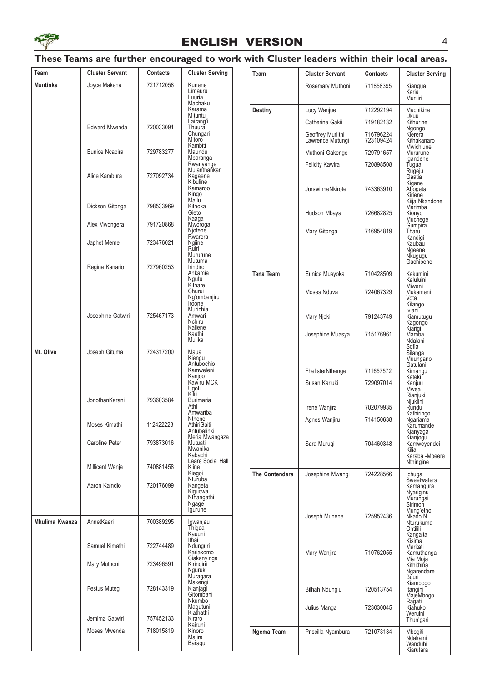

#### ENGLISH VERSION 4

#### These Teams are further encouraged to work with Cluster leaders within their local areas.

| Team                  | <b>Cluster Servant</b>           | Contacts               | <b>Cluster Serving</b>                               | Team                  | <b>Cluster Servant</b>                | Contacts               | <b>Cluster Serving</b>                                                                          |
|-----------------------|----------------------------------|------------------------|------------------------------------------------------|-----------------------|---------------------------------------|------------------------|-------------------------------------------------------------------------------------------------|
| Mantinka              | Joyce Makena                     | 721712058              | Kunene<br>Limauru<br>Luuria<br>Machaku               |                       | Rosemary Muthoni                      | 711858395              | Kiangua<br>Karia<br>Muriiiri                                                                    |
|                       |                                  |                        | Karama<br>Mituntu                                    | <b>Destiny</b>        | Lucy Wanjue                           | 712292194              | Machikine                                                                                       |
|                       | <b>Edward Mwenda</b>             | 720033091              | Lairang'i<br>Thuura                                  |                       | Catherine Gakii                       | 719182132              | Ukuu<br>Kithurine<br>Ngongo                                                                     |
|                       |                                  |                        | Chungari<br>Mitoro<br>Kambiti                        |                       | Geoffrey Muriithi<br>Lawrence Mutungi | 716796224<br>723109424 | Kierera<br>Kithakanaro<br>Mwichiune                                                             |
|                       | Eunice Ncabira                   | 729783277              | Maundu<br>Mbaranga                                   |                       | Muthoni Gakenge                       | 729791657              | Mururune<br>lgandene                                                                            |
|                       | Alice Kambura                    | 727092734              | Rwanyange<br>Mulanthankari<br>Kagaene<br>Kibuline    |                       | <b>Felicity Kawira</b>                | 720898508              | Tugua<br>Rugeju<br>Gaatia                                                                       |
|                       |                                  |                        | Kamaroo<br>Kingo<br>Mailu                            |                       | JurswinneNkirote                      | 743363910              | Kigane<br>Abogeta<br>Kiriene<br>Kiija Nkandone                                                  |
|                       | Dickson Gitonga<br>Alex Mwongera | 798533969<br>791720868 | Kithoka<br>Gieto<br>Kaaga                            |                       | Hudson Mbaya                          | 726682825              | Marimba<br>Kionyo<br>Muchege                                                                    |
|                       |                                  |                        | Mworoga<br>Njotene<br>Rwarera                        |                       | Mary Gitonga                          | 716954819              | Gumpira<br>Tharu<br>Kandigi                                                                     |
|                       | Japhet Meme                      | 723476021              | Ngiine<br>Ruiri<br>Mururune<br>Mutuma                |                       |                                       |                        | Kaubau<br>Ngeene<br>Nkugugu<br>Gachibene                                                        |
|                       | Regina Kanario                   | 727960253              | Irindiro<br>Ankamia<br>Ngutu<br>Kithare              | <b>Tana Team</b>      | Eunice Musyoka                        | 710428509              | Kakumini<br>Kaluluini                                                                           |
|                       |                                  |                        | Churui<br>Ng'ombenjiru<br>Iroone                     |                       | Moses Nduva                           | 724067329              | Miwani<br>Mukameni<br>Vota<br>Kilango<br>Iviani <sup>-</sup><br>Kiamutugu<br>Kagongo<br>Kiarigi |
|                       | Josephine Gatwiri                | 725467173              | Murichia<br>Amwari<br>Nchiru<br>Kaliene              |                       | Mary Njoki                            | 791243749              |                                                                                                 |
|                       |                                  |                        | Kaathi<br>Mulika                                     |                       | Josephine Muasya                      | 715176961              | Mamba<br>Ndalani<br>Sofia                                                                       |
| Mt. Olive             | Joseph Gituma                    | 724317200              | Maua<br>Kiengu<br>Antubochio<br>Kamweleni            |                       | FhelisterNthenge                      | 711657572              | Silanga<br>Muungano<br>Gatulani<br>Kimangu                                                      |
|                       |                                  |                        | Kanjoo<br>Kawiru MCK<br>Ugoti<br>Kilili              |                       | Susan Kariuki                         | 729097014              | Kateki<br>Kanjuu<br>Mwea<br>Rianjuki                                                            |
|                       | JonothanKarani                   | 793603584              | <b>Burimaria</b><br>Athi<br>Amwariba                 |                       | Irene Wanjira                         | 702079935              | Njukiini<br>Rundu<br>Kathiringo                                                                 |
|                       | Moses Kimathi                    | 112422228              | <b>Nthene</b><br>AthiriGaiti<br>Antubalinki          |                       | Agnes Wanjiru                         | 714150638              | Ngariama<br>Karumande<br>Kianyaga                                                               |
|                       | Caroline Peter                   | 793873016              | Meria Mwangaza<br>Mutuati<br>Mwanika<br>Kabachi      |                       | Sara Murugi                           | 704460348              | Kianjogu<br>Kamweyendei<br>Kilia<br>Karaba - Mbeere                                             |
|                       | Millicent Wanja                  | 740881458              | Laare Social Hall<br>Kiine<br>Kiegoi                 | <b>The Contenders</b> | Josephine Mwangi                      | 724228566              | Nthingine<br>Ichuga                                                                             |
|                       | Aaron Kaindio                    | 720176099              | Nturuba<br>Kangeta<br>Kigucwa<br>Nthangathi<br>Ngage |                       |                                       |                        | Sweetwaters<br>Kamangura<br>Nyariginu<br>Murungai<br>Sirimon                                    |
| <b>Mkulima Kwanza</b> |                                  | 700389295              | Igurune                                              |                       | Joseph Munene                         | 725952436              | Mung'etho<br>Nkado N.                                                                           |
|                       | AnnetKaari                       |                        | Igwanjau<br>Thigaa<br>Kauuni<br>Ithai                |                       |                                       |                        | Nturukuma<br>Ontilili<br>Kangaita                                                               |
|                       | Samuel Kimathi                   | 722744489              | Ndunguri<br>Kariakomo<br>Ciakanyinga                 |                       | Mary Wanjira                          | 710762055              | Kisima<br>Maritati<br>Kamuthanga<br>Mia Moja                                                    |
|                       | Mary Muthoni                     | 723496591              | Kirindini<br>Nguruki<br>Muragara                     |                       |                                       |                        | Kithithina<br>Ngarendare<br><b>Buuri</b>                                                        |
|                       | Festus Mutegi                    | 728143319              | Makengi<br>Kianjagi<br>Gitombani<br>Nkumbo           |                       | Bilhah Ndung'u                        | 720513754              | Kiambogo<br>Itangini<br>MajeMbogo                                                               |
|                       | Jemima Gatwiri                   | 757452133              | Magutuni<br>Kiathathi<br>Kiraro                      |                       | Julius Manga                          | 723030045              | Ragati<br>Kiahuko<br>Weruini<br>Thun'gari                                                       |
|                       | Moses Mwenda                     | 718015819              | Kairuni<br>Kinoro<br>Majira<br>Baragu                | Ngema Team            | Priscilla Nyambura                    | 721073134              | Mbogiti<br>Ndakaini<br>Wanduhi<br>Kiarutara                                                     |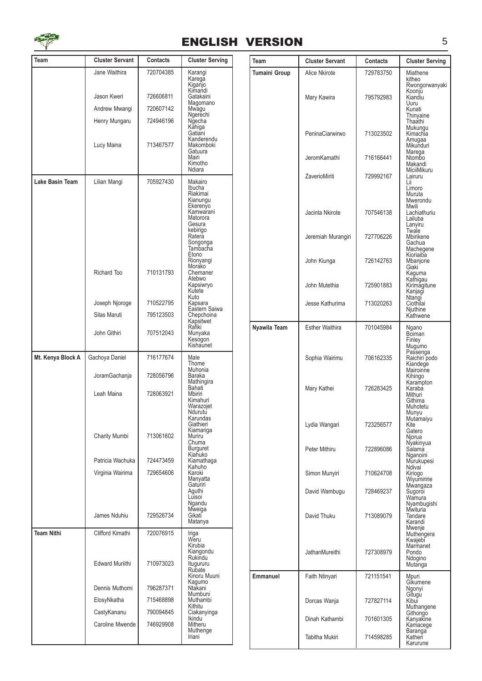

#### ENGLISH VERSION 5

| Team              | <b>Cluster Servant</b> | Contacts  | <b>Cluster Serving</b>         | Team                 | <b>Cluster Se</b>   |
|-------------------|------------------------|-----------|--------------------------------|----------------------|---------------------|
|                   | Jane Waithira          | 720704385 | Karangi<br>Karega              | <b>Tumaini Group</b> | <b>Alice Nkirot</b> |
|                   |                        |           | Kiganjo<br>Kimandi             |                      |                     |
|                   | Jason Kweri            | 726606811 | Gatakaini<br>Magomano          |                      | Mary Kawir          |
|                   | Andrew Mwangi          | 720607142 | Mwagu<br>Ngerechi              |                      |                     |
|                   | Henry Mungaru          | 724946196 | Ngecha<br>Kahiga               |                      |                     |
|                   |                        |           | Gatiani<br>Kanderendu          |                      | PeninaCiar          |
|                   | Lucy Maina             | 713467577 | Makomboki<br>Gatuura           |                      |                     |
|                   |                        |           | Mairi<br>Kimotho               |                      | JeromKama           |
| Lake Basin Team   | Lilian Mangi           | 705927430 | Ndiara<br>Makairo              |                      | ZaverioMiri         |
|                   |                        |           | Ibucha<br>Riakimai             |                      |                     |
|                   |                        |           | Kianungu<br>Ekerenyo           |                      |                     |
|                   |                        |           | Kamwarani<br>Matorora          |                      | Jacinta Nki         |
|                   |                        |           | Gesura<br>kebirigo             |                      |                     |
|                   |                        |           | Ratera<br>Songonga             |                      | Jeremiah M          |
|                   |                        |           | Tambacha<br>Etono              |                      |                     |
|                   |                        |           | Rionyangi<br>Morako            |                      | John Kiung          |
|                   | Richard Too            | 710131793 | Chemaner<br>Atebwo             |                      |                     |
|                   |                        |           | Kapsiwryo<br>Kutete<br>Kuto    |                      | John Mutet          |
|                   | Joseph Njoroge         | 710522795 | Kapsara<br>Eastern Saiwa       |                      | Jesse Kath          |
|                   | Silas Maruti           | 795123503 | Chepchoina<br>Kapsitwet        |                      |                     |
|                   | John Githiri           | 707512043 | Rafiki<br>Munyaka              | Nyawila Team         | <b>Esther Wait</b>  |
|                   |                        |           | Kesógon<br>Kishaunet           |                      |                     |
| Mt. Kenya Block A | Gachoya Daniel         | 716177674 | Male<br>Thome                  |                      | Sophia Wa           |
|                   | JoramGachanja          | 728056796 | Muhonia<br>Baraka              |                      |                     |
|                   |                        |           | Mathingira<br>Bahati           |                      | Mary Kathe          |
|                   | Leah Maina             | 728063921 | Mbiriri<br>Kimahuri            |                      |                     |
|                   |                        |           | Warazojet<br>Ndurutu           |                      |                     |
|                   |                        |           | Karundas<br>Giathieri          |                      | Lydia Wang          |
|                   | Charity Mumbi          | 713061602 | Kiamariga<br>Muriru            |                      |                     |
|                   |                        |           | Chuma<br><b>Burguret</b>       |                      | Peter Mithir        |
|                   | Patricia Wachuka       | 724473459 | Kiahuko<br>Kiamathaga          |                      |                     |
|                   | Virginia Wairima       | 729654606 | Kahuho<br>Karoki               |                      | Simon Mun           |
|                   |                        |           | Manyatta<br>Gaturiri<br>Aguthi |                      | David Wam           |
|                   |                        |           | Luisoi<br>Ngandu               |                      |                     |
|                   | James Nduhiu           | 729526734 | Mweiga<br>Gikati               |                      | David Thuk          |
|                   |                        |           | Matanya                        |                      |                     |
| <b>Team Nithi</b> | Clifford Kimathi       | 720076915 | Iriga<br>Weru                  |                      |                     |
|                   |                        |           | Kirubia<br>Kiangondu           |                      | JathanMure          |
|                   | <b>Edward Muriithi</b> | 710973023 | Rukindu<br>Itugururu<br>Rubate |                      |                     |
|                   |                        |           | Kinoru Muuni<br>Kagumo         | Emmanuel             | Faith Ntinya        |
|                   | Dennis Muthomi         | 796287371 | Ntakani<br>Mumbuni             |                      |                     |
|                   | ElosyNkatha            | 715468898 | Muthambi<br>Kithitu            |                      | Dorcas Wa           |
|                   | CastyKananu            | 790094845 | Ciakanyinga<br>Ikindu          |                      | Dinah Kath          |
|                   | Caroline Mwende        | 746929908 | Mitheru<br>Muthenge            |                      |                     |
|                   |                        |           | Iriani                         |                      | Tabitha Mu          |

| Team          | <b>Cluster Servant</b> | Contacts  | <b>Cluster Serving</b>                                                  |
|---------------|------------------------|-----------|-------------------------------------------------------------------------|
| Tumaini Group | Alice Nkirote          | 729783750 | Miathene<br>kitheo                                                      |
|               | Mary Kawira            | 795792983 | Rwongorwanyaki<br>Koonjŭ<br>Kiandiu<br>Uuru<br>Kunati<br>Thinyaine      |
|               | PeninaCiarwirwo        | 713023502 | Thaathi<br>Mukungu<br>Kimachia<br>Amugaa<br>Mikunduri                   |
|               | JeromKamathi           | 716166441 | <br>Marega<br>Ntombo<br>Makandi                                         |
|               | ZaverioMiriti          | 729992167 | MiciiMikuru<br>Lairuru<br>Lii<br>Limoro<br>Muruta                       |
|               | Jacinta Nkirote        | 707546138 | Mwerondu<br>Mwili<br>Lachiathuriu<br>Lailuba<br>Lanyiru                 |
|               | Jeremiah Murangiri     | 727706226 | Twale<br>Mbirikene<br>Gachua                                            |
|               | John Kiunga            | 726142763 | Machegene<br>Kioriaiba<br>Mbanjone<br>Giaki<br>Kaguma<br>Kathigau       |
|               | John Mutethia          | 725901883 | Kirimagitune<br>Kanjagi                                                 |
|               | Jesse Kathurima        | 713020263 | Ntangi<br>Ciothilai<br>Njuthine<br>Kathwene                             |
| Nyawila Team  | <b>Esther Waithira</b> | 701045984 | Ngano<br><b>B</b> oiman<br>Finley                                       |
|               | Sophia Wairimu         | 706162335 | Mugumo<br>Passenga<br>Raichiri podo<br>Kiandege<br>Mairoinne<br>Kihingo |
|               | Mary Kathei            | 726283425 | Karampton<br>Karaba<br>Mithuri<br>Githima<br>Muhotetu                   |
|               | Lydia Wangari          | 723256577 | Munyu<br>Mutamaiyu<br>Kite<br>Gatero<br>Njorua                          |
|               | Peter Mithiru          | 722896086 | Nyakinyua<br>Salama<br>Nganoini<br>Murukupesi                           |
|               | Simon Munyiri          | 710624708 | Ndivai<br>Kiriogo<br>Wiyumiririe                                        |
|               | David Wambugu          | 728469237 | Mwangaza<br>Sugoroi<br>Wamura<br>Nyambugishi                            |
|               | David Thuku            | 713089079 | Mwituria <sup>®</sup><br>Tandare<br>Karandi<br>Mwenje                   |
|               | <b>JathanMureithi</b>  | 727308979 | Muthengera<br>Kwajebi<br>Marmanet<br>Pondo<br>Ndogino<br>Mutanga        |
| Emmanuel      | Faith Ntinyari         | 721151541 | Mpuri<br>Gíkumene<br>Ngonyi                                             |
|               | Dorcas Wanja           | 727827114 | Gitugu<br>Kibui<br>Muthangene<br>Githongo                               |
|               | Dinah Kathambi         | 701601305 | Kanyakine<br>Kamacege                                                   |
|               | Tabitha Mukiri         | 714598285 | Baranga<br>Katheri<br>Karurune                                          |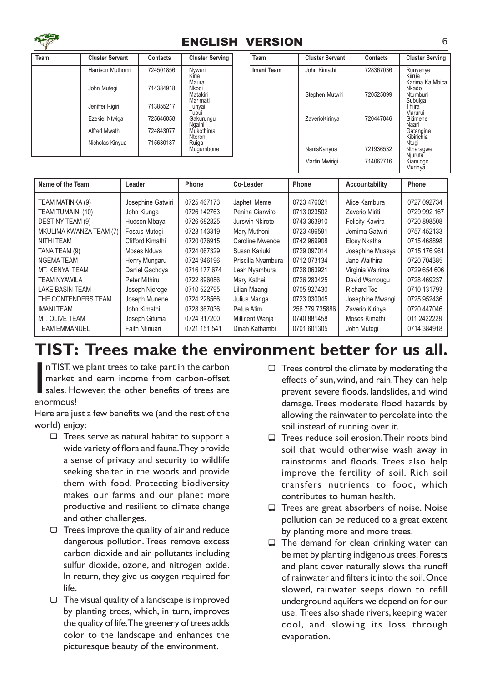

#### ENGLISH VERSION 6

| Team | <b>Cluster Servant</b> | <b>Contacts</b> | <b>Cluster Serving</b>                 | Team     |
|------|------------------------|-----------------|----------------------------------------|----------|
|      | Harrison Muthomi       | 724501856       | Nvweri<br>Kiria                        | Imani To |
|      | John Mutegi            | 714384918       | Maura<br>Nkodi<br>Matakiri<br>Marimati |          |
|      | Jeniffer Rigiri        | 713855217       | Tunyai<br>Tubui                        |          |
|      | <b>Ezekiel Ntwiga</b>  | 725646058       | Gakurungu<br>Ngaini                    |          |
|      | Alfred Mwathi          | 724843077       | Mukothima<br>Ntoroni                   |          |
|      | Nicholas Kinyua        | 715630187       | Ruiga<br>Mugambone                     |          |

| Team       | <b>Cluster Servant</b> | Contacts  | <b>Cluster Serving</b>                                |
|------------|------------------------|-----------|-------------------------------------------------------|
| lmani Team | John Kimathi           | 728367036 | Runyenye<br>Kiirua<br>Karima Ka Mbica<br>Nkado        |
|            | Stephen Mutwiri        | 720525899 | Ntumburi<br>Subuiga<br>Thiira<br>Marurui              |
|            | ZaverioKirinya         | 720447046 | Gitimene<br>Naari<br>Gatangine<br>Kibirichia<br>Ntugi |
|            | NanisKanyua            | 721936532 | Ntharagwe<br>Niuruta                                  |
|            | Martin Mwirigi         | 714062716 | Kiamiogo<br>Murinya                                   |

| Name of the Team        | Leader            | Phone        | Co-Leader          | Phone          | Accountability         | Phone        |
|-------------------------|-------------------|--------------|--------------------|----------------|------------------------|--------------|
| TEAM MATINKA (9)        | Josephine Gatwiri | 0725 467173  | Japhet Meme        | 0723 476021    | Alice Kambura          | 0727 092734  |
| TEAM TUMAINI (10)       | John Kiunga       | 0726 142763  | Penina Ciarwiro    | 0713 023502    | Zaverio Miriti         | 0729 992 167 |
| DESTINY TEAM (9)        | Hudson Mbaya      | 0726 682825  | Jurswin Nkirote    | 0743 363910    | <b>Felicity Kawira</b> | 0720 898508  |
| MKULIMA KWANZA TEAM (7) | Festus Mutegi     | 0728 143319  | Mary Muthoni       | 0723 496591    | Jemima Gatwiri         | 0757 452133  |
| NITHI TEAM              | Clifford Kimathi  | 0720 076915  | Caroline Mwende    | 0742 969908    | Elosy Nkatha           | 0715 468898  |
| TANA TEAM (9)           | Moses Nduva       | 0724 067329  | Susan Kariuki      | 0729 097014    | Josephine Muasya       | 0715 176 961 |
| <b>NGEMATEAM</b>        | Henry Mungaru     | 0724 946196  | Priscilla Nyambura | 0712 073134    | Jane Waithira          | 0720 704385  |
| MT. KENYA TEAM          | Daniel Gachoya    | 0716 177 674 | Leah Nyambura      | 0728 063921    | Virginia Wairima       | 0729 654 606 |
| TEAM NYAWILA            | Peter Mithiru     | 0722 896086  | Mary Kathei        | 0726 283425    | David Wambugu          | 0728 469237  |
| <b>LAKE BASIN TEAM</b>  | Joseph Njoroge    | 0710 522795  | Lilian Maangi      | 0705 927430    | Richard Too            | 0710 131793  |
| THE CONTENDERS TEAM     | Joseph Munene     | 0724 228566  | Julius Manga       | 0723 030045    | Josephine Mwangi       | 0725 952436  |
| <b>IMANI TEAM</b>       | John Kimathi      | 0728 367036  | Petua Atim         | 256 779 735886 | Zaverio Kirinya        | 0720 447046  |
| MT. OLIVE TEAM          | Joseph Gituma     | 0724 317200  | Millicent Wanja    | 0740 881458    | Moses Kimathi          | 011 2422228  |
| <b>TEAM EMMANUEL</b>    | Faith Ntinuari    | 0721 151 541 | Dinah Kathambi     | 0701 601305    | John Mutegi            | 0714 384918  |
|                         |                   |              |                    |                |                        |              |

### TIST: Trees make the environment better for us all.

n TIST, w<br>
market<br>
sales. He<br>
enormous! n TIST, we plant trees to take part in the carbon market and earn income from carbon-offset sales. However, the other benefits of trees are

Here are just a few benefits we (and the rest of the world) enjoy:

- $\Box$  Trees serve as natural habitat to support a wide variety of flora and fauna.They provide a sense of privacy and security to wildlife seeking shelter in the woods and provide them with food. Protecting biodiversity makes our farms and our planet more productive and resilient to climate change and other challenges.
- $\Box$  Trees improve the quality of air and reduce dangerous pollution. Trees remove excess carbon dioxide and air pollutants including sulfur dioxide, ozone, and nitrogen oxide. In return, they give us oxygen required for life.
- $\Box$  The visual quality of a landscape is improved by planting trees, which, in turn, improves the quality of life. The greenery of trees adds color to the landscape and enhances the picturesque beauty of the environment.
- $\Box$  Trees control the climate by moderating the effects of sun, wind, and rain.They can help prevent severe floods, landslides, and wind damage. Trees moderate flood hazards by allowing the rainwater to percolate into the soil instead of running over it.
- $\square$  Trees reduce soil erosion. Their roots bind soil that would otherwise wash away in rainstorms and floods. Trees also help improve the fertility of soil. Rich soil transfers nutrients to food, which contributes to human health.
- $\Box$  Trees are great absorbers of noise. Noise pollution can be reduced to a great extent by planting more and more trees.
- $\Box$  The demand for clean drinking water can be met by planting indigenous trees. Forests and plant cover naturally slows the runoff of rainwater and filters it into the soil. Once slowed, rainwater seeps down to refill underground aquifers we depend on for our use. Trees also shade rivers, keeping water cool, and slowing its loss through evaporation.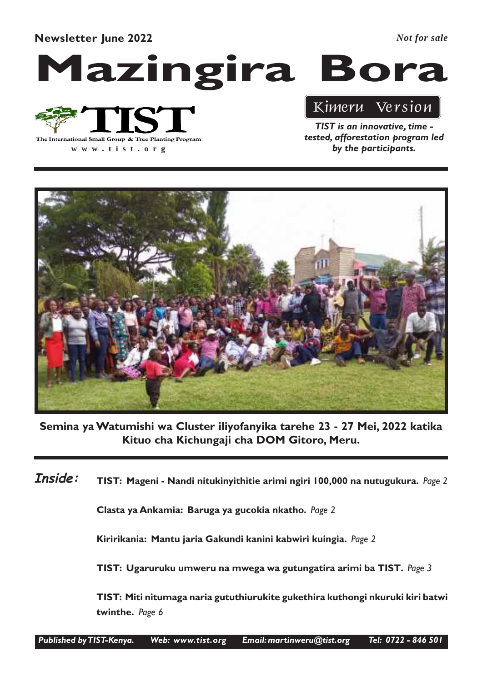Newsletter June 2022

*Not for sale*

## Mazingira Bora



**www .tist.org**

TIST is an innovative, time tested, afforestation program led

Kimeru Version

by the participants.

Semina ya Watumishi wa Cluster iliyofanyika tarehe 23 - 27 Mei, 2022 katika Kituo cha Kichungaji cha DOM Gitoro, Meru.

TIST: Mageni - Nandi nitukinyithitie arimi ngiri 100,000 na nutugukura. Page 2 Inside:

Clasta ya Ankamia: Baruga ya gucokia nkatho. Page 2

Kiririkania: Mantu jaria Gakundi kanini kabwiri kuingia. Page 2

TIST: Ugaruruku umweru na mwega wa gutungatira arimi ba TIST. Page 3

TIST: Miti nitumaga naria gututhiurukite gukethira kuthongi nkuruki kiri batwi twinthe. Page 6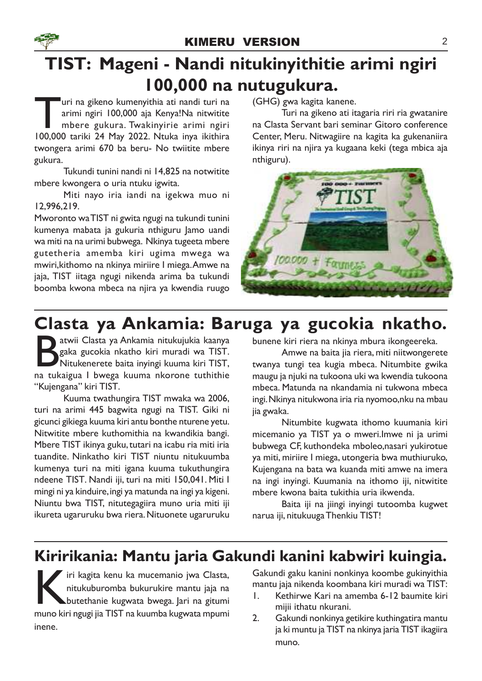## TIST: Mageni - Nandi nitukinyithitie arimi ngiri 100,000 na nutugukura.

uri na gikeno kumenyithia ati nandi turi na<br>arimi ngiri 100,000 aja Kenya!Na nitwitite<br>mbere gukura. Twakinyirie arimi ngiri<br>100,000 tariki 24 May 2022. Ntuka inya ikithira uri na gikeno kumenyithia ati nandi turi na arimi ngiri 100,000 aja Kenya!Na nitwitite mbere gukura. Twakinyirie arimi ngiri twongera arimi 670 ba beru- No twiitite mbere gukura.

Tukundi tunini nandi ni 14,825 na notwitite mbere kwongera o uria ntuku igwita.

Miti nayo iria iandi na igekwa muo ni 12,996,219.

Mworonto waTIST ni gwita ngugi na tukundi tunini kumenya mabata ja gukuria nthiguru Jamo uandi wa miti na na urimi bubwega. Nkinya tugeeta mbere gutetheria amemba kiri ugima mwega wa mwiri,kithomo na nkinya miriire I miega.Amwe na jaja, TIST iitaga ngugi nikenda arima ba tukundi boomba kwona mbeca na njira ya kwendia ruugo

(GHG) gwa kagita kanene.

Turi na gikeno ati itagaria riri ria gwatanire na Clasta Servant bari seminar Gitoro conference Center, Meru. Nitwagiire na kagita ka gukenaniira ikinya riri na njira ya kugaana keki (tega mbica aja nthiguru).



## Clasta ya Ankamia: Baruga ya gucokia nkatho.

atwii Clasta ya Ankamia nitukujukia kaanya gaka gucokia nkatho kiri muradi wa TIST.<br>Nitukenerete baita inyingi kuuma kiri TIST,<br>na tukaigua I bwega kuuma nkorone tuthithie atwii Clasta ya Ankamia nitukujukia kaanya gaka gucokia nkatho kiri muradi wa TIST. Nitukenerete baita inyingi kuuma kiri TIST, "Kujengana" kiri TIST.

Kuuma twathungira TIST mwaka wa 2006, turi na arimi 445 bagwita ngugi na TIST. Giki ni gicunci gikiega kuuma kiri antu bonthe nturene yetu. Nitwitite mbere kuthomithia na kwandikia bangi. Mbere TIST ikinya guku, tutari na icabu ria miti iria tuandite. Ninkatho kiri TIST niuntu nitukuumba kumenya turi na miti igana kuuma tukuthungira ndeene TIST. Nandi iji, turi na miti 150,041. Miti I mingi ni ya kinduire, ingi ya matunda na ingi ya kigeni. Niuntu bwa TIST, nitutegagiira muno uria miti iji ikureta ugaruruku bwa riera. Nituonete ugaruruku

bunene kiri riera na nkinya mbura ikongeereka.

Amwe na baita jia riera, miti niitwongerete twanya tungi tea kugia mbeca. Nitumbite gwika maugu ja njuki na tukoona uki wa kwendia tukoona mbeca. Matunda na nkandamia ni tukwona mbeca ingi. Nkinya nitukwona iria ria nyomoo,nku na mbau jia gwaka.

Nitumbite kugwata ithomo kuumania kiri micemanio ya TIST ya o mweri.Imwe ni ja urimi bubwega CF, kuthondeka mboleo,nasari yukirotue ya miti, miriire I miega, utongeria bwa muthiuruko, Kujengana na bata wa kuanda miti amwe na imera na ingi inyingi. Kuumania na ithomo iji, nitwitite mbere kwona baita tukithia uria ikwenda.

Baita iji na jiingi inyingi tutoomba kugwet narua iji, nitukuuga Thenkiu TIST!

### Kiririkania: Mantu jaria Gakundi kanini kabwiri kuingia.

iri kagita kenu ka mucemanio jwa Clasta, nitukuburomba bukurukire mantu jaja na butethanie kugwata bwega. Jari na gitumi muno kiri ngugi jia TIST na kuumba kugwata mpumi iri kagita kenu ka mucemanio jwa Clasta, nitukuburomba bukurukire mantu jaja na butethanie kugwata bwega. Jari na gitumi inene.

Gakundi gaku kanini nonkinya koombe gukinyithia mantu jaja nikenda koombana kiri muradi wa TIST:

- 1. Kethirwe Kari na amemba 6-12 baumite kiri mijii ithatu nkurani.
- 2. Gakundi nonkinya getikire kuthingatira mantu ja ki muntu ja TIST na nkinya jaria TIST ikagiira muno.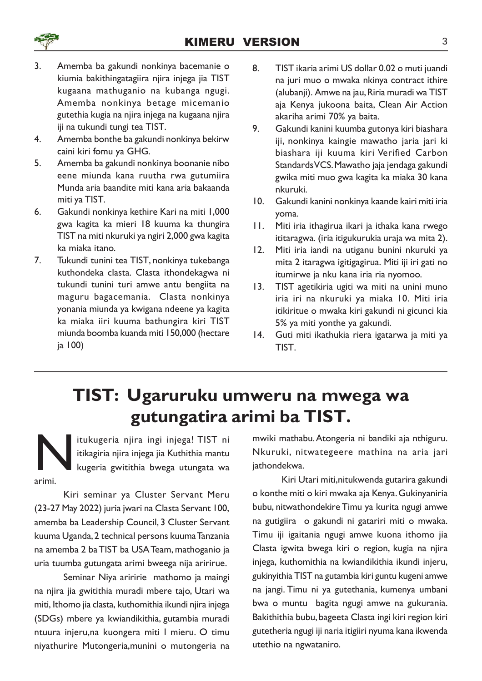

- 3. Amemba ba gakundi nonkinya bacemanie o kiumia bakithingatagiira njira injega jia TIST kugaana mathuganio na kubanga ngugi. Amemba nonkinya betage micemanio gutethia kugia na njira injega na kugaana njira iji na tukundi tungi tea TIST.
- 4. Amemba bonthe ba gakundi nonkinya bekirw caini kiri fomu ya GHG.
- 5. Amemba ba gakundi nonkinya boonanie nibo eene miunda kana ruutha rwa gutumiira Munda aria baandite miti kana aria bakaanda miti ya TIST.
- 6. Gakundi nonkinya kethire Kari na miti 1,000 gwa kagita ka mieri 18 kuuma ka thungira TIST na miti nkuruki ya ngiri 2,000 gwa kagita ka miaka itano.
- 7. Tukundi tunini tea TIST, nonkinya tukebanga kuthondeka clasta. Clasta ithondekagwa ni tukundi tunini turi amwe antu bengiita na maguru bagacemania. Clasta nonkinya yonania miunda ya kwigana ndeene ya kagita ka miaka iiri kuuma bathungira kiri TIST miunda boomba kuanda miti 150,000 (hectare ja 100)
- 8. TIST ikaria arimi US dollar 0.02 o muti juandi na juri muo o mwaka nkinya contract ithire (alubanji). Amwe na jau, Riria muradi wa TIST aja Kenya jukoona baita, Clean Air Action akariha arimi 70% ya baita.
- 9. Gakundi kanini kuumba gutonya kiri biashara iji, nonkinya kaingie mawatho jaria jari ki biashara iji kuuma kiri Verified Carbon Standards VCS. Mawatho jaja jendaga gakundi gwika miti muo gwa kagita ka miaka 30 kana nkuruki.
- 10. Gakundi kanini nonkinya kaande kairi miti iria yoma.
- 11. Miti iria ithagirua ikari ja ithaka kana rwego ititaragwa. (iria itigukurukia uraja wa mita 2).
- 12. Miti iria iandi na utiganu bunini nkuruki ya mita 2 itaragwa igitigagirua. Miti iji iri gati no itumirwe ja nku kana iria ria nyomoo.
- 13. TIST agetikiria ugiti wa miti na unini muno iria iri na nkuruki ya miaka 10. Miti iria itikiritue o mwaka kiri gakundi ni gicunci kia 5% ya miti yonthe ya gakundi.
- 14. Guti miti ikathukia riera igatarwa ja miti ya TIST.

## TIST: Ugaruruku umweru na mwega wa gutungatira arimi ba TIST.

N itukugeria njira ingi injega! TIST ni itikagiria njira injega jia Kuthithia mantu kugeria gwitithia bwega utungata wa arimi.

Kiri seminar ya Cluster Servant Meru (23-27 May 2022) juria jwari na Clasta Servant 100, amemba ba Leadership Council, 3 Cluster Servant kuuma Uganda, 2 technical persons kuuma Tanzania na amemba 2 baTIST ba USA Team, mathoganio ja uria tuumba gutungata arimi bweega nija aririrue.

Seminar Niya ariririe mathomo ja maingi na njira jia gwitithia muradi mbere tajo, Utari wa miti, Ithomo jia clasta, kuthomithia ikundi njira injega (SDGs) mbere ya kwiandikithia, gutambia muradi ntuura injeru,na kuongera miti I mieru. O timu niyathurire Mutongeria,munini o mutongeria na mwiki mathabu.Atongeria ni bandiki aja nthiguru. Nkuruki, nitwategeere mathina na aria jari iathondekwa.

Kiri Utari miti,nitukwenda gutarira gakundi o konthe miti o kiri mwaka aja Kenya. Gukinyaniria bubu, nitwathondekire Timu ya kurita ngugi amwe na gutigiira o gakundi ni gatariri miti o mwaka. Timu iji igaitania ngugi amwe kuona ithomo jia Clasta igwita bwega kiri o region, kugia na njira injega, kuthomithia na kwiandikithia ikundi injeru, gukinyithia TIST na gutambia kiri guntu kugeni amwe na jangi. Timu ni ya gutethania, kumenya umbani bwa o muntu bagita ngugi amwe na gukurania. Bakithithia bubu, bageeta Clasta ingi kiri region kiri gutetheria ngugi iji naria itigiiri nyuma kana ikwenda utethio na ngwataniro.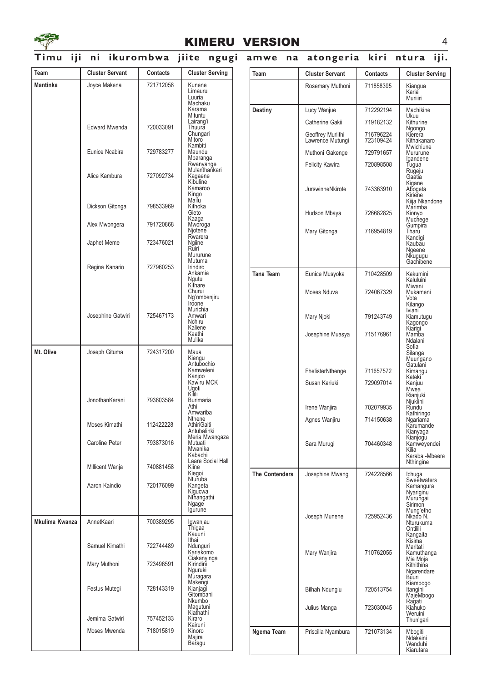

#### KIMERU VERSION 4

#### Timu iji ni ikurombwa jiite ngugi amwe na atongeria kiri ntura iji.

| Team            | <b>Cluster Servant</b> | Contacts  | <b>Cluster Serving</b>                  | Team                  | <b>Cluster Servant</b>                | Contacts               | <b>Cluster Serving</b>                        |
|-----------------|------------------------|-----------|-----------------------------------------|-----------------------|---------------------------------------|------------------------|-----------------------------------------------|
| <b>Mantinka</b> | Joyce Makena           | 721712058 | Kunene<br>Limauru                       |                       | Rosemary Muthoni                      | 711858395              | Kiangua<br>Karia                              |
|                 |                        |           | Luuria<br>Machaku                       |                       |                                       |                        | Muriiiri                                      |
|                 |                        |           | Karama<br>Mituntu                       | <b>Destiny</b>        | Lucy Wanjue                           | 712292194              | Machikine<br>Ukuu                             |
|                 | <b>Edward Mwenda</b>   | 720033091 | Lairang'i<br>Thuura                     |                       | Catherine Gakii                       | 719182132              | Kithurine                                     |
|                 |                        |           | Chungari<br>Mitoro<br>Kambiti           |                       | Geoffrey Muriithi<br>Lawrence Mutungi | 716796224<br>723109424 | Ngongo<br>Kierera<br>Kithakanaro<br>Mwichiune |
|                 | Eunice Ncabira         | 729783277 | Maundu<br>Mbaranga                      |                       | Muthoni Gakenge                       | 729791657              | Mururune<br>Igandene                          |
|                 |                        |           | Rwanyange<br>Mulanthankari              |                       | <b>Felicity Kawira</b>                | 720898508              | Tugua<br>Rugeju                               |
|                 | Alice Kambura          | 727092734 | Kagaene<br>Kibuline                     |                       |                                       |                        | Gaatia<br>Kigane                              |
|                 |                        |           | Kamaroo<br>Kingo                        |                       | JurswinneNkirote                      | 743363910              | Abogeta<br>Kiriene                            |
|                 | Dickson Gitonga        | 798533969 | Mailu<br>Kithoka                        |                       |                                       |                        | Kiija Nkandone<br>Marimba                     |
|                 |                        |           | Gieto<br>Kaaga                          |                       | Hudson Mbaya                          | 726682825              | Kionyo<br>Muchege                             |
|                 | Alex Mwongera          | 791720868 | Mworoga<br>Njotene                      |                       | Mary Gitonga                          | 716954819              | Gumpira<br>Tharu                              |
|                 | Japhet Meme            | 723476021 | Rwarera<br>Ngiine                       |                       |                                       |                        | Kandigi<br>Kaubau                             |
|                 |                        |           | Rūiri<br>Mururune                       |                       |                                       |                        | Ngeene<br>Nkugugu<br>Gachibene                |
|                 | Regina Kanario         | 727960253 | Mutuma<br>Irindiro<br>Ankamia           |                       |                                       |                        |                                               |
|                 |                        |           | Ngutu<br>Kithare                        | <b>Tana Team</b>      | Eunice Musyoka                        | 710428509              | Kakumini<br>Kaluluini<br>Miwani               |
|                 |                        |           | Churui<br>Ng'ombenjiru<br>Iroone        |                       | Moses Nduva                           | 724067329              | Mukameni<br>Vota<br>Kilango                   |
|                 | Josephine Gatwiri      | 725467173 | Murichia<br>Amwari<br>Nchiru            |                       | Mary Njoki                            | 791243749              | Iviani<br>Kiamutugu<br>Kagongo                |
|                 |                        |           | Kaliene<br>Kaathi<br>Mulika             |                       | Josephine Muasya                      | 715176961              | Kiarigi<br>Kiarigi<br>Ndalani                 |
| Mt. Olive       | Joseph Gituma          | 724317200 | Maua                                    |                       |                                       |                        | Sofia<br>Silanga<br>Muungano                  |
|                 |                        |           | Kiengu<br>Antubochio<br>Kamweleni       |                       | FhelisterNthenge                      | 711657572              | Gatulani<br>Kimangu                           |
|                 |                        |           | Kanjoo<br>Kawiru MCK                    |                       | Susan Kariuki                         | 729097014              | Kateki<br>Kanjuu                              |
|                 |                        |           | Ugoti<br>Kilili                         |                       |                                       |                        | Mwea<br>Rianjuki                              |
|                 | JonothanKarani         | 793603584 | Burimaria<br>Athi                       |                       | Irene Wanjira                         | 702079935              | Njukiini<br>Rundu                             |
|                 |                        |           | Amwariba<br>Nthene                      |                       | Agnes Wanjiru                         | 714150638              | Kathiringo<br>Ngariama                        |
|                 | Moses Kimathi          | 112422228 | AthiriGaiti<br>Antubalinki              |                       |                                       |                        | Karumande<br>Kianyaga                         |
|                 | Caroline Peter         | 793873016 | Meria Mwangaza<br>Mutuati               |                       | Sara Murugi                           | 704460348              | Kianjogu<br>Kamweyendei                       |
|                 |                        |           | Mwanika<br>Kabachi<br>Laare Social Hall |                       |                                       |                        | Kilia<br>Karaba - Mbeere                      |
|                 | Millicent Wanja        | 740881458 | Kiine<br>Kiegoi                         | <b>The Contenders</b> | Josephine Mwangi                      | 724228566              | Nthingine                                     |
|                 | Aaron Kaindio          | 720176099 | Nturuba<br>Kangeta                      |                       |                                       |                        | Ichuga<br>Sweetwaters<br>Kamangura            |
|                 |                        |           | Kigucwa<br>Nthangathi                   |                       |                                       |                        | Nyariginu<br>Murungai                         |
|                 |                        |           | Ngage<br>Igurune                        |                       |                                       |                        | Sirimon<br>Mung'etho                          |
| Mkulima Kwanza  | AnnetKaari             | 700389295 | Igwanjau<br>Thigaa                      |                       | Joseph Munene                         | 725952436              | Nkado N.<br>Nturukuma<br>Ontilili             |
|                 |                        |           | Kauuni<br>Ithai                         |                       |                                       |                        | Kangaita<br>Kisima                            |
|                 | Samuel Kimathi         | 722744489 | Ndunguri<br>Kariakomo                   |                       | Mary Wanjira                          | 710762055              | Maritati<br>Kamuthanga                        |
|                 | Mary Muthoni           | 723496591 | Ciakanyinga<br>Kirindini<br>Nguruki     |                       |                                       |                        | Mia Moja<br>Kithithina<br>Ngarendare          |
|                 |                        |           | Muragara<br>Makengi                     |                       |                                       |                        | Būuri<br>Kiambogo                             |
|                 | Festus Mutegi          | 728143319 | Kianjagi<br>Gitombani                   |                       | Bilhah Ndung'u                        | 720513754              | Itangini<br>MajeMbogo                         |
|                 |                        |           | Nkumbo<br>Magutuni                      |                       | Julius Manga                          | 723030045              | Ragati<br>Kiahuko                             |
|                 | Jemima Gatwiri         | 757452133 | Kiathathi<br>Kiraro                     |                       |                                       |                        | Weruini<br>Thun'gari                          |
|                 | Moses Mwenda           | 718015819 | Kairuni<br>Kinoro<br>Majira             | Ngema Team            | Priscilla Nyambura                    | 721073134              | Mbogiti                                       |
|                 |                        |           | Baragu                                  |                       |                                       |                        | Ndakaini<br>Wanduhi<br>Kiarutara              |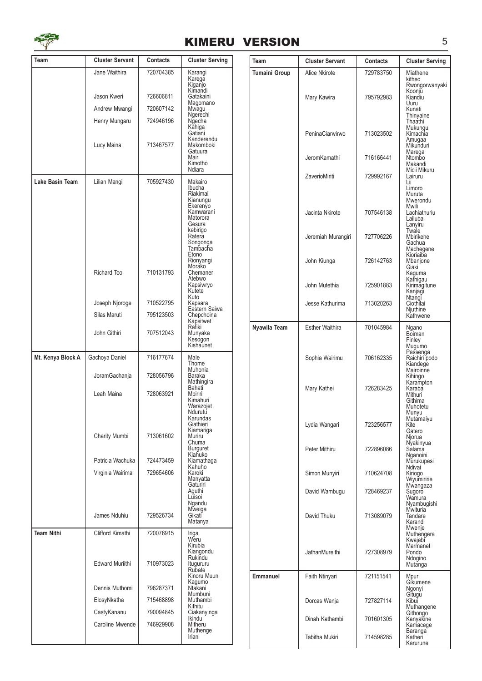

#### KIMERU VERSION 5

| Team              | <b>Cluster Servant</b>                     | Contacts               | <b>Cluster Serving</b>                                                           | Team                 | <b>Cluster Servant</b> | <b>Contacts</b> | <b>Cluster Serving</b>                                                |
|-------------------|--------------------------------------------|------------------------|----------------------------------------------------------------------------------|----------------------|------------------------|-----------------|-----------------------------------------------------------------------|
|                   | Jane Waithira                              | 720704385              | Karangi<br>Karega                                                                | <b>Tumaini Group</b> | Alice Nkirote          | 729783750       | Miathene<br>kitheo                                                    |
|                   | Jason Kweri<br>Andrew Mwangi               | 726606811<br>720607142 | Kiganjo<br>Kimandi<br>Gatakaini<br>Magomano<br>Mwagu                             |                      | Mary Kawira            | 795792983       | Rwongorwanyaki<br>Koonju<br>Kiandiu<br>Uuru<br>Kunati                 |
|                   | Henry Mungaru                              | 724946196              | Ngerechi<br>Ngecha                                                               |                      |                        |                 | Thinyaine<br>Thaathi                                                  |
|                   | Lucy Maina                                 | 713467577              | Kahiga<br>Gatiani<br>Kanderendu<br>Makomboki                                     |                      | PeninaCiarwirwo        | 713023502       | Mukungu<br>Kimachia<br>Amugaa<br>Mikunduri                            |
|                   |                                            |                        | Gatuura<br>Mairi<br>Kimotho<br>Ndiara                                            |                      | JeromKamathi           | 716166441       | Marega<br>Ntombo<br>Makandi<br>Micii Mikuru                           |
| Lake Basin Team   | Lilian Mangi                               | 705927430              | Makairo<br>Ibucha                                                                |                      | ZaverioMiriti          | 729992167       | Lairuru<br>Lii<br>Limoro                                              |
|                   |                                            |                        | Riakimai<br>Kianungu<br>Ekerenÿo<br>Kamwarani<br>Matorora<br>Gesura              |                      | Jacinta Nkirote        | 707546138       | Muruta<br>Mwerondu<br>Mwili<br>Lachiathuriu<br>Lailuba<br>Lanyiru     |
|                   |                                            |                        | kebirigo<br>Ratera<br>Songonga<br>Tambacha                                       |                      | Jeremiah Murangiri     | 727706226       | Twale<br>Mbirikene<br>Gachua<br>Machegene<br>Kioriaiba                |
|                   | Richard Too                                | 710131793              | Etono<br>Rionyangi<br>Morako<br>Chemaner                                         |                      | John Kiunga            | 726142763       | Mbanjone<br>Giaki<br>Kaguma                                           |
|                   |                                            |                        | Atebwo<br>Kapsiwryo<br>Kutete                                                    |                      | John Mutethia          | 725901883       | Kathigau<br>Kirimagitune<br>Kanjagi                                   |
|                   | Joseph Njoroge                             | 710522795              | Kuto<br>Kapsara<br>Eastern Saiwa                                                 |                      | Jesse Kathurima        | 713020263       | Ntangi<br>Ciothilai                                                   |
|                   | Silas Maruti                               | 795123503              | Chepchoina<br>Kapsitwet                                                          |                      |                        |                 | Njuthine<br>Kathwene                                                  |
|                   | John Githiri                               | 707512043              | Rafiki<br>Munyaka<br>Kesogon<br>Kishaunet                                        | Nyawila Team         | <b>Esther Waithira</b> | 701045984       | Ngano<br>Boiman<br>Finley<br>Mugumo                                   |
| Mt. Kenya Block A | Gachoya Daniel                             | 716177674              | Male<br>Thome<br>Muhonia                                                         |                      | Sophia Wairimu         | 706162335       | Passenga<br>Raichiri podo<br>Kiandege<br>Mairoinne                    |
|                   | JoramGachanja<br>Leah Maina                | 728056796<br>728063921 | Baraka<br>Mathingira<br>Bahati<br>Mbiriri                                        |                      | Mary Kathei            | 726283425       | Kihingo<br>Karampton<br>Karaba<br>Mithuri                             |
|                   | <b>Charity Mumbi</b>                       | 713061602              | Kimahuri<br>Warazojet<br>Ndurutu<br>Karundas<br>Giathieri<br>Kiamariga<br>Muriru |                      | Lydia Wangari          | 723256577       | Githima<br>Muhotetu<br>Munyu<br>Mutamaiyu<br>Kite<br>Gatero<br>Njorua |
|                   | Patricia Wachuka                           | 724473459              | Chuma<br><b>Burguret</b><br>Kiahuko<br>Kiamathaga                                |                      | Peter Mithiru          | 722896086       | Nyakinyua<br>Sálamá<br>Nganoini<br>Murukupesi                         |
|                   | Virginia Wairima                           | 729654606              | Kahuho<br>Karoki<br>Manyatta<br>Gaturiri                                         |                      | Simon Munyiri          | 710624708       | Ndivai<br>Kiriogo<br>Wiyumiririe<br>Mwangaza                          |
|                   |                                            |                        | Aguthi<br>Luisoi<br>Ngandu                                                       |                      | David Wambugu          | 728469237       | Sugoroi<br>Wamura<br>Nyambugishi<br>Mwituria                          |
|                   | James Nduhiu                               | 729526734              | Mweiga<br>Gikati<br>Matanya                                                      |                      | David Thuku            | 713089079       | Tandare<br>Karandi<br>Mwenje                                          |
| <b>Team Nithi</b> | Clifford Kimathi<br><b>Edward Muriithi</b> | 720076915<br>710973023 | Iriga<br>Weru<br>Kirubia<br>Kiangondu<br>Rukindu<br>Itugururu                    |                      | JathanMureithi         | 727308979       | Muthengera<br>Kwajebi<br>Marmanet<br>Pondo<br>Ndogino<br>Mutanga      |
|                   |                                            |                        | Rubate<br>Kinoru Muuni                                                           | Emmanuel             | Faith Ntinyari         | 721151541       | Mpuri                                                                 |
|                   | Dennis Muthomi                             | 796287371              | Kagumo<br>Ntakani                                                                |                      |                        |                 | Gíkumene<br>Ngonyi                                                    |
|                   | ElosyNkatha                                | 715468898              | Mumbuni<br>Muthambi                                                              |                      | Dorcas Wanja           | 727827114       | Gitugu<br>Kibul                                                       |
|                   | CastyKananu                                | 790094845              | Kithitu<br>Ciakanyinga                                                           |                      |                        |                 | Muthangene<br>Githongo                                                |
|                   | Caroline Mwende                            | 746929908              | <b>Ikindu</b><br>Mitheru                                                         |                      | Dinah Kathambi         | 701601305       | Kanyakine<br>Kamacege                                                 |
|                   |                                            |                        | Muthenge<br>Iriani                                                               |                      | Tabitha Mukiri         | 714598285       | Baranga<br>Katheri<br>Karurune                                        |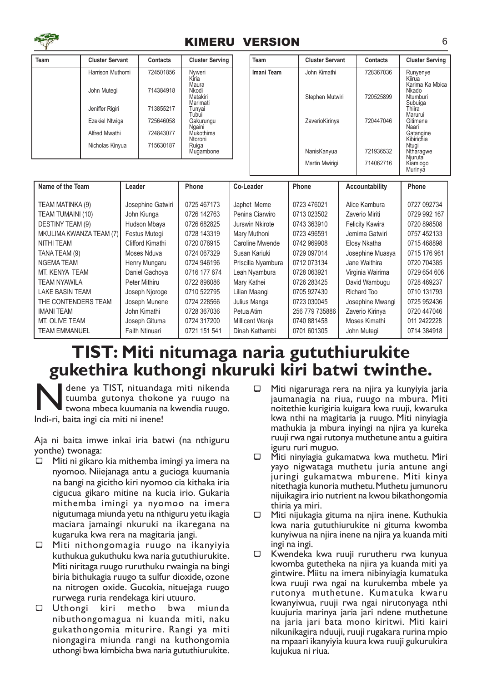

#### KIMERU VERSION 6

| Team | <b>Cluster Servant</b> | <b>Contacts</b> | <b>Cluster Serving</b>         |
|------|------------------------|-----------------|--------------------------------|
|      | Harrison Muthomi       | 724501856       | Nyweri<br>Kíria<br>Maura       |
|      | John Mutegi            | 714384918       | Nkodi<br>Matakiri              |
|      | Jeniffer Rigiri        | 713855217       | Marimati<br>Tunyai<br>Tubui    |
|      | Ezekiel Ntwiga         | 725646058       | Gakurungu                      |
|      | Alfred Mwathi          | 724843077       | Ngaini<br>Mukothima<br>Ntoroni |
|      | Nicholas Kinyua        | 715630187       | Ruiga<br>Mugambone             |

| Team       | <b>Cluster Servant</b> | Contacts  | <b>Cluster Serving</b>                                |
|------------|------------------------|-----------|-------------------------------------------------------|
| Imani Team | John Kimathi           | 728367036 | Runyenye<br>Kiirua<br>Karima Ka Mbica<br>Nkado        |
|            | Stephen Mutwiri        | 720525899 | Ntumburi<br>Subuiga<br>Thiira<br>Marurui              |
|            | ZaverioKirinya         | 720447046 | Gitimene<br>Naari<br>Gatangine<br>Kibirichia<br>Ntuai |
|            | NanisKanyua            | 721936532 | Ntharagwe<br>Niuruta                                  |
|            | Martin Mwirigi         | 714062716 | Kiamiogo<br>Murinya                                   |

| Name of the Team         | Leader            | Phone        | Co-Leader          | Phone          | Accountability         | Phone        |
|--------------------------|-------------------|--------------|--------------------|----------------|------------------------|--------------|
| TEAM MATINKA (9)         | Josephine Gatwiri | 0725 467173  | Japhet Meme        | 0723 476021    | Alice Kambura          | 0727 092734  |
| <b>TEAM TUMAINI (10)</b> | John Kiunga       | 0726 142763  | Penina Ciarwiro    | 0713 023502    | Zaverio Miriti         | 0729 992 167 |
| DESTINY TEAM (9)         | Hudson Mbaya      | 0726 682825  | Jurswin Nkirote    | 0743 363910    | <b>Felicity Kawira</b> | 0720 898508  |
| MKULIMA KWANZA TEAM (7)  | Festus Mutegi     | 0728 143319  | Mary Muthoni       | 0723 496591    | Jemima Gatwiri         | 0757 452133  |
| NITHI TEAM               | Clifford Kimathi  | 0720 076915  | Caroline Mwende    | 0742 969908    | Elosy Nkatha           | 0715 468898  |
| TANA TEAM (9)            | Moses Nduva       | 0724 067329  | Susan Kariuki      | 0729 097014    | Josephine Muasya       | 0715 176 961 |
| NGEMA TEAM               | Henry Mungaru     | 0724 946196  | Priscilla Nyambura | 0712 073134    | Jane Waithira          | 0720 704385  |
| MT. KENYA TEAM           | Daniel Gachoya    | 0716 177 674 | Leah Nyambura      | 0728 063921    | Virginia Wairima       | 0729 654 606 |
| TEAM NYAWILA             | Peter Mithiru     | 0722 896086  | Mary Kathei        | 0726 283425    | David Wambugu          | 0728 469237  |
| LAKE BASIN TEAM          | Joseph Njoroge    | 0710 522795  | Lilian Maangi      | 0705 927430    | Richard Too            | 0710 131793  |
| THE CONTENDERS TEAM      | Joseph Munene     | 0724 228566  | Julius Manga       | 0723 030045    | Josephine Mwangi       | 0725 952436  |
| <b>IMANI TEAM</b>        | John Kimathi      | 0728 367036  | Petua Atim         | 256 779 735886 | Zaverio Kirinya        | 0720 447046  |
| MT. OLIVE TEAM           | Joseph Gituma     | 0724 317200  | Millicent Wanja    | 0740 881458    | Moses Kimathi          | 011 2422228  |
| TEAM EMMANUEL            | Faith Ntinuari    | 0721 151 541 | Dinah Kathambi     | 0701 601305    | John Mutegi            | 0714 384918  |

#### TIST: Miti nitumaga naria gututhiurukite gukethira kuthongi nkuruki kiri batwi twinthe.

Mene ya TIST, nituanda<br>
tuumba gutonya thoko<br>
twona mbeca kuumania n<br>
Indi-ri, baita ingi cia miti ni inene! dene ya TIST, nituandaga miti nikenda tuumba gutonya thokone ya ruugo na twona mbeca kuumania na kwendia ruugo.

Aja ni baita imwe inkai iria batwi (na nthiguru yonthe) twonaga:

- $\Box$  Miti ni gikaro kia mithemba imingi ya imera na nyomoo. Niiejanaga antu a gucioga kuumania na bangi na gicitho kiri nyomoo cia kithaka iria cigucua gikaro mitine na kucia irio. Gukaria mithemba imingi ya nyomoo na imera nigutumaga miunda yetu na nthiguru yetu ikagia maciara jamaingi nkuruki na ikaregana na kugaruka kwa rera na magitaria jangi.
- $\Box$  Miti nithongomagia ruugo na ikanyiyia kuthukua gukuthuku kwa naria gututhiurukite. Miti niritaga ruugo ruruthuku rwaingia na bingi biria bithukagia ruugo ta sulfur dioxide, ozone na nitrogen oxide. Gucokia, nituejaga ruugo rurwega ruria rendekaga kiri utuuro.
- ¾ Uthongi kiri metho bwa miunda nibuthongomagua ni kuanda miti, naku gukathongomia miturire. Rangi ya miti niongagira miunda rangi na kuthongomia uthongi bwa kimbicha bwa naria gututhiurukite.
- $\Box$  Miti nigaruraga rera na njira ya kunyiyia jaria jaumanagia na riua, ruugo na mbura. Miti noitethie kurigiria kuigara kwa ruuji, kwaruka kwa nthi na magitaria ja ruugo. Miti ninyiagia mathukia ja mbura inyingi na njira ya kureka ruuji rwa ngai rutonya muthetune antu a guitira iguru ruri muguo.
- $\Box$  Miti ninyiagia gukamatwa kwa muthetu. Miri yayo nigwataga muthetu juria antune angi juringi gukamatwa mburene. Miti kinya nitethagia kunoria muthetu. Muthetu jumunoru nijuikagira irio nutrient na kwou bikathongomia thiria ya miri.
- $\Box$  Miti nijukagia gituma na njira inene. Kuthukia kwa naria gututhiurukite ni gituma kwomba kunyiwua na njira inene na njira ya kuanda miti ingi na ingi.
- $\Box$  Kwendeka kwa ruuji rurutheru rwa kunyua kwomba gutetheka na njira ya kuanda miti ya gintwire. Miitu na imera nibinyiagia kumatuka kwa ruuji rwa ngai na kurukemba mbele ya rutonya muthetune. Kumatuka kwaru kwanyiwua, ruuji rwa ngai nirutonyaga nthi kuujuria marinya jaria jari ndene muthetune na jaria jari bata mono kiritwi. Miti kairi nikunikagira nduuji, ruuji rugakara rurina mpio na mpaari ikanyiyia kuura kwa ruuji gukurukira kujukua ni riua.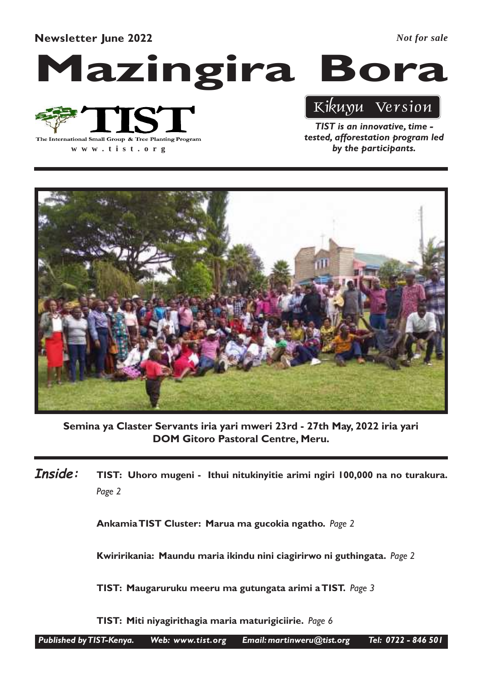Newsletter June 2022

*Not for sale*

# Mazingira Bora



**www .tist.org**

TIST is an innovative, time tested, afforestation program led by the participants.

Kikuyu Version



Semina ya Claster Servants iria yari mweri 23rd - 27th May, 2022 iria yari DOM Gitoro Pastoral Centre, Meru.

TIST: Uhoro mugeni - Ithui nitukinyitie arimi ngiri 100,000 na no turakura. Page 2 Inside:

Ankamia TIST Cluster: Marua ma gucokia ngatho. Page 2

Kwiririkania: Maundu maria ikindu nini ciagirirwo ni guthingata. Page 2

TIST: Maugaruruku meeru ma gutungata arimi a TIST. Page 3

TIST: Miti niyagirithagia maria maturigiciirie. Page 6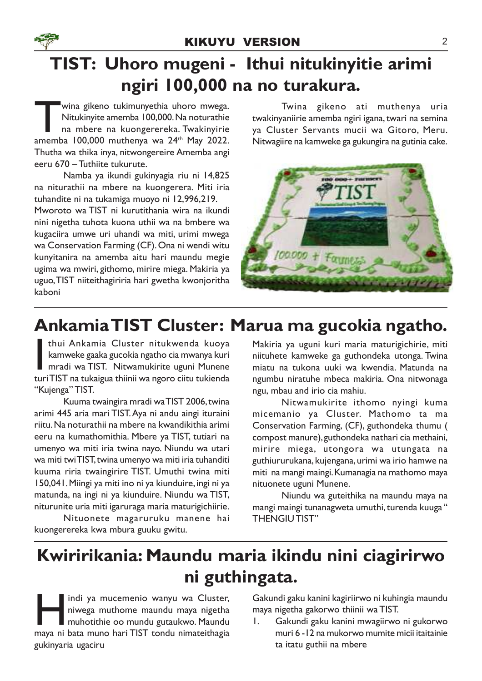## TIST: Uhoro mugeni - Ithui nitukinyitie arimi ngiri 100,000 na no turakura.

wina gikeno tukimunyethia uhoro mwega.<br>
Nitukinyite amemba 100,000. Na noturathie<br>
na mbere na kuongerereka. Twakinyirie<br>
amemba 100,000 muthenya wa 24<sup>th</sup> May 2022. wina gikeno tukimunyethia uhoro mwega. Nitukinyite amemba 100,000. Na noturathie na mbere na kuongerereka. Twakinyirie Thutha wa thika inya, nitwongereire Amemba angi eeru 670 – Tuthiite tukurute.

Namba ya ikundi gukinyagia riu ni 14,825 na niturathii na mbere na kuongerera. Miti iria tuhandite ni na tukamiga muoyo ni 12,996,219. Mworoto wa TIST ni kurutithania wira na ikundi

nini nigetha tuhota kuona uthii wa na bmbere wa kugaciira umwe uri uhandi wa miti, urimi mwega wa Conservation Farming (CF). Ona ni wendi witu kunyitanira na amemba aitu hari maundu megie ugima wa mwiri, githomo, mirire miega. Makiria ya uguo, TIST niiteithagiriria hari gwetha kwonjoritha kaboni

Twina gikeno ati muthenya uria twakinyaniirie amemba ngiri igana, twari na semina ya Cluster Servants mucii wa Gitoro, Meru. Nitwagiire na kamweke ga gukungira na gutinia cake.



## Ankamia TIST Cluster: Marua ma gucokia ngatho.

**II kuli Ankamia Cluster nitukwenda kuoya kamweke gaaka gucokia ngatho cia mwanya kuri mradi wa TIST. Nitwamukirite uguni Munene turi TIST na tukaigua thiinii wa ngoro ciitu tukienda kuri TIST na tukaigua thiinii wa ngoro** thui Ankamia Cluster nitukwenda kuoya kamweke gaaka gucokia ngatho cia mwanya kuri mradi wa TIST. Nitwamukirite uguni Munene "Kujenga" TIST.

Kuuma twaingira mradi wa TIST 2006, twina arimi 445 aria mari TIST. Aya ni andu aingi ituraini riitu. Na noturathii na mbere na kwandikithia arimi eeru na kumathomithia. Mbere ya TIST, tutiari na umenyo wa miti iria twina nayo. Niundu wa utari wa miti twi TIST, twina umenyo wa miti iria tuhanditi kuuma riria twaingirire TIST. Umuthi twina miti 150,041. Miingi ya miti ino ni ya kiunduire, ingi ni ya matunda, na ingi ni ya kiunduire. Niundu wa TIST, niturunite uria miti igaruraga maria maturigichiirie.

Nituonete magaruruku manene hai kuongerereka kwa mbura guuku gwitu.

Makiria ya uguni kuri maria maturigichirie, miti niituhete kamweke ga guthondeka utonga. Twina miatu na tukona uuki wa kwendia. Matunda na ngumbu niratuhe mbeca makiria. Ona nitwonaga ngu, mbau and irio cia mahiu.

Nitwamukirite ithomo nyingi kuma micemanio ya Cluster. Mathomo ta ma Conservation Farming, (CF), guthondeka thumu ( compost manure), guthondeka nathari cia methaini, mirire miega, utongora wa utungata na guthiururukana, kujengana, urimi wa irio hamwe na miti na mangi maingi. Kumanagia na mathomo maya nituonete uguni Munene.

Niundu wa guteithika na maundu maya na mangi maingi tunanagweta umuthi, turenda kuuga " THENGIU TIST"

## Kwiririkania: Maundu maria ikindu nini ciagirirwo ni guthingata.

Indi ya mucemenio wanyu wa Cluster,<br>niwega muthome maundu maya nigetha<br>muhotithie oo mundu gutaukwo. Maundu<br>maya ni bata muno hari TIST tondu nimateithagia indi ya mucemenio wanyu wa Cluster, niwega muthome maundu maya nigetha muhotithie oo mundu gutaukwo. Maundu gukinyaria ugaciru

Gakundi gaku kanini kagiriirwo ni kuhingia maundu maya nigetha gakorwo thiinii wa TIST.

1. Gakundi gaku kanini mwagiirwo ni gukorwo muri 6 -12 na mukorwo mumite micii itaitainie ta itatu guthii na mbere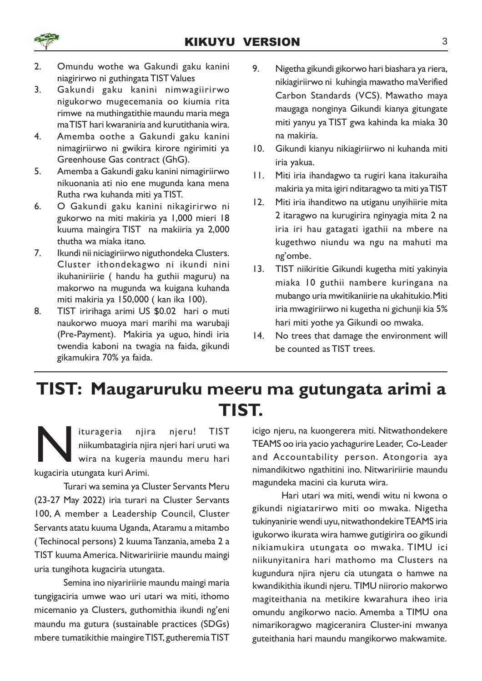

- 2. Omundu wothe wa Gakundi gaku kanini niagirirwo ni guthingata TIST Values
- 3. Gakundi gaku kanini nimwagiirirwo nigukorwo mugecemania oo kiumia rita rimwe na muthingatithie maundu maria mega ma TIST hari kwaraniria and kurutithania wira.
- 4. Amemba oothe a Gakundi gaku kanini nimagiriirwo ni gwikira kirore ngirimiti ya Greenhouse Gas contract (GhG).
- 5. Amemba a Gakundi gaku kanini nimagiriirwo nikuonania ati nio ene mugunda kana mena Rutha rwa kuhanda miti ya TIST.
- 6. O Gakundi gaku kanini nikagirirwo ni gukorwo na miti makiria ya 1,000 mieri 18 kuuma maingira TIST na makiiria ya 2,000 thutha wa miaka itano.
- 7. Ikundi nii niciagiriirwo niguthondeka Clusters. Cluster ithondekagwo ni ikundi nini ikuhaniriirie ( handu ha guthii maguru) na makorwo na mugunda wa kuigana kuhanda miti makiria ya 150,000 ( kan ika 100).
- 8. TIST iririhaga arimi US \$0.02 hari o muti naukorwo muoya mari marihi ma warubaji (Pre-Payment). Makiria ya uguo, hindi iria twendia kaboni na twagia na faida, gikundi gikamukira 70% ya faida.
- 9. Nigetha gikundi gikorwo hari biashara ya riera, nikiagiriirwo ni kuhingia mawatho ma Verified Carbon Standards (VCS). Mawatho maya maugaga nonginya Gikundi kianya gitungate miti yanyu ya TIST gwa kahinda ka miaka 30 na makiria.
- 10. Gikundi kianyu nikiagiriirwo ni kuhanda miti iria yakua.
- 11. Miti iria ihandagwo ta rugiri kana itakuraiha makiria ya mita igiri nditaragwo ta miti ya TIST
- 12. Miti iria ihanditwo na utiganu unyihiirie mita 2 itaragwo na kurugirira nginyagia mita 2 na iria iri hau gatagati igathii na mbere na kugethwo niundu wa ngu na mahuti ma ng'ombe.
- 13. TIST niikiritie Gikundi kugetha miti yakinyia miaka 10 guthii nambere kuringana na mubango uria mwitikaniirie na ukahitukio. Miti iria mwagiriirwo ni kugetha ni gichunji kia 5% hari miti yothe ya Gikundi oo mwaka.
- 14. No trees that damage the environment will be counted as TIST trees.

### TIST: Maugaruruku meeru ma gutungata arimi a TIST.

Iturageria njir<br>
niikumbatagiria nji<br>
kugaciria utungata kuri Arimi. iturageria njira njeru! TIST niikumbatagiria njira njeri hari uruti wa wira na kugeria maundu meru hari

Turari wa semina ya Cluster Servants Meru (23-27 May 2022) iria turari na Cluster Servants 100, A member a Leadership Council, Cluster Servants atatu kuuma Uganda, Ataramu a mitambo ( Techinocal persons) 2 kuuma Tanzania, ameba 2 a TIST kuuma America. Nitwaririirie maundu maingi uria tungihota kugaciria utungata.

Semina ino niyaririirie maundu maingi maria tungigaciria umwe wao uri utari wa miti, ithomo micemanio ya Clusters, guthomithia ikundi ng'eni maundu ma gutura (sustainable practices (SDGs) mbere tumatikithie maingire TIST, gutheremia TIST icigo njeru, na kuongerera miti. Nitwathondekere TEAMS oo iria yacio yachagurire Leader, Co-Leader and Accountability person. Atongoria aya nimandikitwo ngathitini ino. Nitwaririirie maundu magundeka macini cia kuruta wira.

Hari utari wa miti, wendi witu ni kwona o gikundi nigiatarirwo miti oo mwaka. Nigetha tukinyanirie wendi uyu, nitwathondekire TEAMS iria igukorwo ikurata wira hamwe gutigirira oo gikundi nikiamukira utungata oo mwaka. TIMU ici niikunyitanira hari mathomo ma Clusters na kugundura njira njeru cia utungata o hamwe na kwandikithia ikundi njeru. TIMU niirorio makorwo magiteithania na metikire kwarahura iheo iria omundu angikorwo nacio. Amemba a TIMU ona nimarikoragwo magiceranira Cluster-ini mwanya guteithania hari maundu mangikorwo makwamite.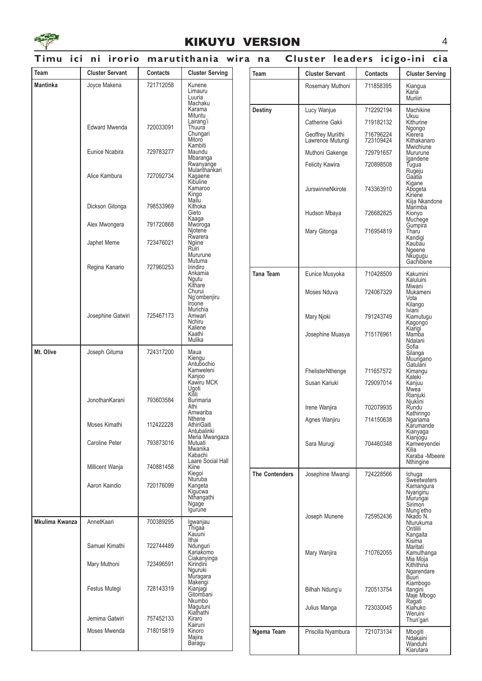

#### KIKUYU VERSION 4

#### Timu ici ni irorio marutithania wira na Cluster leaders icigo-ini cia

| Team            | <b>Cluster Servant</b> | <b>Contacts</b> | <b>Cluster Serving</b>                            | Team                  | <b>Cluster Servant</b>                | <b>Contacts</b>        | <b>Cluster Serving</b>                                         |
|-----------------|------------------------|-----------------|---------------------------------------------------|-----------------------|---------------------------------------|------------------------|----------------------------------------------------------------|
| <b>Mantinka</b> | Joyce Makena           | 721712058       | Kunene<br>Limauru                                 |                       | Rosemary Muthoni                      | 711858395              | Kiangua                                                        |
|                 |                        |                 | Luuria<br>Machaku                                 |                       |                                       |                        | Karia<br>Muriiiri                                              |
|                 |                        |                 | Karama<br>Mituntu                                 | <b>Destiny</b>        | Lucy Wanjue                           | 712292194              | Machikine                                                      |
|                 | <b>Edward Mwenda</b>   | 720033091       | Lairang'i<br>Thuura                               |                       | Catherine Gakii                       | 719182132              | Ukuu<br>Kithurine                                              |
|                 |                        |                 | Chungari<br>Mitoro<br>Kambiti                     |                       | Geoffrey Muriithi<br>Lawrence Mutungi | 716796224<br>723109424 | Ngongo<br>Kierera<br>Kithakanaro<br>Mwichiune                  |
|                 | Eunice Ncabira         | 729783277       | Maundu<br>Mbaranga                                |                       | Muthoni Gakenge                       | 729791657              | Mururune<br>Igandene                                           |
|                 | Alice Kambura          | 727092734       | Rwanyange<br>Mulanthankari<br>Kagaene<br>Kibuline |                       | <b>Felicity Kawira</b>                | 720898508              | Tugua<br>Rugeju<br>Gaatia<br>Kigane                            |
|                 | Dickson Gitonga        | 798533969       | Kamaroo<br>Kingo<br>Mailu<br>Kithoka              |                       | JurswinneNkirote                      | 743363910              | Abogeta<br>Kiriene<br>Kiija Nkandone                           |
|                 |                        |                 | Gieto<br>Kaaga                                    |                       | Hudson Mbaya                          | 726682825              | Marimba<br>Kionyo<br>Muchege                                   |
|                 | Alex Mwongera          | 791720868       | Mworoga<br>Njotene                                |                       | Mary Gitonga                          | 716954819              | Gumpira<br>Tharu                                               |
|                 | Japhet Meme            | 723476021       | Rwarera<br>Ngiine<br>Rūiri<br>Mururune            |                       |                                       |                        | Kandigi<br>Kaubau<br>Ngeene<br>Nkugugu                         |
|                 | Regina Kanario         | 727960253       | Mutuma<br>Irindiro                                |                       |                                       |                        | Gachibene                                                      |
|                 |                        |                 | Ankamia<br>Ngutu<br>Kithare                       | Tana Team             | Eunice Musyoka                        | 710428509              | Kakumini<br>Kaluluini<br>Miwani<br>Mukameni<br>Vota<br>Kilango |
|                 |                        |                 | Churui<br>Ng'ombenjiru<br>Iroone                  |                       | Moses Nduva                           | 724067329              |                                                                |
|                 | Josephine Gatwiri      | 725467173       | Murichia<br>Amwari<br>Nchiru<br>Kaliene           |                       | Mary Njoki                            | 791243749              | Iviani <sup>-</sup><br>Kiamutugu<br>Kagongo                    |
|                 |                        |                 | Kaathi<br>Mulika                                  |                       | Josephine Muasya                      | 715176961              | Kiarigi<br>Mamba<br>Ndalani<br>Sofia                           |
| Mt. Olive       | Joseph Gituma          | 724317200       | Maua<br>Kiengu<br>Antubochio                      |                       |                                       |                        | Silanga<br>Muungano<br>Gatulani                                |
|                 |                        |                 | Kamweleni<br>Kanjoo<br>Kawiru MCK                 |                       | FhelisterNthenge<br>Susan Kariuki     | 711657572<br>729097014 | Kimangu<br>Kateki<br>Kanjuu                                    |
|                 | JonothanKarani         | 793603584       | Ugoti<br>Kilili<br><b>Burimaria</b>               |                       |                                       |                        | Mwea<br>Rianjuki<br>Njukiini                                   |
|                 |                        |                 | Athi<br>Amwariba                                  |                       | Irene Wanjira                         | 702079935              | Rundu<br>Kathiringo                                            |
|                 | Moses Kimathi          | 112422228       | Nthene<br>AthiriGaiti<br>Antubalinki              |                       | Agnes Wanjiru                         | 714150638              | Ngariama<br>Karumande<br>Kianyaga                              |
|                 | Caroline Peter         | 793873016       | Meria Mwangaza<br>Mutuati<br>Mwanika<br>Kabachi   |                       | Sara Murugi                           | 704460348              | Kianjogu<br>Kamweyendei<br>Kilia<br>Karaba -Mbeere             |
|                 | Millicent Wanja        | 740881458       | Laare Social Hall<br>Kiine<br>Kiegoi              | <b>The Contenders</b> | Josephine Mwangi                      | 724228566              | Nthingine<br>Ichuga                                            |
|                 | Aaron Kaindio          | 720176099       | Nturuba<br>Kangeta<br>Kigucwa<br>Nthangathi       |                       |                                       |                        | Sweetwaters<br>Kamangura<br>Nyariginu<br>Murungai              |
|                 |                        |                 | Ngage<br>lgurune                                  |                       | Joseph Munene                         | 725952436              | Sirimon<br>Mung'etho<br>Nkado N.                               |
| Mkulima Kwanza  | AnnetKaari             | 700389295       | Igwanjau<br>Thigaa<br>Kauuni                      |                       |                                       |                        | <b>Nturukuma</b><br>Ontilili<br>Kangaita                       |
|                 | Samuel Kimathi         | 722744489       | Ithai<br>Ndunguri<br>Kariakomo                    |                       | Mary Wanjira                          | 710762055              | Kisima<br>Maritati<br>Kamuthanga                               |
|                 | Mary Muthoni           | 723496591       | Ciakanyinga<br>Kirindini<br>Nguruki<br>Muragara   |                       |                                       |                        | Mia Moja<br>Kithithina<br>Ngarendare<br>Būuri                  |
|                 | Festus Mutegi          | 728143319       | Makengi<br>Kianjagi<br>Gitombani<br>Nkumbo        |                       | Bilhah Ndung'u                        | 720513754              | Kiambogo<br>Itangini<br>Maje Mbogo<br>Ragati<br>Kiahuko        |
|                 | Jemima Gatwiri         | 757452133       | Magutuni<br>Kiathathi<br>Kiraro                   |                       | Julius Manga                          | 723030045              | Weruini<br>Thun'gari                                           |
|                 | Moses Mwenda           | 718015819       | Kairuni<br>Kinoro<br>Majira<br>Baragu             | Ngema Team            | Priscilla Nyambura                    | 721073134              | Mbogiti<br>Ndakaini<br>Wanduhi                                 |
|                 |                        |                 |                                                   |                       |                                       |                        | Kiarutara                                                      |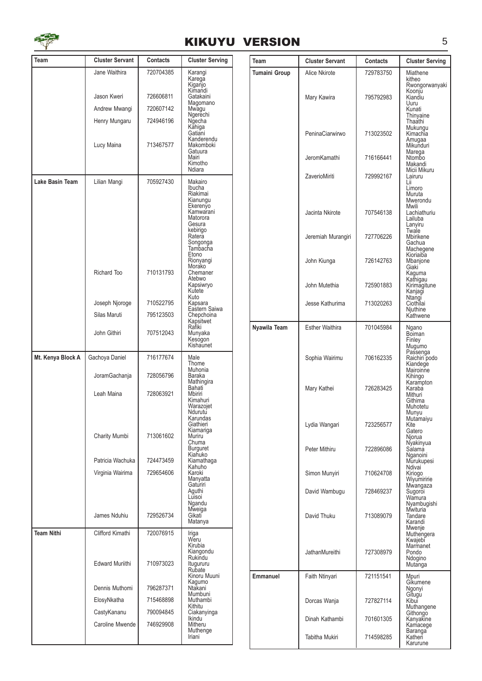

|                   |                                |                        | <b>KIKUYU VERSION</b>                                              |                      |                        |                 | 5                                                            |
|-------------------|--------------------------------|------------------------|--------------------------------------------------------------------|----------------------|------------------------|-----------------|--------------------------------------------------------------|
| Team              | <b>Cluster Servant</b>         | <b>Contacts</b>        | <b>Cluster Serving</b>                                             | Team                 | <b>Cluster Servant</b> | <b>Contacts</b> | <b>Cluster Serving</b>                                       |
|                   | Jane Waithira                  | 720704385              | Karangi<br>Karega<br>Kiganjo                                       | <b>Tumaini Group</b> | Alice Nkirote          | 729783750       | Miathene<br>kitheo                                           |
|                   | Jason Kweri                    | 726606811              | Kimandi<br>Gatakaini<br>Magomano                                   |                      | Mary Kawira            | 795792983       | Rwongorwanyaki<br>Koonju<br>Kiandiu<br>Uuru                  |
|                   | Andrew Mwangi                  | 720607142              | Mwagu<br>Ngerechi                                                  |                      |                        |                 | Kunati<br>Thinyaine                                          |
|                   | Henry Mungaru                  | 724946196              | Ngecha<br>Kahiga<br>Gatiani<br>Kanderendu                          |                      | PeninaCiarwirwo        | 713023502       | Thaathi<br>Mukungu<br>Kimachia<br>Amugaa                     |
|                   | Lucy Maina                     | 713467577              | Makomboki<br>Gatuura<br>Mairi<br>Kimotho                           |                      | JeromKamathi           | 716166441       | Mikunduri<br>Marega<br>Ntombo<br>Makandi                     |
|                   |                                |                        | Ndiara                                                             |                      | ZaverioMiriti          | 729992167       | Micii Mikuru<br>Lairuru                                      |
| Lake Basin Team   | Lilian Mangi                   | 705927430              | Makairo<br>Ibucha<br>Riakimai<br>Kianungu<br>Ekerenyo<br>Kamwarani |                      | Jacinta Nkirote        | 707546138       | Lii<br>Limoro<br>Muruta<br>Mwerondu<br>Mwili<br>Lachiathuriu |
|                   |                                |                        | Matorora<br>Gesura<br>kebirigo                                     |                      |                        |                 | Lailuba<br>Lanyiru<br>Twale                                  |
|                   |                                |                        | Ratera<br>Songonga<br>Tambacha<br>Etono                            |                      | Jeremiah Murangiri     | 727706226       | Mbirikene<br>Gachua<br>Machegene<br>Kioriaiba                |
|                   | Richard Too                    | 710131793              | Rionyangi<br>Morako<br>Chemaner                                    |                      | John Kiunga            | 726142763       | Mbanjone<br>Giaki<br>Kaguma                                  |
|                   |                                |                        | Atebwo<br>Kapsiwryo<br>Kutete                                      |                      | John Mutethia          | 725901883       | Kathigau<br>Kirimagitune<br>Kanjagi                          |
|                   | Joseph Njoroge                 | 710522795              | Kuto<br>Kapsara<br>Eastern Saiwa                                   |                      | Jesse Kathurima        | 713020263       | Ntangi<br>Ciothilai<br>Njuthine                              |
|                   | Silas Maruti                   | 795123503              | Chepchoina<br>Kapsitwet                                            |                      |                        |                 | Kathwene                                                     |
|                   | John Githiri                   | 707512043              | Rafiki<br>Munyaka<br>Kesogon<br>Kishaunet                          | Nyawila Team         | <b>Esther Waithira</b> | 701045984       | Ngano<br>Bõiman<br>Finley<br>Mugumo                          |
| Mt. Kenya Block A | Gachoya Daniel                 | 716177674              | Male<br>Thome<br>Muhonia                                           |                      | Sophia Wairimu         | 706162335       | Passenga<br>Raichiri podo<br>Kiandege<br>Mairoinne           |
|                   | JoramGachanja                  | 728056796              | <b>Baraka</b><br>Mathingira<br>Bahati                              |                      | Mary Kathei            | 726283425       | Kihingo<br>Karampton<br>Karaba                               |
|                   | Leah Maina                     | 728063921              | Mbiriri<br>Kimahuri<br>Warazojet<br>Ndurutu                        |                      |                        |                 | Mithuri<br>Githima<br>Muhotetu<br>Munyu                      |
|                   | Charity Mumbi                  | 713061602              | Karundas<br>Giathieri<br>Kiamariga<br>Muriru                       |                      | Lydia Wangari          | 723256577       | Mutamaiyu<br>Kite<br>Gatero<br>Njorua                        |
|                   |                                |                        | Chuma<br><b>Burguret</b><br>Kiahuko                                |                      | Peter Mithiru          | 722896086       | Nyakinyua<br>Salama<br>Nganoini                              |
|                   | Patricia Wachuka               | 724473459              | Kiamathaga<br>Kahuho                                               |                      |                        |                 | Murukupesi<br>Ndivai                                         |
|                   | Virginia Wairima               | 729654606              | Karoki<br>Manyatta<br>Gaturiri                                     |                      | Simon Munyiri          | 710624708       | Kiriogo<br>Wiyumiririe<br>Mwangaza                           |
|                   |                                |                        | Aguthi<br>Luisoi<br>Ngandu                                         |                      | David Wambugu          | 728469237       | Sugoroi<br>Wamura<br>Nyambugishi                             |
|                   | James Nduhiu                   | 729526734              | Mweiga<br>Gikati<br>Matanya                                        |                      | David Thuku            | 713089079       | Mwituria<br>Tandare<br>Karandi<br>Mwenje                     |
| <b>Team Nithi</b> | Clifford Kimathi               | 720076915              | Iriga<br>Weru<br>Kirubia                                           |                      |                        |                 | Muthengera<br>Kwajebi<br>Marmanet                            |
|                   | <b>Edward Muriithi</b>         | 710973023              | Kiangondu<br>Rukindu<br>Itugururu<br>Rubate                        |                      | JathanMureithi         | 727308979       | Pondo<br>Ndogino<br>Mutanga                                  |
|                   |                                |                        | Kinoru Muuni<br>Kagumo                                             | <b>Emmanuel</b>      | Faith Ntinyari         | 721151541       | Mpuri<br>Gíkumene                                            |
|                   | Dennis Muthomi                 | 796287371              | Ntakani<br>Mumbuni                                                 |                      |                        |                 | Ngonyi<br>Gitugu                                             |
|                   | ElosyNkatha                    | 715468898              | Muthambi<br>Kithitu                                                |                      | Dorcas Wanja           | 727827114       | Kibui<br>Muthangene                                          |
|                   | CastyKananu<br>Caroline Mwende | 790094845<br>746929908 | Ciakanyinga<br>Ikindu<br>Mitheru<br>Muthenge                       |                      | Dinah Kathambi         | 701601305       | Githongo<br>Kanyakine<br>Kamacege<br>Baranga                 |
|                   |                                |                        | Iriani                                                             |                      | Tabitha Mukiri         | 714598285       | Katheri<br>Karurune                                          |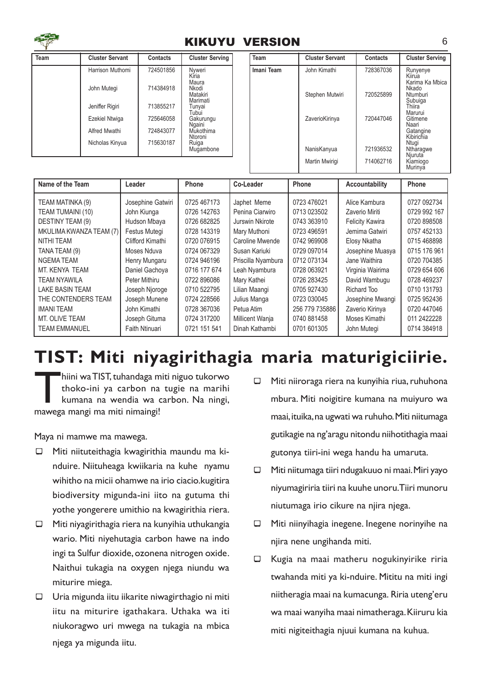

#### KIKUYU VERSION 6

| Team             | <b>Cluster Servant</b> | <b>Contacts</b> | <b>Cluster Serving</b>                 |          | Team       | <b>Cluster Servant</b> | <b>Contacts</b>    | <b>Cluster Serving</b>                |
|------------------|------------------------|-----------------|----------------------------------------|----------|------------|------------------------|--------------------|---------------------------------------|
|                  | Harrison Muthomi       | 724501856       | Nvweri<br>Kiria                        |          | Imani Team | John Kimathi           | 728367036          | Runyenye<br>Kiirua<br>Karima Ka Mbica |
|                  | John Mutegi            | 714384918       | Maura<br>Nkodi<br>Matakiri<br>Marimati |          |            | Stephen Mutwiri        | 720525899          | Nkado<br>Ntumburi<br>Subuiga          |
|                  | Jeniffer Rigiri        | 713855217       | Tunyai<br>Tubui                        |          |            |                        |                    | Thiira<br>Marurui                     |
|                  | <b>Ezekiel Ntwiga</b>  | 725646058       | Gakurungu<br>Ngaini                    |          |            | ZaverioKirinya         | 720447046          | Gitimene<br>Naari                     |
|                  | Alfred Mwathi          | 724843077       | Mukothima<br>Ntoroni                   |          |            |                        |                    | Gatangine<br>Kibirichia               |
|                  | Nicholas Kinyua        | 715630187       | Ruiga<br>Mugambone                     |          |            | NanisKanyua            | 721936532          | Ntugi<br>Ntharagwe<br>Njuruta         |
|                  |                        |                 |                                        |          |            | Martin Mwirigi         | 714062716          | Kiamiogo<br>Murinya                   |
| Nome of the Team | سماممم ا               |                 | <b>Dhann</b>                           | Calendar |            | <b>Dhann</b>           | Annational History | <b>Dhann</b>                          |

| Name of the Team        | Leader            | <b>Phone</b> | Co-Leader          | Phone          | Accountability         | Phone        |
|-------------------------|-------------------|--------------|--------------------|----------------|------------------------|--------------|
| TEAM MATINKA (9)        | Josephine Gatwiri | 0725 467173  | Japhet Meme        | 0723 476021    | Alice Kambura          | 0727 092734  |
| TEAM TUMAINI (10)       | John Kiunga       | 0726 142763  | Penina Ciarwiro    | 0713 023502    | Zaverio Miriti         | 0729 992 167 |
| DESTINY TEAM (9)        | Hudson Mbaya      | 0726 682825  | Jurswin Nkirote    | 0743 363910    | <b>Felicity Kawira</b> | 0720 898508  |
| MKULIMA KWANZA TEAM (7) | Festus Mutegi     | 0728 143319  | Mary Muthoni       | 0723 496591    | Jemima Gatwiri         | 0757 452133  |
| NITHI TEAM              | Clifford Kimathi  | 0720 076915  | Caroline Mwende    | 0742 969908    | Elosy Nkatha           | 0715 468898  |
| TANA TEAM (9)           | Moses Nduva       | 0724 067329  | Susan Kariuki      | 0729 097014    | Josephine Muasya       | 0715 176 961 |
| NGEMA TEAM              | Henry Mungaru     | 0724 946196  | Priscilla Nyambura | 0712 073134    | Jane Waithira          | 0720 704385  |
| MT. KENYA TEAM          | Daniel Gachoya    | 0716 177 674 | Leah Nyambura      | 0728 063921    | Virginia Wairima       | 0729 654 606 |
| TEAM NYAWILA            | Peter Mithiru     | 0722 896086  | Mary Kathei        | 0726 283425    | David Wambugu          | 0728 469237  |
| <b>LAKE BASIN TEAM</b>  | Joseph Njoroge    | 0710 522795  | Lilian Maangi      | 0705 927430    | Richard Too            | 0710 131793  |
| THE CONTENDERS TEAM     | Joseph Munene     | 0724 228566  | Julius Manga       | 0723 030045    | Josephine Mwangi       | 0725 952436  |
| <b>IMANI TEAM</b>       | John Kimathi      | 0728 367036  | Petua Atim         | 256 779 735886 | Zaverio Kirinya        | 0720 447046  |
| MT. OLIVE TEAM          | Joseph Gituma     | 0724 317200  | Millicent Wanja    | 0740 881458    | Moses Kimathi          | 011 2422228  |
| <b>TEAM EMMANUEL</b>    | Faith Ntinuari    | 0721 151 541 | Dinah Kathambi     | 0701 601305    | John Mutegi            | 0714 384918  |

## TIST: Miti niyagirithagia maria maturigiciirie.

hiini wa TIST, tuhandaga m<br>thoko-ini ya carbon na<br>kumana na wendia wa (<br>mawega mangi ma miti nimaingi! hiini wa TIST, tuhandaga miti niguo tukorwo thoko-ini ya carbon na tugie na marihi kumana na wendia wa carbon. Na ningi,

Maya ni mamwe ma mawega.

- $\Box$  Miti niituteithagia kwagirithia maundu ma kinduire. Niituheaga kwiikaria na kuhe nyamu wihitho na micii ohamwe na irio ciacio.kugitira biodiversity migunda-ini iito na gutuma thi yothe yongerere umithio na kwagirithia riera.
- $\Box$  Miti niyagirithagia riera na kunyihia uthukangia wario. Miti niyehutagia carbon hawe na indo ingi ta Sulfur dioxide, ozonena nitrogen oxide. Naithui tukagia na oxygen njega niundu wa miturire miega.
- $\Box$  Uria migunda iitu iikarite niwagirthagio ni miti iitu na miturire igathakara. Uthaka wa iti niukoragwo uri mwega na tukagia na mbica njega ya migunda iitu.
- $\Box$  Miti niiroraga riera na kunyihia riua, ruhuhona mbura. Miti noigitire kumana na muiyuro wa maai, ituika, na ugwati wa ruhuho. Miti niitumaga gutikagie na ng'aragu nitondu niihotithagia maai gutonya tiiri-ini wega handu ha umaruta.
- $\Box$  Miti niitumaga tiiri ndugakuuo ni maai. Miri yayo niyumagiriria tiiri na kuuhe unoru.Tiiri munoru niutumaga irio cikure na njira njega.
- $\Box$  Miti niinyihagia inegene. Inegene norinyihe na njira nene ungihanda miti.
- ¾ Kugia na maai matheru nogukinyirike riria twahanda miti ya ki-nduire. Mititu na miti ingi niitheragia maai na kumacunga. Riria uteng'eru wa maai wanyiha maai nimatheraga. Kiiruru kia miti nigiteithagia njuui kumana na kuhua.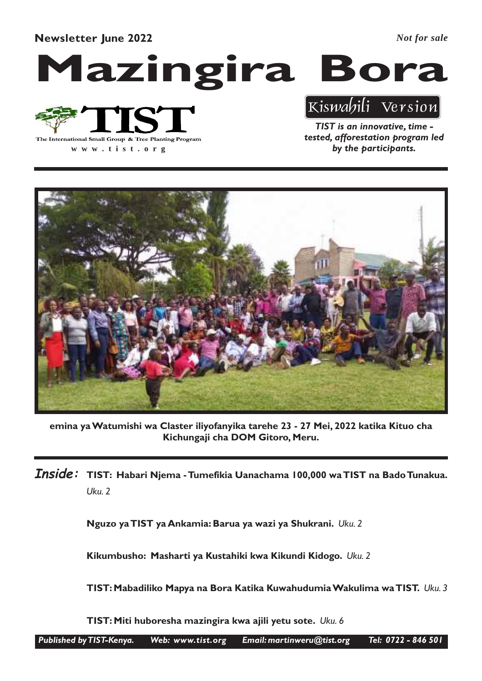Newsletter June 2022

*Not for sale*

# Mazingira Bora



**www .tist.org**

TIST is an innovative, time tested, afforestation program led by the participants.

Kiswahili Version



emina ya Watumishi wa Claster iliyofanyika tarehe 23 - 27 Mei, 2022 katika Kituo cha Kichungaji cha DOM Gitoro, Meru.

 $\bm{Inside:}\;$  TIST: Habari Njema - Tumefikia Uanachama 100,000 wa<code>TIST</code> na Bado<code>Tunakua.</code> Uku. 2

Nguzo ya TIST ya Ankamia: Barua ya wazi ya Shukrani. Uku. 2

Kikumbusho: Masharti ya Kustahiki kwa Kikundi Kidogo. Uku. 2

TIST: Mabadiliko Mapya na Bora Katika Kuwahudumia Wakulima wa TIST. Uku. 3

TIST: Miti huboresha mazingira kwa ajili yetu sote. Uku. 6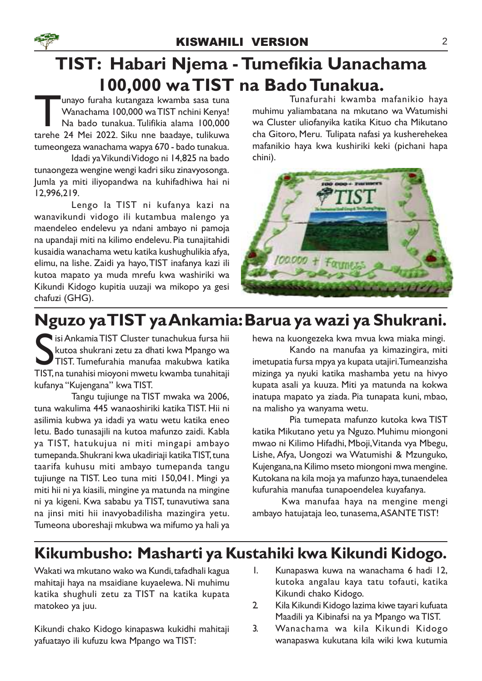## TIST: Habari Njema - Tumefikia Uanachama 100,000 wa TIST na Bado Tunakua.

Tarehe 24 Mei 2022. Siku nne baadaye, tulikuwa<br>tarehe 24 Mei 2022. Siku nne baadaye, tulikuwa<br>tarehe 24 Mei 2022. Siku nne baadaye, tulikuwa unayo furaha kutangaza kwamba sasa tuna Wanachama 100,000 wa TIST nchini Kenya! Na bado tunakua. Tulifikia alama 100,000 tumeongeza wanachama wapya 670 - bado tunakua.

Idadi ya Vikundi Vidogo ni 14,825 na bado tunaongeza wengine wengi kadri siku zinavyosonga. Jumla ya miti iliyopandwa na kuhifadhiwa hai ni 12,996,219.

Lengo la TIST ni kufanya kazi na wanavikundi vidogo ili kutambua malengo ya maendeleo endelevu ya ndani ambayo ni pamoja na upandaji miti na kilimo endelevu. Pia tunajitahidi kusaidia wanachama wetu katika kushughulikia afya, elimu, na lishe. Zaidi ya hayo, TIST inafanya kazi ili kutoa mapato ya muda mrefu kwa washiriki wa Kikundi Kidogo kupitia uuzaji wa mikopo ya gesi chafuzi (GHG).

Tunafurahi kwamba mafanikio haya muhimu yaliambatana na mkutano wa Watumishi wa Cluster uliofanyika katika Kituo cha Mikutano cha Gitoro, Meru. Tulipata nafasi ya kusherehekea mafanikio haya kwa kushiriki keki (pichani hapa chini).



## Nguzo ya TIST ya Ankamia: Barua ya wazi ya Shukrani.

Si Ankamia TIST Cluster tunachukua fursa hii kutoa shukrani zetu za dhati kwa Mpango wa TIST. Tumefurahia manufaa makubwa katika TIST, na tunahitaji isi Ankamia TIST Cluster tunachukua fursa hii kutoa shukrani zetu za dhati kwa Mpango wa TIST. Tumefurahia manufaa makubwa katika kufanya "Kujengana" kwa TIST.

Tangu tujiunge na TIST mwaka wa 2006, tuna wakulima 445 wanaoshiriki katika TIST. Hii ni asilimia kubwa ya idadi ya watu wetu katika eneo letu. Bado tunasajili na kutoa mafunzo zaidi. Kabla ya TIST, hatukujua ni miti mingapi ambayo tumepanda. Shukrani kwa ukadiriaji katika TIST, tuna taarifa kuhusu miti ambayo tumepanda tangu tujiunge na TIST. Leo tuna miti 150,041. Mingi ya miti hii ni ya kiasili, mingine ya matunda na mingine ni ya kigeni. Kwa sababu ya TIST, tunavutiwa sana na jinsi miti hii inavyobadilisha mazingira yetu. Tumeona uboreshaji mkubwa wa mifumo ya hali ya

hewa na kuongezeka kwa mvua kwa miaka mingi.

Kando na manufaa ya kimazingira, miti imetupatia fursa mpya ya kupata utajiri. Tumeanzisha mizinga ya nyuki katika mashamba yetu na hivyo kupata asali ya kuuza. Miti ya matunda na kokwa inatupa mapato ya ziada. Pia tunapata kuni, mbao, na malisho ya wanyama wetu.

Pia tumepata mafunzo kutoka kwa TIST katika Mikutano yetu ya Nguzo. Muhimu miongoni mwao ni Kilimo Hifadhi, Mboji,Vitanda vya Mbegu, Lishe, Afya, Uongozi wa Watumishi & Mzunguko, Kujengana, na Kilimo mseto miongoni mwa mengine. Kutokana na kila moja ya mafunzo haya, tunaendelea kufurahia manufaa tunapoendelea kuyafanya.

Kwa manufaa haya na mengine mengi ambayo hatujataja leo, tunasema,ASANTE TIST!

## Kikumbusho: Masharti ya Kustahiki kwa Kikundi Kidogo.

Wakati wa mkutano wako wa Kundi, tafadhali kagua mahitaji haya na msaidiane kuyaelewa. Ni muhimu katika shughuli zetu za TIST na katika kupata matokeo ya juu.

Kikundi chako Kidogo kinapaswa kukidhi mahitaji yafuatayo ili kufuzu kwa Mpango wa TIST:

- 1. Kunapaswa kuwa na wanachama 6 hadi 12, kutoka angalau kaya tatu tofauti, katika Kikundi chako Kidogo.
- 2. Kila Kikundi Kidogo lazima kiwe tayari kufuata Maadili ya Kibinafsi na ya Mpango wa TIST.
- 3. Wanachama wa kila Kikundi Kidogo wanapaswa kukutana kila wiki kwa kutumia

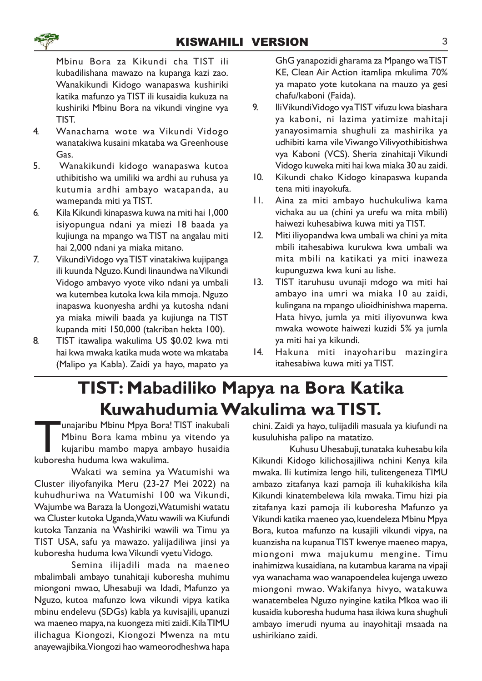

Mbinu Bora za Kikundi cha TIST ili kubadilishana mawazo na kupanga kazi zao. Wanakikundi Kidogo wanapaswa kushiriki katika mafunzo ya TIST ili kusaidia kukuza na kushiriki Mbinu Bora na vikundi vingine vya TIST.

- 4. Wanachama wote wa Vikundi Vidogo wanatakiwa kusaini mkataba wa Greenhouse Gas.
- 5. Wanakikundi kidogo wanapaswa kutoa uthibitisho wa umiliki wa ardhi au ruhusa ya kutumia ardhi ambayo watapanda, au wamepanda miti ya TIST.
- 6. Kila Kikundi kinapaswa kuwa na miti hai 1,000 isiyopungua ndani ya miezi 18 baada ya kujiunga na mpango wa TIST na angalau miti hai 2,000 ndani ya miaka mitano.
- 7. Vikundi Vidogo vya TIST vinatakiwa kujipanga ili kuunda Nguzo. Kundi linaundwa na Vikundi Vidogo ambavyo vyote viko ndani ya umbali wa kutembea kutoka kwa kila mmoja. Nguzo inapaswa kuonyesha ardhi ya kutosha ndani ya miaka miwili baada ya kujiunga na TIST kupanda miti 150,000 (takriban hekta 100).
- 8. TIST itawalipa wakulima US \$0.02 kwa mti hai kwa mwaka katika muda wote wa mkataba (Malipo ya Kabla). Zaidi ya hayo, mapato ya

GhG yanapozidi gharama za Mpango wa TIST KE, Clean Air Action itamlipa mkulima 70% ya mapato yote kutokana na mauzo ya gesi chafu/kaboni (Faida).

- 9. Ili Vikundi Vidogo vya TIST vifuzu kwa biashara ya kaboni, ni lazima yatimize mahitaji yanayosimamia shughuli za mashirika ya udhibiti kama vile Viwango Vilivyothibitishwa vya Kaboni (VCS). Sheria zinahitaji Vikundi Vidogo kuweka miti hai kwa miaka 30 au zaidi.
- 10. Kikundi chako Kidogo kinapaswa kupanda tena miti inayokufa.
- 11. Aina za miti ambayo huchukuliwa kama vichaka au ua (chini ya urefu wa mita mbili) haiwezi kuhesabiwa kuwa miti ya TIST.
- 12. Miti iliyopandwa kwa umbali wa chini ya mita mbili itahesabiwa kurukwa kwa umbali wa mita mbili na katikati ya miti inaweza kupunguzwa kwa kuni au lishe.
- 13. TIST itaruhusu uvunaji mdogo wa miti hai ambayo ina umri wa miaka 10 au zaidi, kulingana na mpango ulioidhinishwa mapema. Hata hivyo, jumla ya miti iliyovunwa kwa mwaka wowote haiwezi kuzidi 5% ya jumla ya miti hai ya kikundi.
- 14. Hakuna miti inayoharibu mazingira itahesabiwa kuwa miti ya TIST.

## TIST: Mabadiliko Mapya na Bora Katika Kuwahudumia Wakulima wa TIST.

Tanajaribu Mbinu Mpya Bora<br>Mbinu Bora kama mbinu<br>kujaribu mambo mapya ar<br>kuboresha huduma kwa wakulima. unajaribu Mbinu Mpya Bora! TIST inakubali Mbinu Bora kama mbinu ya vitendo ya kujaribu mambo mapya ambayo husaidia

Wakati wa semina ya Watumishi wa Cluster iliyofanyika Meru (23-27 Mei 2022) na kuhudhuriwa na Watumishi 100 wa Vikundi, Wajumbe wa Baraza la Uongozi, Watumishi watatu wa Cluster kutoka Uganda, Watu wawili wa Kiufundi kutoka Tanzania na Washiriki wawili wa Timu ya TIST USA, safu ya mawazo. yalijadiliwa jinsi ya kuboresha huduma kwa Vikundi vyetu Vidogo.

Semina ilijadili mada na maeneo mbalimbali ambayo tunahitaji kuboresha muhimu miongoni mwao, Uhesabuji wa Idadi, Mafunzo ya Nguzo, kutoa mafunzo kwa vikundi vipya katika mbinu endelevu (SDGs) kabla ya kuvisajili, upanuzi wa maeneo mapya, na kuongeza miti zaidi. Kila TIMU ilichagua Kiongozi, Kiongozi Mwenza na mtu anayewajibika.Viongozi hao wameorodheshwa hapa

chini. Zaidi ya hayo, tulijadili masuala ya kiufundi na kusuluhisha palipo na matatizo.

Kuhusu Uhesabuji, tunataka kuhesabu kila Kikundi Kidogo kilichosajiliwa nchini Kenya kila mwaka. Ili kutimiza lengo hili, tulitengeneza TIMU ambazo zitafanya kazi pamoja ili kuhakikisha kila Kikundi kinatembelewa kila mwaka.Timu hizi pia zitafanya kazi pamoja ili kuboresha Mafunzo ya Vikundi katika maeneo yao, kuendeleza Mbinu Mpya Bora, kutoa mafunzo na kusajili vikundi vipya, na kuanzisha na kupanua TIST kwenye maeneo mapya, miongoni mwa majukumu mengine. Timu inahimizwa kusaidiana, na kutambua karama na vipaji vya wanachama wao wanapoendelea kujenga uwezo miongoni mwao. Wakifanya hivyo, watakuwa wanatembelea Nguzo nyingine katika Mkoa wao ili kusaidia kuboresha huduma hasa ikiwa kuna shughuli ambayo imerudi nyuma au inayohitaji msaada na ushirikiano zaidi.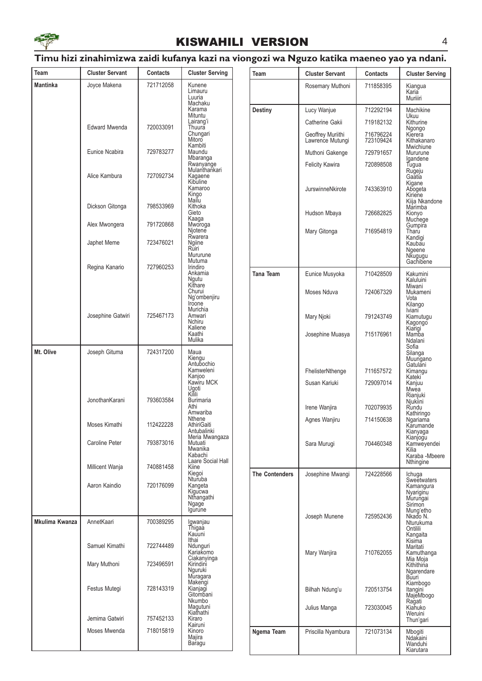

#### KISWAHILI VERSION 4

#### Timu hizi zinahimizwa zaidi kufanya kazi na viongozi wa Nguzo katika maeneo yao ya ndani.

| Team            | <b>Cluster Servant</b> | <b>Contacts</b> | <b>Cluster Serving</b>                                      | Team                  | <b>Cluster Servant</b>                | <b>Contacts</b>        | <b>Cluster Serving</b>                             |
|-----------------|------------------------|-----------------|-------------------------------------------------------------|-----------------------|---------------------------------------|------------------------|----------------------------------------------------|
| <b>Mantinka</b> | Joyce Makena           | 721712058       | Kunene<br>Limauru                                           |                       | Rosemary Muthoni                      | 711858395              | Kiangua<br>Karia                                   |
|                 |                        |                 | Luuria<br>Machaku                                           |                       |                                       |                        | Muriiiri                                           |
|                 |                        |                 | Karama<br>Mituntu                                           | Destiny               | Lucy Wanjue                           | 712292194              | Machikine<br>Ukuu                                  |
|                 | <b>Edward Mwenda</b>   | 720033091       | Lairang'i<br>Thuura                                         |                       | Catherine Gakii                       | 719182132              | Kithurine<br>Ngongo                                |
|                 |                        |                 | Chungari<br>Mitoro<br>Kambiti                               |                       | Geoffrey Muriithi<br>Lawrence Mutungi | 716796224<br>723109424 | Kierera<br>Kithakanaro<br>Mwichiune                |
|                 | Eunice Ncabira         | 729783277       | Maundu<br>Mbaranga                                          |                       | Muthoni Gakenge                       | 729791657              | Mururune<br>Igandene                               |
|                 | Alice Kambura          | 727092734       | Rwanyange<br>Mulanthankari<br>Kagaene                       |                       | <b>Felicity Kawira</b>                | 720898508              | Tugua<br>Rugeju<br>Gaatia                          |
|                 |                        |                 | Kibuline<br>Kamaroo<br>Kingo<br>Mailu                       |                       | JurswinneNkirote                      | 743363910              | Kigane<br>Abogeta<br>Kiriene                       |
|                 | Dickson Gitonga        | 798533969       | Kithoka<br>Gieto<br>Kaaga                                   |                       | Hudson Mbaya                          | 726682825              | Kiija Nkandone<br>Marimba<br>Kionyo<br>Muchege     |
|                 | Alex Mwongera          | 791720868       | Mworoga<br>Njotene                                          |                       | Mary Gitonga                          | 716954819              | Gumpira<br>Tharu                                   |
|                 | Japhet Meme            | 723476021       | Rwarera<br>Ngiine<br>Ruiri                                  |                       |                                       |                        | Kandigi<br>Kaubau<br>Ngeene                        |
|                 |                        |                 | Mururune<br>Mutuma                                          |                       |                                       |                        | Nkugugu<br>Gachibene                               |
|                 | Regina Kanario         | 727960253       | Irindiro<br>Ankamia<br>Ngutu<br>Kithare                     | <b>Tana Team</b>      | Eunice Musyoka                        | 710428509              | Kakumini<br>Kaluluini                              |
|                 |                        |                 | Churui<br>Ng'ombenjiru<br>Iroone                            |                       | Moses Nduva                           | 724067329              | Miwani<br>Mukameni<br>Vota<br>Kilango              |
|                 | Josephine Gatwiri      | 725467173       | Murichia<br>Amwari<br>Nchiru                                |                       | Mary Njoki                            | 791243749              | Iviani <sup>-</sup><br>Kiamutugu<br>Kagongo        |
|                 |                        |                 | Kaliene<br>Kaathi<br>Mulika<br>Maua<br>Kiengu<br>Antubochio |                       | Josephine Muasya                      | 715176961              | Kiarigi<br>Mamba<br>Ndalani<br>Sofia               |
| Mt. Olive       | Joseph Gituma          | 724317200       |                                                             |                       |                                       |                        | Silanga<br>Muungano<br>Gatulani                    |
|                 |                        |                 | Kamweleni<br>Kanjoo                                         |                       | FhelisterNthenge                      | 711657572              | Kimangu<br>Kateki                                  |
|                 |                        |                 | Kawiru MCK<br>Ugoti                                         |                       | Susan Kariuki                         | 729097014              | Kanjuu<br>Mwea                                     |
|                 | JonothanKarani         | 793603584       | Kilili<br><b>Burimaria</b>                                  |                       |                                       |                        | Rianjuki<br>Njukiini                               |
|                 |                        |                 | Athi<br>Amwariba                                            |                       | Irene Wanjira                         | 702079935              | Rundu<br>Kathiringo                                |
|                 | Moses Kimathi          | 112422228       | Nthene<br>AthiriGaiti<br>Antubalinki                        |                       | Agnes Wanjiru                         | 714150638              | Ngariama<br>Karumande<br>Kianyaga                  |
|                 | Caroline Peter         | 793873016       | Meria Mwangaza<br>Mutuati<br>Mwanika<br>Kabachi             |                       | Sara Murugi                           | 704460348              | Kianjogu<br>Kamweyendei<br>Kilia<br>Karaba -Mbeere |
|                 | Millicent Wanja        | 740881458       | Laare Social Hall<br>Kiine<br>Kiegoi                        | <b>The Contenders</b> | Josephine Mwangi                      | 724228566              | <b>Nthingine</b><br>Ichuga                         |
|                 | Aaron Kaindio          | 720176099       | Nturuba<br>Kangeta<br>Kigucwa                               |                       |                                       |                        | <b>Sweetwaters</b><br>Kamangura<br>Nyariginu       |
|                 |                        |                 | Nthangathi<br>Ngage                                         |                       |                                       |                        | Murungai<br>Sirimon                                |
| Mkulima Kwanza  | AnnetKaari             | 700389295       | Igurune<br>Igwanjau                                         |                       | Joseph Munene                         | 725952436              | Mung'etho<br>Nkado N.<br>Nturukuma                 |
|                 |                        |                 | Thigaa<br>Kauuni                                            |                       |                                       |                        | Ontilili<br>Kangaita                               |
|                 | Samuel Kimathi         | 722744489       | Ithai<br>Ndunguri<br>Kariakomo                              |                       | Mary Wanjira                          | 710762055              | Kisima<br>Maritati<br>Kamuthanga                   |
|                 | Mary Muthoni           | 723496591       | Ciakanyinga<br>Kirindini<br>Nguruki<br>Muragara             |                       |                                       |                        | Mia Moja<br>Kithithina<br>Ngarendare<br>Buuri      |
|                 | Festus Mutegi          | 728143319       | Makengi<br>Kianjagi<br>Gitombani                            |                       | Bilhah Ndung'u                        | 720513754              | Kiambogo<br>Itangini<br>MajeMbogo                  |
|                 | Jemima Gatwiri         | 757452133       | Nkumbo<br>Magutuni<br>Kiathathi<br>Kiraro                   |                       | Julius Manga                          | 723030045              | Ragati<br>Kiahuko<br>Weruini                       |
|                 | Moses Mwenda           | 718015819       | Kairuni<br>Kinoro                                           | Ngema Team            | Priscilla Nyambura                    | 721073134              | Thun'gari<br>Mbogiti                               |
|                 |                        |                 | Majira<br>Baragu                                            |                       |                                       |                        | Ndakaini<br>Wanduhi<br>Kiarutara                   |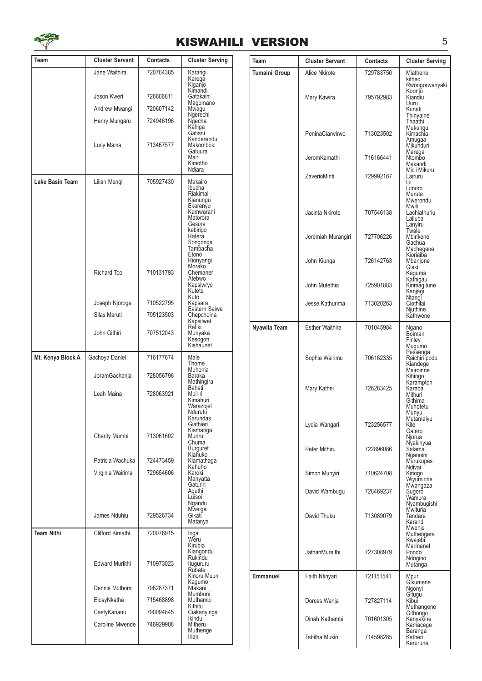

#### KISWAHILI VERSION 5

| Team              | <b>Cluster Servant</b>                     | <b>Contacts</b>        | <b>Cluster Serving</b>                                                  | <b>Team</b>          | <b>Cluster Servant</b> | <b>Contacts</b> | <b>Cluster Serving</b>                                            |
|-------------------|--------------------------------------------|------------------------|-------------------------------------------------------------------------|----------------------|------------------------|-----------------|-------------------------------------------------------------------|
|                   | Jane Waithira                              | 720704385              | Karangi                                                                 | <b>Tumaini Group</b> | Alice Nkirote          | 729783750       | Miathene                                                          |
|                   | Jason Kweri                                | 726606811<br>720607142 | Karega<br>Kiganjo<br>Kimandi<br>Gatakaini<br>Magomano                   |                      | Mary Kawira            | 795792983       | kitheo<br>Rwongorwanyaki<br>Koonju<br>Kiandiu<br>Uuru             |
|                   | Andrew Mwangi                              |                        | Mwagu<br>Ngerechi                                                       |                      |                        |                 | Kunati<br>Thinyaine                                               |
|                   | Henry Mungaru<br>Lucy Maina                | 724946196<br>713467577 | Ngecha<br>Kahiga<br>Gatiani<br>Kanderendu<br>Makomboki                  |                      | PeninaCiarwirwo        | 713023502       | Thaathi<br>Mukungu<br>Kimachia<br>Amugaa<br>Mikunduri             |
|                   |                                            |                        | Gatuura<br>Mairi<br>Kimotho<br>Ndiara                                   |                      | JeromKamathi           | 716166441       | Marega<br>Ntombo<br>Makandi                                       |
| Lake Basin Team   | Lilian Mangi                               | 705927430              | Makairo<br>Ibucha                                                       |                      | ZaverioMiriti          | 729992167       | Micii Mikuru<br>Lairuru<br>Lii<br>Limoro                          |
|                   |                                            |                        | Riakimai<br>Kianungu<br>Ekerenyo<br>Kamwarani<br>Matorora<br>Gesura     |                      | Jacinta Nkirote        | 707546138       | Muruta<br>Mwerondu<br>Mwili<br>Lachiathuriu<br>Lailuba<br>Lanyiru |
|                   |                                            |                        | kebirigo<br>Ratera<br>Songonga<br>Tambacha                              |                      | Jeremiah Murangiri     | 727706226       | Twale<br>Mbirikene<br>Gachua<br>Machegene<br>Kioriaiba            |
|                   | Richard Too                                | 710131793              | Etono<br>Rionyangi<br>Morako<br>Chemaner                                |                      | John Kiunga            | 726142763       | Mbanjone<br>Giaki<br>Kaguma                                       |
|                   |                                            |                        | Atebwo<br>Kapsiwryo<br>Kutete<br>Kuto                                   |                      | John Mutethia          | 725901883       | Kathigau<br>Kirimagitune<br>Kanjagi<br>Ntangi                     |
|                   | Joseph Njoroge                             | 710522795              | Kapsara<br>Eastern Saiwa                                                |                      | Jesse Kathurima        | 713020263       | Ciothilai<br>Njuthine                                             |
|                   | Silas Maruti                               | 795123503              | Chepchoina                                                              |                      |                        |                 | Kathwene                                                          |
|                   | John Githiri                               | 707512043              | Kapsitwet<br>Rafiki<br>Munyaka<br>Kesogon<br>Kishaunet                  | Nyawila Team         | <b>Esther Waithira</b> | 701045984       | Ngano<br>Boiman<br>Finley<br>Mugumo                               |
| Mt. Kenya Block A | Gachoya Daniel                             | 716177674              | Male<br>Thome<br>Muhonia                                                |                      | Sophia Wairimu         | 706162335       | Passenga<br>Raichiri podo<br>Kiandege<br>Mairoinne                |
|                   | JoramGachanja<br>Leah Maina                | 728056796<br>728063921 | Baraka<br>Mathingira<br>Bahati<br>Mbiriri<br>Kimahuri<br>Warazojet      |                      | Mary Kathei            | 726283425       | Kihingo<br>Karampton<br>Karaba<br>Mithuri<br>Githima<br>Muhotetu  |
|                   | Charity Mumbi                              | 713061602              | Ndurutu<br>Karundas<br>Giathieri<br>Kiamariga<br>Muriru                 |                      | Lydia Wangari          | 723256577       | Munyu<br>Mutamaiyu<br>Kite<br>Gatero<br>Njorua                    |
|                   | Patricia Wachuka                           | 724473459              | Chuma<br>Burguret<br>Kiahuko<br>Kiamathaga                              |                      | Peter Mithiru          | 722896086       | Nyakinyua<br>Sálamá<br>Nganoini<br>Murukupesi                     |
|                   | Virginia Wairima                           | 729654606              | Kahuho<br>Karoki<br>Manyatta<br>Gaturiri                                |                      | Simon Munyiri          | 710624708       | Ndivai<br>Kiriogo<br>Wiyumiririe<br>Mwangaza                      |
|                   |                                            |                        | Aguthi<br>Luisoi<br>Ngandu<br>Mweiga                                    |                      | David Wambugu          | 728469237       | Sugoroi<br>Wamura<br>Nyambugishi<br><b>Mwituria</b>               |
|                   | James Nduhiu                               | 729526734              | Gikati<br>Matanya                                                       |                      | David Thuku            | 713089079       | Tandare<br>Karandi<br>Mwenje                                      |
| <b>Team Nithi</b> | Clifford Kimathi<br><b>Edward Muriithi</b> | 720076915<br>710973023 | Iriga<br>Weru<br>Kirubia<br>Kiangondu<br>Rukindu<br>Itugururu<br>Rubate |                      | JathanMureithi         | 727308979       | Muthengera<br>Kwajebi<br>Marmanet<br>Pondo<br>Ndogino<br>Mutanga  |
|                   |                                            |                        | Kinoru Muuni<br>Kagumo                                                  | <b>Emmanuel</b>      | Faith Ntinyari         | 721151541       | Mpuri<br>Gíkumene                                                 |
|                   | Dennis Muthomi                             | 796287371              | Ntakani<br>Mumbuni                                                      |                      |                        |                 | Ngonyi<br>Gitugu                                                  |
|                   | ElosyNkatha                                | 715468898              | Muthambi<br>Kithitu                                                     |                      | Dorcas Wanja           | 727827114       | Kibui<br>Muthangene                                               |
|                   | CastyKananu<br>Caroline Mwende             | 790094845<br>746929908 | Ciakanyinga<br>Ikindu<br>Mitheru                                        |                      | Dinah Kathambi         | 701601305       | Githongo<br>Kanyakine<br>Kamacege                                 |
|                   |                                            |                        | Muthenge<br>Iriani                                                      |                      | Tabitha Mukiri         | 714598285       | <b>Baranga</b><br>Katheri<br>Karurune                             |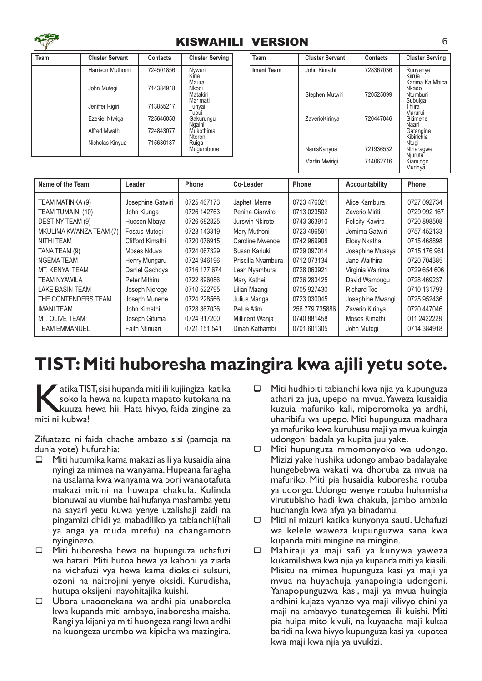

#### KISWAHILI VERSION 6

| Team | <b>Cluster Servant</b> | <b>Contacts</b> | <b>Cluster Serving</b>        | Team       | <b>Cluster Servant</b> | <b>Contacts</b> | <b>Cluster Serving</b>                |
|------|------------------------|-----------------|-------------------------------|------------|------------------------|-----------------|---------------------------------------|
|      | Harrison Muthomi       | 724501856       | Nyweri<br>Kiria<br>Maura      | Imani Team | John Kimathi           | 728367036       | Runyenye<br>Kiirua<br>Karima Ka Mbica |
|      | John Mutegi            | 714384918       | Nkodi<br>Matakiri<br>Marimati |            | Stephen Mutwiri        | 720525899       | Nkado<br>Ntumburi<br>Subuiga          |
|      | Jeniffer Rigiri        | 713855217       | Tunyai<br>Tubui               |            |                        |                 | Thiira<br>Marurui                     |
|      | Ezekiel Ntwiga         | 725646058       | Gakurungu<br>Ngaini           |            | ZaverioKirinya         | 720447046       | Gitimene<br>Naari                     |
|      | Alfred Mwathi          | 724843077       | Mukothima<br>Ntoroni          |            |                        |                 | Gatangine<br>Kibirichia               |
|      | Nicholas Kinyua        | 715630187       | Ruiga<br>Mugambone            |            | NanisKanyua            | 721936532       | Ntugi<br>Ntharagwe<br>Njuruta         |
|      |                        |                 |                               |            | Martin Mwirigi         | 714062716       | Kiamiogo<br>Murinya                   |

| Name of the Team        | Leader            | Phone        | Co-Leader          | Phone          | Accountability         | <b>Phone</b> |
|-------------------------|-------------------|--------------|--------------------|----------------|------------------------|--------------|
| TEAM MATINKA (9)        | Josephine Gatwiri | 0725 467173  | Japhet Meme        | 0723 476021    | Alice Kambura          | 0727 092734  |
| TEAM TUMAINI (10)       | John Kiunga       | 0726 142763  | Penina Ciarwiro    | 0713 023502    | Zaverio Miriti         | 0729 992 167 |
| DESTINY TEAM (9)        | Hudson Mbaya      | 0726 682825  | Jurswin Nkirote    | 0743 363910    | <b>Felicity Kawira</b> | 0720 898508  |
| MKULIMA KWANZA TEAM (7) | Festus Mutegi     | 0728 143319  | Mary Muthoni       | 0723 496591    | Jemima Gatwiri         | 0757 452133  |
| <b>NITHI TEAM</b>       | Clifford Kimathi  | 0720 076915  | Caroline Mwende    | 0742 969908    | Elosy Nkatha           | 0715 468898  |
| TANA TEAM (9)           | Moses Nduva       | 0724 067329  | Susan Kariuki      | 0729 097014    | Josephine Muasya       | 0715 176 961 |
| <b>NGEMATEAM</b>        | Henry Mungaru     | 0724 946196  | Priscilla Nyambura | 0712 073134    | Jane Waithira          | 0720 704385  |
| MT. KENYA TEAM          | Daniel Gachoya    | 0716 177 674 | Leah Nyambura      | 0728 063921    | Virginia Wairima       | 0729 654 606 |
| <b>TEAM NYAWILA</b>     | Peter Mithiru     | 0722 896086  | Mary Kathei        | 0726 283425    | David Wambugu          | 0728 469237  |
| LAKE BASIN TEAM         | Joseph Njoroge    | 0710 522795  | Lilian Maangi      | 0705 927430    | Richard Too            | 0710 131793  |
| THE CONTENDERS TEAM     | Joseph Munene     | 0724 228566  | Julius Manga       | 0723 030045    | Josephine Mwangi       | 0725 952436  |
| <b>IMANI TEAM</b>       | John Kimathi      | 0728 367036  | Petua Atim         | 256 779 735886 | Zaverio Kirinya        | 0720 447046  |
| MT. OLIVE TEAM          | Joseph Gituma     | 0724 317200  | Millicent Wanja    | 0740 881458    | Moses Kimathi          | 011 2422228  |
| <b>TEAM EMMANUEL</b>    | Faith Ntinuari    | 0721 151 541 | Dinah Kathambi     | 0701 601305    | John Mutegi            | 0714 384918  |

## TIST: Miti huboresha mazingira kwa ajili yetu sote.

atika TIS<br>soko la<br>miti ni kubwa! atika TIST, sisi hupanda miti ili kujiingiza katika soko la hewa na kupata mapato kutokana na kuuza hewa hii. Hata hivyo, faida zingine za

Zifuatazo ni faida chache ambazo sisi (pamoja na dunia yote) hufurahia:

- $\Box$  Miti hutumika kama makazi asili ya kusaidia aina nyingi za mimea na wanyama. Hupeana faragha na usalama kwa wanyama wa pori wanaotafuta makazi mitini na huwapa chakula. Kulinda bionuwai au viumbe hai hufanya mashamba yetu na sayari yetu kuwa yenye uzalishaji zaidi na pingamizi dhidi ya mabadiliko ya tabianchi(hali ya anga ya muda mrefu) na changamoto nyinginezo.
- $\Box$  Miti huboresha hewa na hupunguza uchafuzi wa hatari. Miti hutoa hewa ya kaboni ya ziada na vichafuzi vya hewa kama dioksidi sulsuri, ozoni na naitrojini yenye oksidi. Kurudisha, hutupa oksijeni inayohitajika kuishi.
- ¾ Ubora unaoonekana wa ardhi pia unaboreka kwa kupanda miti ambayo, inaboresha maisha. Rangi ya kijani ya miti huongeza rangi kwa ardhi na kuongeza urembo wa kipicha wa mazingira.
- $\Box$  Miti hudhibiti tabianchi kwa njia ya kupunguza athari za jua, upepo na mvua. Yaweza kusaidia kuzuia mafuriko kali, miporomoka ya ardhi, uharibifu wa upepo. Miti hupunguza madhara ya mafuriko kwa kuruhusu maji ya mvua kuingia udongoni badala ya kupita juu yake.
- □ Miti hupunguza mmomonyoko wa udongo. Mizizi yake hushika udongo ambao badalayake hungebebwa wakati wa dhoruba za mvua na mafuriko. Miti pia husaidia kuboresha rotuba ya udongo. Udongo wenye rotuba huhamisha virutubisho hadi kwa chakula, jambo ambalo huchangia kwa afya ya binadamu.
- $\Box$  Miti ni mizuri katika kunyonya sauti. Uchafuzi wa kelele waweza kupunguzwa sana kwa kupanda miti mingine na mingine.
- $\Box$  Mahitaji ya maji safi ya kunywa yaweza kukamilishwa kwa njia ya kupanda miti ya kiasili. Misitu na mimea hupunguza kasi ya maji ya mvua na huyachuja yanapoingia udongoni. Yanapopunguzwa kasi, maji ya mvua huingia ardhini kujaza vyanzo vya maji vilivyo chini ya maji na ambavyo tunategemea ili kuishi. Miti pia huipa mito kivuli, na kuyaacha maji kukaa baridi na kwa hivyo kupunguza kasi ya kupotea kwa maji kwa njia ya uvukizi.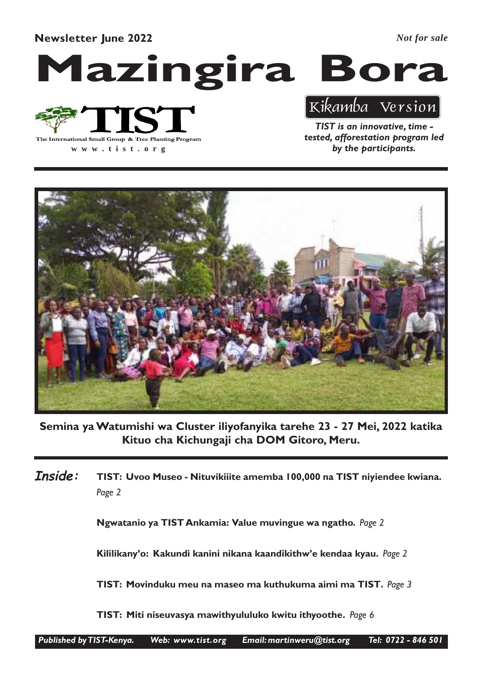Newsletter June 2022

*Not for sale*

# Mazingira Bora



**www .tist.org**

TIST is an innovative, time tested, afforestation program led by the participants.

Kikamba Version



Semina ya Watumishi wa Cluster iliyofanyika tarehe 23 - 27 Mei, 2022 katika Kituo cha Kichungaji cha DOM Gitoro, Meru.

TIST: Uvoo Museo - Nituvikiiite amemba 100,000 na TIST niyiendee kwiana. Page 2 Inside:

Ngwatanio ya TIST Ankamia: Value muvingue wa ngatho. Page 2

Kililikany'o: Kakundi kanini nikana kaandikithw'e kendaa kyau. Page 2

TIST: Movinduku meu na maseo ma kuthukuma aimi ma TIST. Page 3

TIST: Miti niseuvasya mawithyululuko kwitu ithyoothe. Page 6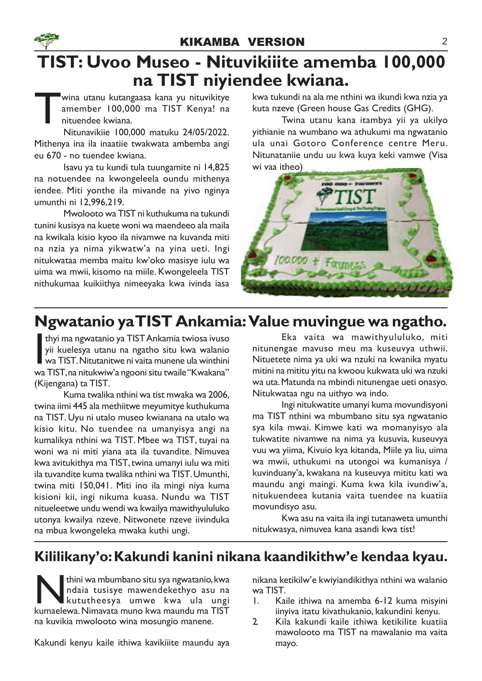### TIST: Uvoo Museo - Nituvikiiite amemba 100,000 na TIST niyiendee kwiana.

T wina utanu kutangaasa kana yu nituvikitye amember 100,000 ma TIST Kenya! na nituendee kwiana.

Nitunavikiie 100,000 matuku 24/05/2022. Mithenya ina ila inaatiie twakwata ambemba angi eu 670 - no tuendee kwiana.

Isavu ya tu kundi tula tuungamite ni 14,825 na notuendee na kwongeleela oundu mithenya iendee. Miti yonthe ila mivande na yivo nginya umunthi ni 12,996,219.

Mwolooto wa TIST ni kuthukuma na tukundi tunini kusisya na kuete woni wa maendeeo ala maila na kwikala kisio kyoo ila nivamwe na kuvanda miti na nzia ya nima yikwatw'a na yina ueti. Ingi nitukwataa memba maitu kw'oko masisye iulu wa uima wa mwii, kisomo na miile. Kwongeleela TIST nithukumaa kuikiithya nimeeyaka kwa ivinda iasa

kwa tukundi na ala me nthini wa ikundi kwa nzia ya kuta nzeve (Green house Gas Credits (GHG).

Twina utanu kana itambya yii ya ukilyo yithianie na wumbano wa athukumi ma ngwatanio ula unai Gotoro Conference centre Meru. Nitunataniie undu uu kwa kuya keki vamwe (Visa wi vaa itheo)



### Ngwatanio yaTIST Ankamia: Value muvingue wa ngatho.

thyi ma ngwatanio ya TIST Ankamia twiosa ivuso<br>yii kuelesya utanu na ngatho situ kwa walanio<br>wa TIST. Nitutanitwe ni vaita munene ula winthini<br>wa TIST, na nitukwiw'a ngooni situ twaile "Kwakana" thyi ma ngwatanio ya TISTAnkamia twiosa ivuso yii kuelesya utanu na ngatho situ kwa walanio wa TIST. Nitutanitwe ni vaita munene ula winthini (Kijengana) ta TIST.

Kuma twalika nthini wa tist mwaka wa 2006, twina iimi 445 ala methiitwe meyumitye kuthukuma na TIST. Uyu ni utalo museo kwianana na utalo wa kisio kitu. No tuendee na umanyisya angi na kumalikya nthini wa TIST. Mbee wa TIST, tuyai na woni wa ni miti yiana ata ila tuvandite. Nimuvea kwa avitukithya ma TIST, twina umanyi iulu wa miti ila tuvandite kuma twalika nthini wa TIST. Umunthi, twina miti 150,041. Miti ino ila mingi niya kuma kisioni kii, ingi nikuma kuasa. Nundu wa TIST nitueleetwe undu wendi wa kwailya mawithyululuko utonya kwailya nzeve. Nitwonete nzeve iivinduka na mbua kwongeleka mwaka kuthi ungi.

Eka vaita wa mawithyululuko, miti nitunengae mavuso meu ma kuseuvya uthwii. Nituetete nima ya uki wa nzuki na kwanika myatu mitini na mititu yitu na kwoou kukwata uki wa nzuki wa uta. Matunda na mbindi nitunengae ueti onasyo. Nitukwataa ngu na uithyo wa indo.

Ingi nitukwatite umanyi kuma movundisyoni ma TIST nthini wa mbumbano situ sya ngwatanio sya kila mwai. Kimwe kati wa momanyisyo ala tukwatite nivamwe na nima ya kusuvia, kuseuvya vuu wa yiima, Kivuio kya kitanda, Miile ya liu, uima wa mwii, uthukumi na utongoi wa kumanisya / kuvinduany'a, kwakana na kuseuvya mititu kati wa maundu angi maingi. Kuma kwa kila ivundiw'a, nitukuendeea kutania vaita tuendee na kuatiia movundisyo asu.

Kwa asu na vaita ila ingi tutanaweta umunthi nitukwasya, nimuvea kana asandi kwa tist!

#### Kililikany'o: Kakundi kanini nikana kaandikithw'e kendaa kyau.

**Kuma** kuma mbumbano situ sya ngwatanio, kwa mdaia tusisye mawendekethyo asu na kututheesya umwe kwa ula ungi kumaelewa. Nimavata muno kwa maundu ma TIST thini wa mbumbano situ sya ngwatanio, kwa ndaia tusisye mawendekethyo asu na kututheesya umwe kwa ula ungi na kuvikia mwolooto wina mosungio manene.

Kakundi kenyu kaile ithiwa kavikiiite maundu aya

nikana ketikilw'e kwiyiandikithya nthini wa walanio wa TIST.

- 1. Kaile ithiwa na amemba 6-12 kuma misyini iinyiva itatu kivathukanio, kakundini kenyu.
- 2. Kila kakundi kaile ithiwa ketikilite kuatiia mawolooto ma TIST na mawalanio ma vaita mayo.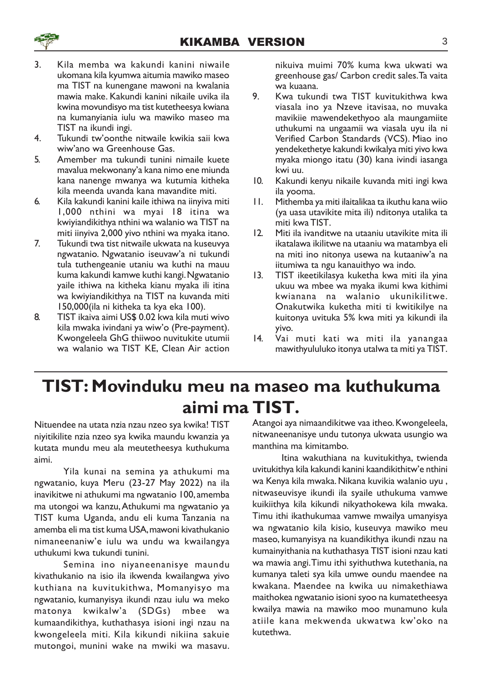- 3. Kila memba wa kakundi kanini niwaile ukomana kila kyumwa aitumia mawiko maseo ma TIST na kunengane mawoni na kwalania mawia make. Kakundi kanini nikaile uvika ila kwina movundisyo ma tist kutetheesya kwiana na kumanyiania iulu wa mawiko maseo ma TIST na ikundi ingi.
- 4. Tukundi tw'oonthe nitwaile kwikia saii kwa wiw'ano wa Greenhouse Gas.
- 5. Amember ma tukundi tunini nimaile kuete mavalua mekwonany'a kana nimo ene miunda kana nanenge mwanya wa kutumia kitheka kila meenda uvanda kana mavandite miti.
- 6. Kila kakundi kanini kaile ithiwa na iinyiva miti 1,000 nthini wa myai 18 itina wa kwiyiandikithya nthini wa walanio wa TIST na miti iinyiva 2,000 yivo nthini wa myaka itano.
- 7. Tukundi twa tist nitwaile ukwata na kuseuvya ngwatanio. Ngwatanio iseuvaw'a ni tukundi tula tuthengeanie utaniu wa kuthi na mauu kuma kakundi kamwe kuthi kangi. Ngwatanio yaile ithiwa na kitheka kianu myaka ili itina wa kwiyiandikithya na TIST na kuvanda miti 150,000(ila ni kitheka ta kya eka 100).
- 8. TIST ikaiva aimi US\$ 0.02 kwa kila muti wivo kila mwaka ivindani ya wiw'o (Pre-payment). Kwongeleela GhG thiiwoo nuvitukite utumii wa walanio wa TIST KE, Clean Air action

nikuiva muimi 70% kuma kwa ukwati wa greenhouse gas/ Carbon credit sales. Ta vaita wa kuaana.

- 9. Kwa tukundi twa TIST kuvitukithwa kwa viasala ino ya Nzeve itavisaa, no muvaka mavikiie mawendekethyoo ala maungamiite uthukumi na ungaamii wa viasala uyu ila ni Verified Carbon Standards (VCS). Miao ino yendekethetye kakundi kwikalya miti yivo kwa myaka miongo itatu (30) kana ivindi iasanga kwi uu.
- 10. Kakundi kenyu nikaile kuvanda miti ingi kwa ila yooma.
- 11. Mithemba ya miti ilaitalikaa ta ikuthu kana wiio (ya uasa utavikite mita ili) nditonya utalika ta miti kwa TIST.
- 12. Miti ila ivanditwe na utaaniu utavikite mita ili ikatalawa ikilitwe na utaaniu wa matambya eli na miti ino nitonya usewa na kutaaniw'a na iitumiwa ta ngu kanauithyo wa indo.
- 13. TIST ikeetikilasya kuketha kwa miti ila yina ukuu wa mbee wa myaka ikumi kwa kithimi kwianana na walanio ukunikilitwe. Onakutwika kuketha miti ti kwitikilye na kuitonya uvituka 5% kwa miti ya kikundi ila yivo.
- 14. Vai muti kati wa miti ila yanangaa mawithyululuko itonya utalwa ta miti ya TIST.

## TIST: Movinduku meu na maseo ma kuthukuma aimi ma TIST.

Nituendee na utata nzia nzau nzeo sya kwika! TIST niyitikilite nzia nzeo sya kwika maundu kwanzia ya kutata mundu meu ala meutetheesya kuthukuma aimi.

Yila kunai na semina ya athukumi ma ngwatanio, kuya Meru (23-27 May 2022) na ila inavikitwe ni athukumi ma ngwatanio 100, amemba ma utongoi wa kanzu,Athukumi ma ngwatanio ya TIST kuma Uganda, andu eli kuma Tanzania na amemba eli ma tist kuma USA, mawoni kivathukanio nimaneenaniw'e iulu wa undu wa kwailangya uthukumi kwa tukundi tunini.

Semina ino niyaneenanisye maundu kivathukanio na isio ila ikwenda kwailangwa yivo kuthiana na kuvitukithwa, Momanyisyo ma ngwatanio, kumanyisya ikundi nzau iulu wa meko matonya kwikalw'a (SDGs) mbee wa kumaandikithya, kuthathasya isioni ingi nzau na kwongeleela miti. Kila kikundi nikiina sakuie mutongoi, munini wake na mwiki wa masavu.

Atangoi aya nimaandikitwe vaa itheo. Kwongeleela, nitwaneenanisye undu tutonya ukwata usungio wa manthina ma kimitambo.

Itina wakuthiana na kuvitukithya, twienda uvitukithya kila kakundi kanini kaandikithitw'e nthini wa Kenya kila mwaka. Nikana kuvikia walanio uyu , nitwaseuvisye ikundi ila syaile uthukuma vamwe kuikiithya kila kikundi nikyathokewa kila mwaka. Timu ithi ikathukumaa vamwe mwailya umanyisya wa ngwatanio kila kisio, kuseuvya mawiko meu maseo, kumanyisya na kuandikithya ikundi nzau na kumainyithania na kuthathasya TIST isioni nzau kati wa mawia angi.Timu ithi syithuthwa kutethania, na kumanya taleti sya kila umwe oundu maendee na kwakana. Maendee na kwika uu nimakethiawa maithokea ngwatanio isioni syoo na kumatetheesya kwailya mawia na mawiko moo munamuno kula atiile kana mekwenda ukwatwa kw'oko na kutethwa.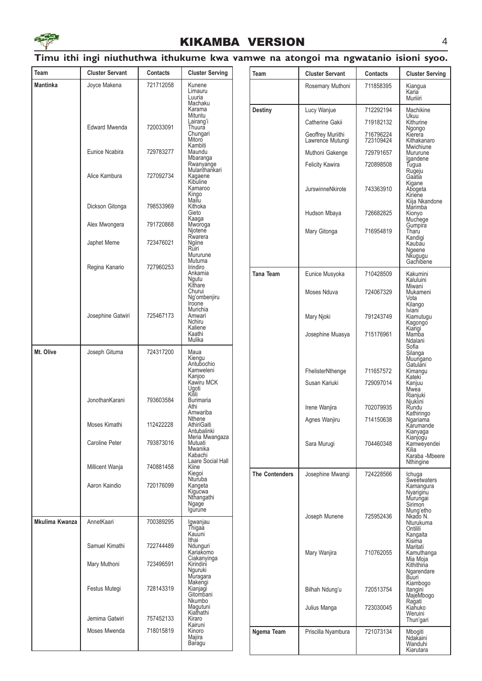

#### Timu ithi ingi niuthuthwa ithukume kwa vamwe na atongoi ma ngwatanio isioni syoo.

| Team           | <b>Cluster Servant</b> | <b>Contacts</b> | <b>Cluster Serving</b>                                                                                                           | Team                  | <b>Cluster Servant</b>                     | Contacts               | <b>Cluster Serving</b>                                                                |  |                                   |                        |
|----------------|------------------------|-----------------|----------------------------------------------------------------------------------------------------------------------------------|-----------------------|--------------------------------------------|------------------------|---------------------------------------------------------------------------------------|--|-----------------------------------|------------------------|
| Mantinka       | Joyce Makena           | 721712058       | Kunene<br>Limauru                                                                                                                |                       | Rosemary Muthoni                           | 711858395              | Kiangua                                                                               |  |                                   |                        |
|                |                        |                 | Luuria<br>Machaku                                                                                                                |                       |                                            |                        | Karia<br>Muriiiri                                                                     |  |                                   |                        |
|                |                        |                 | Karama<br>Mituntu                                                                                                                | <b>Destiny</b>        | Lucy Wanjue                                | 712292194              | Machikine<br>Ukuu                                                                     |  |                                   |                        |
|                | <b>Edward Mwenda</b>   | 720033091       | Lairang'i<br>Thuura                                                                                                              |                       | Catherine Gakii                            | 719182132              | Kithurine                                                                             |  |                                   |                        |
|                |                        |                 | Chungari<br>Mitoro<br>Kambiti                                                                                                    |                       | Geoffrey Muriithi<br>Lawrence Mutungi      | 716796224<br>723109424 | Ngongo<br>Kierera<br>Kithakanaro<br>Mwichiune                                         |  |                                   |                        |
|                | Eunice Ncabira         | 729783277       | Maundu<br>Mbaranga                                                                                                               |                       | Muthoni Gakenge                            | 729791657              | Mururune<br>Igandene                                                                  |  |                                   |                        |
|                | Alice Kambura          | 727092734       | Rwanyange<br>Mulanthankari<br>Kagaene<br>Kibuline<br>Kamaroo                                                                     |                       | <b>Felicity Kawira</b><br>JurswinneNkirote | 720898508<br>743363910 | Tugua<br>Rugeju<br>Gaatia<br>Kigane<br>Abogeta                                        |  |                                   |                        |
|                | Dickson Gitonga        | 798533969       | Kingo<br>Mailu<br>Kithoka<br>Gieto                                                                                               |                       |                                            |                        | Kiriene<br>Kiija Nkandone<br>Marimba                                                  |  |                                   |                        |
|                | Alex Mwongera          | 791720868       | Kaaga<br>Mworoga<br>Njotene                                                                                                      |                       | Hudson Mbaya<br>Mary Gitonga               | 726682825<br>716954819 | Kionyo<br>Muchege<br>Gumpira<br>Tharu                                                 |  |                                   |                        |
|                | Japhet Meme            | 723476021       | Rwarera<br>Ngiine<br>Ruiri<br>Mururune<br>Mutuma                                                                                 |                       |                                            |                        | Kandigi<br>Kaubau<br>Ngeene<br>Nkugugu<br>Gachibene                                   |  |                                   |                        |
|                | Regina Kanario         | 727960253       | Irindiro<br>Ankamia<br>Ngutu                                                                                                     | Tana Team             | Eunice Musyoka                             | 710428509              | Kakumini<br>Kaluluini                                                                 |  |                                   |                        |
|                |                        |                 | Kithare<br>Churui<br>Ng'ombenjiru<br>Iroone                                                                                      |                       | Moses Nduva                                | 724067329              | Miwani<br>Mukameni<br>Vota                                                            |  |                                   |                        |
|                | Josephine Gatwiri      | 725467173       | Murichia<br>Amwari<br>Nchiru<br>Kaliene                                                                                          |                       | Mary Njoki                                 | 791243749              | Kilango<br>Iviani <sup>-</sup><br>Kiamutugu<br>Kagongo                                |  |                                   |                        |
|                |                        |                 | Kaathi<br>Mulika<br>Maua<br>Kiengu<br>Antubochio<br>Kamweleni<br>Kanjoo<br>Kawiru MCK                                            |                       | Josephine Muasya                           | 715176961              | Kiarigi<br>Mamba<br>Ndalani<br>Sofia                                                  |  |                                   |                        |
| Mt. Olive      | Joseph Gituma          | 724317200       |                                                                                                                                  | Ugoti                 |                                            |                        |                                                                                       |  | FhelisterNthenge<br>Susan Kariuki | 711657572<br>729097014 |
|                | JonothanKarani         | 793603584       | Kilili<br><b>Burimaria</b><br>Athi<br>Amwariba                                                                                   |                       | Irene Wanjira                              | 702079935              | Rianjuki<br>Njukiini<br>Rundu                                                         |  |                                   |                        |
|                | Moses Kimathi          | 112422228       | Nthene<br>AthiriGaiti<br>Antubalinki                                                                                             |                       | Agnes Wanjiru                              | 714150638              | Kathiringo<br>Ngariama<br>Karumande<br>Kianyaga                                       |  |                                   |                        |
|                | Caroline Peter         | 793873016       | Meria Mwangaza<br>Mutuati<br>Mwanika<br>Kabachi                                                                                  |                       | Sara Murugi                                | 704460348              | Kianjogu<br>Kamweyendei<br>Kilia<br>Karaba - Mbeere                                   |  |                                   |                        |
|                | Millicent Wanja        | 740881458       | Laare Social Hall<br>Kiine<br>Kiegoi<br>Nturuba                                                                                  | <b>The Contenders</b> | Josephine Mwangi                           | 724228566              | Nthingine<br>Ichuga                                                                   |  |                                   |                        |
|                | Aaron Kaindio          | 720176099       | Kangeta<br>Kigucwa<br>Nthangathi<br>Ngage<br>Igurune                                                                             |                       |                                            |                        | Sweetwaters<br>Kamangura<br>Nyariginu<br>Murungai<br>Sirimon<br>Mung'etho<br>Nkado N. |  |                                   |                        |
| Mkulima Kwanza | AnnetKaari             | 700389295       | Igwanjau<br>Thigaa<br>Kauuni                                                                                                     |                       | Joseph Munene                              | 725952436              | Nturukuma<br>Ontilili<br>Kangaita                                                     |  |                                   |                        |
|                | Samuel Kimathi         | 722744489       | Ithai<br>Ndunguri<br>Kariakomo                                                                                                   |                       | Mary Wanjira                               | 710762055              | Kisima<br>Maritati<br>Kamuthanga                                                      |  |                                   |                        |
|                | Mary Muthoni           | 723496591       | Ciakanyinga<br>Kirindini<br>Nguruki<br>Muragara<br>Makengi<br>Kianjagi<br>Gitombani<br>Nkumbo<br>Magutuni<br>Kiathathi<br>Kiraro |                       |                                            |                        | Mia Moja<br>Kithithina<br>Ngarendare<br>Buuri                                         |  |                                   |                        |
|                | Festus Mutegi          | 728143319       |                                                                                                                                  |                       | Bilhah Ndung'u                             | 720513754              | Kiambogo<br>Itangini<br>MajeMbogo                                                     |  |                                   |                        |
|                | Jemima Gatwiri         | 757452133       |                                                                                                                                  |                       | Julius Manga                               | 723030045              | Ragati<br>Kiahuko<br>Weruini<br>Thun'gari                                             |  |                                   |                        |
|                | Moses Mwenda           | 718015819       | Kairuni<br>Kinoro<br>Majira<br>Baragu                                                                                            | Ngema Team            | Priscilla Nyambura                         | 721073134              | Mbogiti<br>Ndakaini<br>Wanduhi<br>Kiarutara                                           |  |                                   |                        |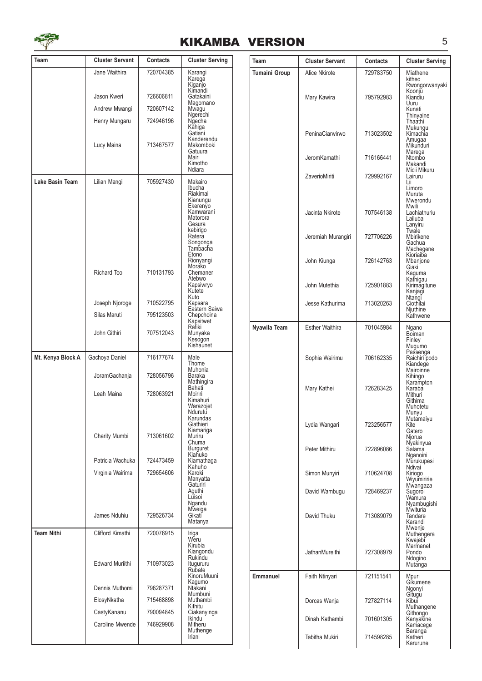

| Team              | <b>Cluster Servant</b> | Contacts  | <b>Cluster Serving</b>                                                                                                                                                 |
|-------------------|------------------------|-----------|------------------------------------------------------------------------------------------------------------------------------------------------------------------------|
|                   | Jane Waithira          | 720704385 | Karangi<br>Karega                                                                                                                                                      |
|                   |                        |           | Kiganjo<br>Kimandi                                                                                                                                                     |
|                   | Jason Kweri            | 726606811 | Gatakaini<br>Magomano                                                                                                                                                  |
|                   | Andrew Mwangi          | 720607142 | Mwagu<br>Ngerechi                                                                                                                                                      |
|                   | Henry Mungaru          | 724946196 | Ngecha<br>Kahiga                                                                                                                                                       |
|                   | Lucy Maina             | 713467577 | Gatiani<br>Kanderendu<br>Makomboki<br>Gatuura<br>Mairi<br>Kimotho<br>Ndiara                                                                                            |
| Lake Basin Team   | Lilian Mangi           | 705927430 | Makairo<br>Ibucha<br>Riakimai<br>Kianungu<br>Ekerenÿo<br>Kamwarani<br>Matorora<br>Gesura<br>kebirigo<br>Rateră<br>Songonga<br>Tambacha<br>Etono<br>Rionyangi<br>Morako |
|                   | <b>Richard Too</b>     | 710131793 | Chemaner<br>Atebwo<br>Kapsiwryo<br>Kutete<br>Kuto                                                                                                                      |
|                   | Joseph Njoroge         | 710522795 | Kapsara<br>Eastern Saiwa                                                                                                                                               |
|                   | Silas Maruti           | 795123503 | Chepchoina<br>Kapsitwet                                                                                                                                                |
|                   | John Githiri           | 707512043 | Rafiki<br>Munyaka<br>Kesogon<br>Kishaunet                                                                                                                              |
| Mt. Kenya Block A | Gachoya Daniel         | 716177674 | Male<br>Thome                                                                                                                                                          |
|                   | JoramGachanja          | 728056796 | Muhonia<br>Baraka<br>Mathingira                                                                                                                                        |
|                   | Leah Maina             | 728063921 | Bahati<br>Mbiriri<br>Kimahuri<br>Warazojet<br>Ndurutu<br>Karundas<br>Giathieri                                                                                         |
|                   | Charity Mumbi          | 713061602 | Kiamariga<br>Muriru<br>Chuma<br>Burguret                                                                                                                               |
|                   | Patricia Wachuka       | 724473459 | Kiahuko<br>Kiamathaga<br>Kahuho                                                                                                                                        |
|                   | Virginia Wairima       | 729654606 | Karoki<br>Manyatta<br>Gaturiri<br>Aguthi<br>Luisoi<br>Ngandu<br>Mweiga                                                                                                 |
|                   | James Nduhiu           | 729526734 | Gikati<br>Matanya                                                                                                                                                      |
| <b>Team Nithi</b> | Clifford Kimathi       | 720076915 | Iriga<br>Weru<br>Kirubia<br>Kiangondu                                                                                                                                  |
|                   | <b>Edward Muriithi</b> | 710973023 | Rukindu<br>Itugururu<br>Rubate<br>KinoruMuuni<br>Kagumo                                                                                                                |
|                   | Dennis Muthomi         | 796287371 | Ntakani<br>Mumbuni                                                                                                                                                     |
|                   | ElosyNkatha            | 715468898 | Muthambi<br>Kithitu                                                                                                                                                    |
|                   | CastyKananu            | 790094845 | Ciakanyinga<br><b>Ikindu</b>                                                                                                                                           |
|                   | Caroline Mwende        | 746929908 | Mitheru<br>Muthenge<br>Iriani                                                                                                                                          |

| Team          | <b>Cluster Servant</b> | Contacts  | <b>Cluster Serving</b>                                                  |
|---------------|------------------------|-----------|-------------------------------------------------------------------------|
| Tumaini Group | Alice Nkirote          | 729783750 | Miathene<br>kitheo                                                      |
|               | Mary Kawira            | 795792983 | Rwongorwanyaki<br>Koonju<br>Kiandiu<br>Uuru<br>Kunati<br>Thinyaine      |
|               | PeninaCiarwirwo        | 713023502 | Thaathi<br>Mukungu<br>Kimachia<br>Amugaa<br>Mikunduri                   |
|               | <b>JeromKamathi</b>    | 716166441 | Marega<br>Ntombo<br>Makandi                                             |
|               | ZaverioMiriti          | 729992167 | Micii Mikuru<br>Lairuru<br>Lii<br>Limoro<br>Muruta                      |
|               | Jacinta Nkirote        | 707546138 | Mwerondu<br>Mwili<br>Lachiathuriu<br>Lailuba<br>Lanyiru                 |
|               | Jeremiah Murangiri     | 727706226 | Twale<br>Mbirikene<br>Gachua<br>Machegene                               |
|               | John Kiunga            | 726142763 | Kioriaiba<br>Mbanjone<br>Giaki                                          |
|               | John Mutethia          | 725901883 | Kaguma<br>Kathigau<br>Kirimagitune<br>Kanjagi                           |
|               | Jesse Kathurima        | 713020263 | Ntangi<br>Ciothilai<br>Njuthine<br>Kathwene                             |
| Nyawila Team  | <b>Esther Waithira</b> | 701045984 | Ngano<br>Bõiman<br>Finley                                               |
|               | Sophia Wairimu         | 706162335 | Mugumo<br>Passenga<br>Raichiri podo<br>Kiandege<br>Mairoinne<br>Kihingo |
|               | Mary Kathei            | 726283425 | Karampton<br>Karaba<br>Mithuri<br>Githima<br>Muhotetu                   |
|               | Lydia Wangari          | 723256577 | Munyu<br>Mutamaiyu<br>Kite<br>Gatero<br>Njorua                          |
|               | Peter Mithiru          | 722896086 | Nyakinyua<br>Salama<br>Nganoini<br>Murukupesi                           |
|               | Simon Munyiri          | 710624708 | Ndivai<br>Kiriogo<br>Wiyumiririe<br>Mwangaza                            |
|               | David Wambugu          | 728469237 | Sugoroi<br>Wamura<br>Nyambugishi<br>Mwituria                            |
|               | David Thuku            | 713089079 | Tandare<br>Karandi<br>Mwenje<br>Muthengera                              |
|               | <b>JathanMureithi</b>  | 727308979 | Kwajebi<br>Marmanet<br>Pondo<br>Ndogino<br>Mutanga                      |
| Emmanuel      | Faith Ntinyari         | 721151541 | Mpuri<br>Gikumene<br>Ngonyi                                             |
|               | Dorcas Wanja           | 727827114 | Gitugu<br>Kibui<br>Muthangene<br>Githongo                               |
|               | Dinah Kathambi         | 701601305 | Kanyakine<br>Kamacege                                                   |
|               | Tabitha Mukiri         | 714598285 | Baranga<br>Katheri<br>Karurune                                          |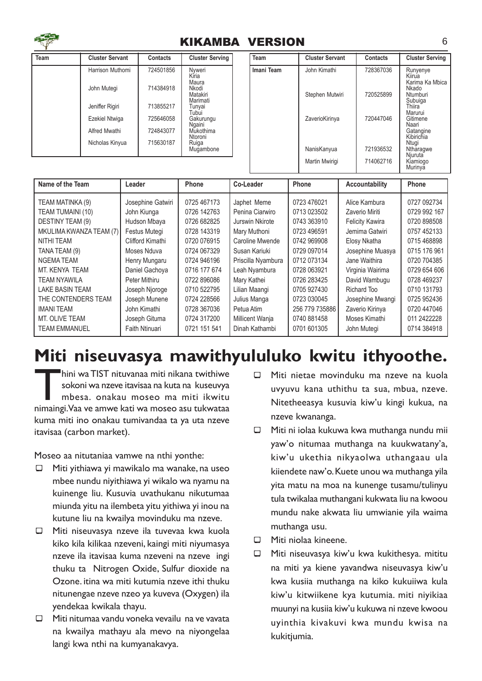

| Team | <b>Cluster Servant</b> | Contacts  | <b>Cluster Serving</b>                 | Te |
|------|------------------------|-----------|----------------------------------------|----|
|      | Harrison Muthomi       | 724501856 | Nyweri<br>Kiria                        | Im |
|      | John Mutegi            | 714384918 | Maura<br>Nkodi<br>Matakiri<br>Marimati |    |
|      | Jeniffer Rigiri        | 713855217 | Tunyai<br>Tubui                        |    |
|      | Ezekiel Ntwiga         | 725646058 | Gakurungu<br>Ngaini                    |    |
|      | Alfred Mwathi          | 724843077 | Mukothima<br>Ntoroni                   |    |
|      | Nicholas Kinyua        | 715630187 | Ruiga<br>Mugambone                     |    |

| Team       | <b>Cluster Servant</b> | Contacts  | <b>Cluster Serving</b>                                |
|------------|------------------------|-----------|-------------------------------------------------------|
| Imani Team | John Kimathi           | 728367036 | Runyenye<br>Kiirua<br>Karima Ka Mbica<br>Nkado        |
|            | Stephen Mutwiri        | 720525899 | Ntumburi<br>Subuiga<br>Thiira<br>Marurui              |
|            | ZaverioKirinya         | 720447046 | Gitimene<br>Naari<br>Gatangine<br>Kibirichia<br>Ntugi |
|            | NanisKanyua            | 721936532 | Ntharagwe<br>Niuruta                                  |
|            | Martin Mwirigi         | 714062716 | Kiamiogo<br>Murinya                                   |

| Name of the Team        | Leader            | Phone        | Co-Leader          | Phone          | Accountability         | Phone        |
|-------------------------|-------------------|--------------|--------------------|----------------|------------------------|--------------|
| TEAM MATINKA (9)        | Josephine Gatwiri | 0725 467173  | Japhet Meme        | 0723 476021    | Alice Kambura          | 0727 092734  |
| TEAM TUMAINI (10)       | John Kiunga       | 0726 142763  | Penina Ciarwiro    | 0713 023502    | Zaverio Miriti         | 0729 992 167 |
| DESTINY TEAM (9)        | Hudson Mbaya      | 0726 682825  | Jurswin Nkirote    | 0743 363910    | <b>Felicity Kawira</b> | 0720 898508  |
| MKULIMA KWANZA TEAM (7) | Festus Mutegi     | 0728 143319  | Mary Muthoni       | 0723 496591    | Jemima Gatwiri         | 0757 452133  |
| NITHI TEAM              | Clifford Kimathi  | 0720 076915  | Caroline Mwende    | 0742 969908    | Elosy Nkatha           | 0715 468898  |
| TANA TEAM (9)           | Moses Nduva       | 0724 067329  | Susan Kariuki      | 0729 097014    | Josephine Muasya       | 0715 176 961 |
| <b>NGEMATEAM</b>        | Henry Mungaru     | 0724 946196  | Priscilla Nyambura | 0712 073134    | Jane Waithira          | 0720 704385  |
| MT. KENYA TEAM          | Daniel Gachoya    | 0716 177 674 | Leah Nyambura      | 0728 063921    | Virginia Wairima       | 0729 654 606 |
| TEAM NYAWILA            | Peter Mithiru     | 0722 896086  | Mary Kathei        | 0726 283425    | David Wambugu          | 0728 469237  |
| LAKE BASIN TEAM         | Joseph Njoroge    | 0710 522795  | Lilian Maangi      | 0705 927430    | Richard Too            | 0710 131793  |
| THE CONTENDERS TEAM     | Joseph Munene     | 0724 228566  | Julius Manga       | 0723 030045    | Josephine Mwangi       | 0725 952436  |
| <b>IMANI TEAM</b>       | John Kimathi      | 0728 367036  | Petua Atim         | 256 779 735886 | Zaverio Kirinya        | 0720 447046  |
| MT. OLIVE TEAM          | Joseph Gituma     | 0724 317200  | Millicent Wanja    | 0740 881458    | Moses Kimathi          | 011 2422228  |
| TEAM EMMANUEL           | Faith Ntinuari    | 0721 151 541 | Dinah Kathambi     | 0701 601305    | John Mutegi            | 0714 384918  |

## Miti niseuvasya mawithyululuko kwitu ithyoothe.

hini wa TIST nituvanaa miti nikana twithiwe<br>sokoni wa nzeve itavisaa na kuta na kuseuvya<br>mbesa. onakau moseo ma miti ikwitu<br>nimaingi.Vaa ve amwe kati wa moseo asu tukwataa hini waTIST nituvanaa miti nikana twithiwe sokoni wa nzeve itavisaa na kuta na kuseuvya mbesa. onakau moseo ma miti ikwitu kuma miti ino onakau tumivandaa ta ya uta nzeve itavisaa (carbon market).

Moseo aa nitutaniaa vamwe na nthi yonthe:

- $\Box$  Miti yithiawa yi mawikalo ma wanake, na useo mbee nundu niyithiawa yi wikalo wa nyamu na kuinenge liu. Kusuvia uvathukanu nikutumaa miunda yitu na ilembeta yitu yithiwa yi inou na kutune liu na kwailya movinduku ma nzeve.
- $\Box$  Miti niseuvasya nzeve ila tuvevaa kwa kuola kiko kila kilikaa nzeveni, kaingi miti niyumasya nzeve ila itavisaa kuma nzeveni na nzeve ingi thuku ta Nitrogen Oxide, Sulfur dioxide na Ozone. itina wa miti kutumia nzeve ithi thuku nitunengae nzeve nzeo ya kuveva (Oxygen) ila yendekaa kwikala thayu.
- $\Box$  Miti nitumaa vandu voneka vevailu na ve vavata na kwailya mathayu ala mevo na niyongelaa langi kwa nthi na kumyanakavya.
- □ Miti nietae movinduku ma nzeve na kuola uvyuvu kana uthithu ta sua, mbua, nzeve. Nitetheeasya kusuvia kiw'u kingi kukua, na nzeve kwananga.
- □ Miti ni iolaa kukuwa kwa muthanga nundu mii yaw'o nitumaa muthanga na kuukwatany'a, kiw'u ukethia nikyaolwa uthangaau ula kiiendete naw'o. Kuete unou wa muthanga yila yita matu na moa na kunenge tusamu/tulinyu tula twikalaa muthangani kukwata liu na kwoou mundu nake akwata liu umwianie yila waima muthanga usu.
- $\Box$  Miti niolaa kineene.
- $\Box$  Miti niseuvasya kiw'u kwa kukithesya. mititu na miti ya kiene yavandwa niseuvasya kiw'u kwa kusiia muthanga na kiko kukuiiwa kula kiw'u kitwiikene kya kutumia. miti niyikiaa muunyi na kusiia kiw'u kukuwa ni nzeve kwoou uyinthia kivakuvi kwa mundu kwisa na kukitiumia.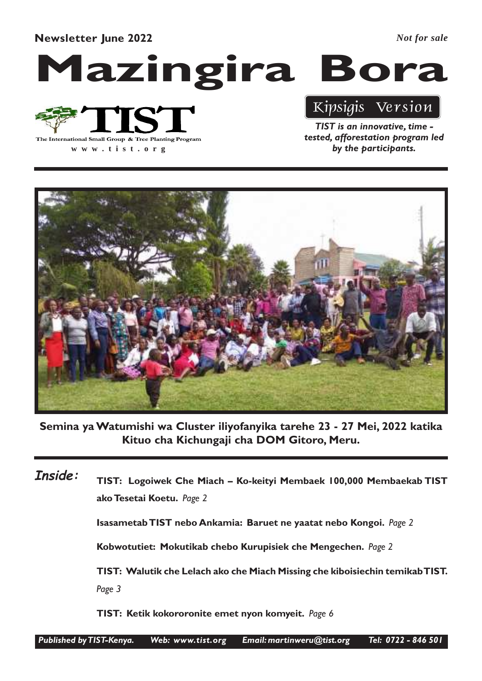Newsletter June 2022

*Not for sale*

## Mazingira Bora



TIST is an innovative, time - Kipsigis Version

**www .tist.org**

tested, afforestation program led by the participants.



Semina ya Watumishi wa Cluster iliyofanyika tarehe 23 - 27 Mei, 2022 katika Kituo cha Kichungaji cha DOM Gitoro, Meru.

TIST: Logoiwek Che Miach – Ko-keityi Membaek 100,000 Membaekab TIST ako Tesetai Koetu. Page 2 Isasametab TIST nebo Ankamia: Baruet ne yaatat nebo Kongoi. Page 2 Kobwotutiet: Mokutikab chebo Kurupisiek che Mengechen. Page 2 TIST: Walutik che Lelach ako che Miach Missing che kiboisiechin temikab TIST. Page 3 TIST: Ketik kokororonite emet nyon komyeit. Page 6 Inside: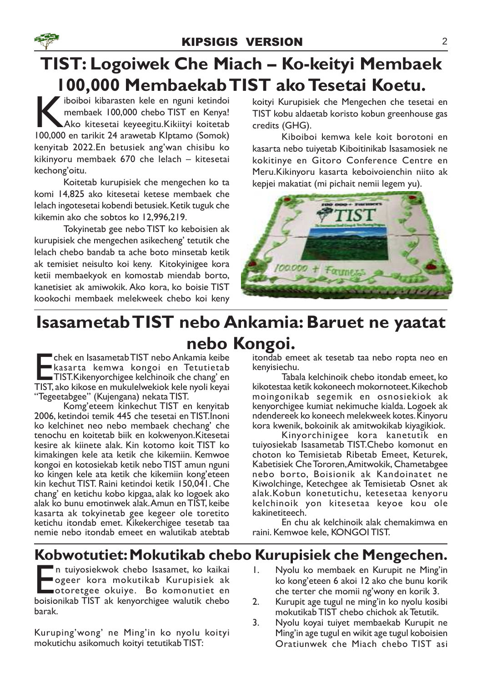## TIST: Logoiwek Che Miach – Ko-keityi Membaek 100,000 Membaekab TIST ako Tesetai Koetu.

iboiboi kibarasten kele en nguni ketindoi<br>
membaek 100,000 chebo TIST en Kenya!<br>
Ako kitesetai keyeegitu.<br>Kikiityi koitetab<br>
100.000 en tarikit 24 arawetab Klotamo (Somok) membaek 100,000 chebo TIST en Kenya! Ako kitesetai keyeegitu.Kikiityi koitetab 100,000 en tarikit 24 arawetab KIptamo (Somok) kenyitab 2022.En betusiek ang'wan chisibu ko kikinyoru membaek 670 che lelach – kitesetai kechong'oitu.

Koitetab kurupisiek che mengechen ko ta komi 14,825 ako kitesetai ketese membaek che lelach ingotesetai kobendi betusiek. Ketik tuguk che kikemin ako che sobtos ko 12,996,219.

Tokyinetab gee nebo TIST ko keboisien ak kurupisiek che mengechen asikecheng' tetutik che lelach chebo bandab ta ache boto minsetab ketik ak temisiet neisulto koi keny. Kitokyinigee kora ketii membaekyok en komostab miendab borto, kanetisiet ak amiwokik. Ako kora, ko boisie TIST kookochi membaek melekweek chebo koi keny koityi Kurupisiek che Mengechen che tesetai en TIST kobu aldaetab koristo kobun greenhouse gas credits (GHG).

Kiboiboi kemwa kele koit borotoni en kasarta nebo tuiyetab Kiboitinikab Isasamosiek ne kokitinye en Gitoro Conference Centre en Meru.Kikinyoru kasarta keboivoienchin niito ak kepjei makatiat (mi pichait nemii legem yu).



## Isasametab TIST nebo Ankamia: Baruet ne yaatat nebo Kongoi.

E<sub>TIST.</sub> chek en Isasametab TIST nebo Ankamia keibe kasarta kemwa kongoi en Tetutietab TIST.Kikenyorchigee kelchinoik che chang' en TIST, ako kikose en mukulelwekiok kele nyoli keyai "Tegeetabgee" (Kujengana) nekata TIST.

Komg'eteem kinkechut TIST en kenyitab 2006, ketindoi temik 445 che tesetai en TIST.Inoni ko kelchinet neo nebo membaek chechang' che tenochu en koitetab biik en kokwenyon.Kitesetai kesire ak kiinete alak. Kin kotomo koit TIST ko kimakingen kele ata ketik che kikemiin. Kemwoe kongoi en kotosiekab ketik nebo TIST amun nguni ko kingen kele ata ketik che kikemiin kong'eteen kin kechut TIST. Raini ketindoi ketik 150,041. Che chang' en ketichu kobo kipgaa, alak ko logoek ako alak ko bunu emotinwek alak.Amun en TIST, keibe kasarta ak tokyinetab gee kegeer ole toretito ketichu itondab emet. Kikekerchigee tesetab taa nemie nebo itondab emeet en walutikab atebtab

itondab emeet ak tesetab taa nebo ropta neo en kenyisiechu.

Tabala kelchinoik chebo itondab emeet, ko kikotestaa ketik kokoneech mokornoteet. Kikechob moingonikab segemik en osnosiekiok ak kenyorchigee kumiat nekimuche kialda. Logoek ak ndendereek ko koneech melekweek kotes. Kinyoru kora kwenik, bokoinik ak amitwokikab kiyagikiok.

Kinyorchinigee kora kanetutik en tuiyosiekab Isasametab TIST.Chebo komonut en choton ko Temisietab Ribetab Emeet, Keturek, Kabetisiek Che Tororen,Amitwokik, Chametabgee nebo borto, Boisionik ak Kandoinatet ne Kiwolchinge, Ketechgee ak Temisietab Osnet ak alak.Kobun konetutichu, ketesetaa kenyoru kelchinoik yon kitesetaa keyoe kou ole kakinetiteech.

En chu ak kelchinoik alak chemakimwa en raini. Kemwoe kele, KONGOI TIST.

#### Kobwotutiet: Mokutikab chebo Kurupisiek che Mengechen.

E<br>boisic n tuiyosiekwok chebo Isasamet, ko kaikai ogeer kora mokutikab Kurupisiek ak otoretgee okuiye. Bo komonutiet en boisionikab TIST ak kenyorchigee walutik chebo barak.

Kuruping'wong' ne Ming'in ko nyolu koityi mokutichu asikomuch koityi tetutikab TIST:

- 1. Nyolu ko membaek en Kurupit ne Ming'in ko kong'eteen 6 akoi 12 ako che bunu korik che terter che momii ng'wony en korik 3.
- 2. Kurupit age tugul ne ming'in ko nyolu kosibi mokutikab TIST chebo chichok ak Tetutik.
- 3. Nyolu koyai tuiyet membaekab Kurupit ne Ming'in age tugul en wikit age tugul koboisien Oratiunwek che Miach chebo TIST asi

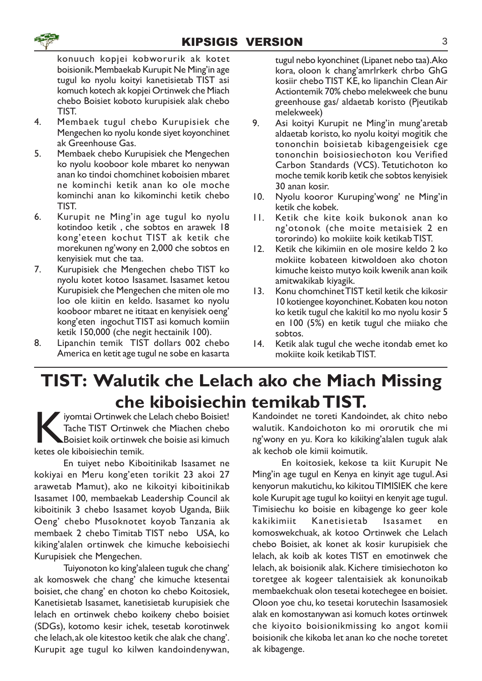konuuch kopjei kobworurik ak kotet boisionik. Membaekab Kurupit Ne Ming'in age tugul ko nyolu koityi kanetisietab TIST asi komuch kotech ak kopjei Ortinwek che Miach chebo Boisiet koboto kurupisiek alak chebo TIST.

- 4. Membaek tugul chebo Kurupisiek che Mengechen ko nyolu konde siyet koyonchinet ak Greenhouse Gas.
- 5. Membaek chebo Kurupisiek che Mengechen ko nyolu kooboor kole mbaret ko nenywan anan ko tindoi chomchinet koboisien mbaret ne kominchi ketik anan ko ole moche kominchi anan ko kikominchi ketik chebo TIST.
- 6. Kurupit ne Ming'in age tugul ko nyolu kotindoo ketik , che sobtos en arawek 18 kong'eteen kochut TIST ak ketik che morekunen ng'wony en 2,000 che sobtos en kenyisiek mut che taa.
- 7. Kurupisiek che Mengechen chebo TIST ko nyolu kotet kotoo Isasamet. Isasamet ketou Kurupisiek che Mengechen che miten ole mo loo ole kiitin en keldo. Isasamet ko nyolu kooboor mbaret ne ititaat en kenyisiek oeng' kong'eten ingochut TIST asi komuch komiin ketik 150,000 (che negit hectainik 100).
- 8. Lipanchin temik TIST dollars 002 chebo America en ketit age tugul ne sobe en kasarta

tugul nebo kyonchinet (Lipanet nebo taa).Ako kora, oloon k chang'amrlrkerk chrbo GhG kosiir chebo TIST KE, ko lipanchin Clean Air Actiontemik 70% chebo melekweek che bunu greenhouse gas/ aldaetab koristo (Pjeutikab melekweek)

- 9. Asi koityi Kurupit ne Ming'in mung'aretab aldaetab koristo, ko nyolu koityi mogitik che tononchin boisietab kibagengeisiek cge tononchin boisiosiechoton kou Verified Carbon Standards (VCS). Tetutichoton ko moche temik korib ketik che sobtos kenyisiek 30 anan kosir.
- 10. Nyolu kooror Kuruping'wong' ne Ming'in ketik che kobek.
- 11. Ketik che kite koik bukonok anan ko ng'otonok (che moite metaisiek 2 en tororindo) ko mokiite koik ketikab TIST.
- 12. Ketik che kikimiin en ole mosire keldo 2 ko mokiite kobateen kitwoldoen ako choton kimuche keisto mutyo koik kwenik anan koik amitwakikab kiyagik.
- 13. Konu chomchinet TIST ketil ketik che kikosir 10 kotiengee koyonchinet. Kobaten kou noton ko ketik tugul che kakitil ko mo nyolu kosir 5 en 100 (5%) en ketik tugul che miiako che sobtos.
- 14. Ketik alak tugul che weche itondab emet ko mokiite koik ketikab TIST.

## TIST: Walutik che Lelach ako che Miach Missing che kiboisiechin temikab TIST.

ketes ole kiboisiechin temik.<br>
Fache TIST Ortinwel<br>
ketes ole kiboisiechin temik. iyomtai Ortinwek che Lelach chebo Boisiet! Tache TIST Ortinwek che Miachen chebo Boisiet koik ortinwek che boisie asi kimuch

En tuiyet nebo Kiboitinikab Isasamet ne kokiyai en Meru kong'eten torikit 23 akoi 27 arawetab Mamut), ako ne kikoityi kiboitinikab Isasamet 100, membaekab Leadership Council ak kiboitinik 3 chebo Isasamet koyob Uganda, Biik Oeng' chebo Musoknotet koyob Tanzania ak membaek 2 chebo Timitab TIST nebo USA, ko kiking'alalen ortinwek che kimuche keboisiechi Kurupisiek che Mengechen.

Tuiyonoton ko king'alaleen tuguk che chang' ak komoswek che chang' che kimuche ktesentai boisiet, che chang' en choton ko chebo Koitosiek, Kanetisietab Isasamet, kanetisietab kurupisiek che lelach en ortinwek chebo koikeny chebo boisiet (SDGs), kotomo kesir ichek, tesetab korotinwek che lelach, ak ole kitestoo ketik che alak che chang'. Kurupit age tugul ko kilwen kandoindenywan,

Kandoindet ne toreti Kandoindet, ak chito nebo walutik. Kandoichoton ko mi ororutik che mi ng'wony en yu. Kora ko kikiking'alalen tuguk alak ak kechob ole kimii koimutik.

En koitosiek, kekose ta kiit Kurupit Ne Ming'in age tugul en Kenya en kinyit age tugul.Asi kenyorun makutichu, ko kikitou TIMISIEK che kere kole Kurupit age tugul ko koiityi en kenyit age tugul. Timisiechu ko boisie en kibagenge ko geer kole kakikimiit Kanetisietab Isasamet en komoswekchuak, ak kotoo Ortinwek che Lelach chebo Boisiet, ak konet ak kosir kurupisiek che lelach, ak koib ak kotes TIST en emotinwek che lelach, ak boisionik alak. Kichere timisiechoton ko toretgee ak kogeer talentaisiek ak konunoikab membaekchuak olon tesetai kotechegee en boisiet. Oloon yoe chu, ko tesetai korutechin Isasamosiek alak en komostanywan asi komuch kotes ortinwek che kiyoito boisionikmissing ko angot komii boisionik che kikoba let anan ko che noche toretet ak kibagenge.



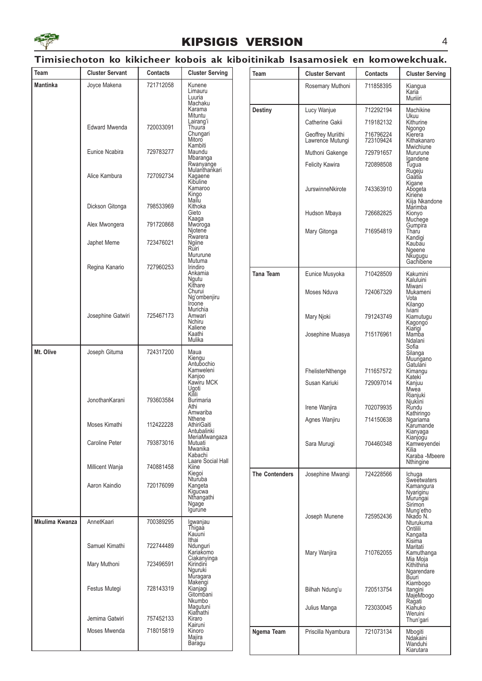

#### KIPSIGIS VERSION 4

#### Timisiechoton ko kikicheer kobois ak kiboitinikab Isasamosiek en komowekchuak.

| Team           | <b>Cluster Servant</b> | Contacts  | <b>Cluster Serving</b>                                        | Team                  | <b>Cluster Servant</b>                | <b>Contacts</b>        | <b>Cluster Serving</b>             |
|----------------|------------------------|-----------|---------------------------------------------------------------|-----------------------|---------------------------------------|------------------------|------------------------------------|
| Mantinka       | Joyce Makena           | 721712058 | Kunene<br>Limauru                                             |                       | Rosemary Muthoni                      | 711858395              | Kiangua<br>Karia                   |
|                |                        |           | Luuria<br>Machaku<br>Karama<br>Mituntu<br>Lairang'i<br>Thuura |                       |                                       |                        | Muriiiri                           |
|                |                        |           |                                                               | <b>Destiny</b>        | Lucy Wanjue                           | 712292194              | Machikine<br>Ukuu                  |
|                | <b>Edward Mwenda</b>   | 720033091 |                                                               |                       | Catherine Gakii                       | 719182132              | Kithurine                          |
|                |                        |           | Chungari<br>Mitoro<br>Kambiti                                 |                       | Geoffrey Muriithi<br>Lawrence Mutungi | 716796224<br>723109424 | Ngongo<br>Kierera<br>Kithakanaro   |
|                | Eunice Ncabira         | 729783277 | Maundu<br>Mbaranga                                            |                       | Muthoni Gakenge                       | 729791657              | Mwichiune<br>Mururune              |
|                |                        |           | Rwanyange<br>Mulanthankari                                    |                       | <b>Felicity Kawira</b>                | 720898508              | Igandene<br>Tugua                  |
|                | Alice Kambura          | 727092734 | Kagaene<br>Kibuline                                           |                       |                                       |                        | Rugeju<br>Gaatia<br>Kigane         |
|                |                        |           | Kamaroo<br>Kingo                                              |                       | JurswinneNkirote                      | 743363910              | Abogeta<br>Kiriene                 |
|                | Dickson Gitonga        | 798533969 | Mailu<br>Kithoka                                              |                       |                                       |                        | Kiija Nkandone<br>Marimba          |
|                |                        |           | Gieto<br>Kaaga                                                |                       | Hudson Mbaya                          | 726682825              | Kionyo<br>Muchege                  |
|                | Alex Mwongera          | 791720868 | Mworoga<br>Njotene                                            |                       | Mary Gitonga                          | 716954819              | Gumpira<br>Tharu                   |
|                | Japhet Meme            | 723476021 | Rwarera<br>Ngiine<br>Ruiri                                    |                       |                                       |                        | Kandigi<br>Kaubau                  |
|                |                        |           | Mururune<br>Mutuma                                            |                       |                                       |                        | Ngeene<br>Nkugugu<br>Gachibene     |
|                | Regina Kanario         | 727960253 | Irindiro<br>Ankamia                                           | Tana Team             | Eunice Musyoka                        | 710428509              | Kakumini                           |
|                |                        |           | Ngutu<br>Kithare                                              |                       |                                       |                        | Kaluluini<br>Miwani                |
|                |                        |           | Churui<br>Ng'ombenjiru                                        |                       | Moses Nduva                           | 724067329              | Mukameni<br>Vota                   |
|                |                        |           | Iroone<br>Murichia                                            |                       |                                       |                        | Kilango<br>Iviani <sup>-</sup>     |
|                | Josephine Gatwiri      | 725467173 | Amwari<br>Nchiru                                              |                       | Mary Njoki                            | 791243749              | Kiamutugu<br>Kagongo               |
|                |                        |           | Kaliene<br>Kaathi<br>Mulika                                   |                       | Josephine Muasya                      | 715176961              | Kiarigi<br>Mamba                   |
| Mt. Olive      | Joseph Gituma          | 724317200 | Maua                                                          |                       |                                       |                        | Ndalani<br>Sofia<br>Silanga        |
|                |                        |           | Kiengu<br>Antubochio                                          |                       |                                       |                        | Muungano<br>Gatulani               |
|                |                        |           | Kamweleni<br>Kanjoo                                           |                       | FhelisterNthenge                      | 711657572              | Kimangu<br>Kateki                  |
|                |                        |           | Kawiru MCK<br>Ugoti                                           |                       | Susan Kariuki                         | 729097014              | Kanjuu<br>Mwea                     |
|                | JonothanKarani         | 793603584 | Kilili<br><b>Burimaria</b>                                    |                       |                                       |                        | Rianjuki<br>Njukiini               |
|                |                        |           | Athi<br>Amwariba<br>Nthene                                    |                       | Irene Wanjira                         | 702079935              | Rundu<br>Kathiringo                |
|                | Moses Kimathi          | 112422228 | AthiriGaiti<br>Antubalinki                                    |                       | Agnes Wanjiru                         | 714150638              | Ngariama<br>Karumande<br>Kianyaga  |
|                | Caroline Peter         | 793873016 | MeriaMwangaza<br>Mutuati                                      |                       | Sara Muruqi                           | 704460348              | Kianjogu<br>Kamweyendei            |
|                |                        |           | Mwanika<br>Kabachi                                            |                       |                                       |                        | Kilia<br>Karaba -Mbeere            |
|                | Millicent Wanja        | 740881458 | Laare Social Hall<br>Kiine                                    |                       |                                       |                        | Nthingine                          |
|                |                        |           | Kiegoi<br>Nturuba                                             | <b>The Contenders</b> | Josephine Mwangi                      | 724228566              | Ichuga<br>Sweetwaters              |
|                | Aaron Kaindio          | 720176099 | Kangeta<br>Kigucwa<br>Nthangathi                              |                       |                                       |                        | Kamangura<br>Nyariginu             |
|                |                        |           | Ngage<br>Igurune                                              |                       |                                       |                        | Murungai<br>Sirimon                |
| Mkulima Kwanza | AnnetKaari             | 700389295 | Igwanjau                                                      |                       | Joseph Munene                         | 725952436              | Mung'etho<br>Nkado N.<br>Nturukuma |
|                |                        |           | Thigaa<br>Kauuni                                              |                       |                                       |                        | Ontilili<br>Kangaita               |
|                | Samuel Kimathi         | 722744489 | Ithai<br>Ndunguri                                             |                       |                                       |                        | Kisima<br>Maritati                 |
|                |                        |           | Kariakomo<br>Ciakanyinga                                      |                       | Mary Wanjira                          | 710762055              | Kamuthanga<br>Mia Moja             |
|                | Mary Muthoni           | 723496591 | Kirindini<br>Nguruki<br>Muragara                              |                       |                                       |                        | Kithithina<br>Ngarendare           |
|                | Festus Mutegi          | 728143319 | Makengi<br>Kianjagi                                           |                       | Bilhah Ndung'u                        | 720513754              | Buuri<br>Kiambogo                  |
|                |                        |           | Gitombani<br>Nkumbo                                           |                       |                                       |                        | Itangini<br>MajeMbogo<br>Ragati    |
|                |                        |           | Magutuni<br>Kiathathi                                         |                       | Julius Manga                          | 723030045              | Kiahuko<br>Weruini                 |
|                | Jemima Gatwiri         | 757452133 | Kiraro<br>Kairuni                                             |                       |                                       |                        | Thun'gari                          |
|                | Moses Mwenda           | 718015819 | Kinoro<br>Majira                                              | Ngema Team            | Priscilla Nyambura                    | 721073134              | Mbogiti<br>Ndakaini                |
|                |                        |           | Baragu                                                        |                       |                                       |                        | Wanduhi<br>Kiarutara               |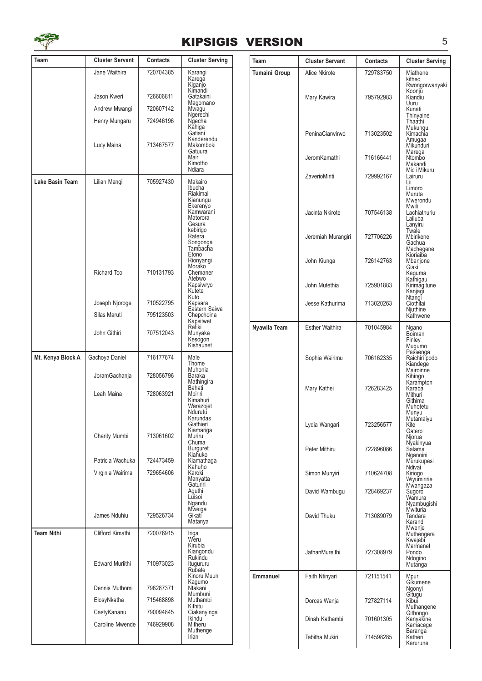

#### KIPSIGIS VERSION 5

| Team              | <b>Cluster Servant</b>      | <b>Contacts</b>        | <b>Cluster Serving</b>                                                                                                                                                                       | Tea |
|-------------------|-----------------------------|------------------------|----------------------------------------------------------------------------------------------------------------------------------------------------------------------------------------------|-----|
|                   | Jane Waithira               | 720704385              | Karangi<br>Karega<br>Kiganjo                                                                                                                                                                 | Tum |
|                   | Jason Kweri                 | 726606811              | Kimandi<br>Gatakaini                                                                                                                                                                         |     |
|                   | Andrew Mwangi               | 720607142              | Magomano<br>Mwagu                                                                                                                                                                            |     |
|                   | Henry Mungaru               | 724946196              | Ngerechi<br>Ngecha                                                                                                                                                                           |     |
|                   | Lucy Maina                  | 713467577              | Kăhiga<br>Gatiani<br>Kanderendu<br>Makomboki<br>Gatuura<br>Mairi<br>Kimotho<br>Ndiara                                                                                                        |     |
| Lake Basin Team   | Lilian Mangi<br>Richard Too | 705927430<br>710131793 | Makairo<br>Ibucha<br>Riakimai<br>Kianungu<br>Ekerenyo<br>Kamwarani<br>Matorora<br>Gesura<br>kebirigo<br>Ratera<br>Songonga<br>Tambacha<br>Etono<br>Rionyangi<br>Morako<br>Chemaner<br>Atebwo |     |
|                   |                             |                        | Kapsiwryo<br>Kutete                                                                                                                                                                          |     |
|                   | Joseph Njoroge              | 710522795              | Kuto<br>Kapsara                                                                                                                                                                              |     |
|                   | Silas Maruti                | 795123503              | Eastern Saiwa<br>Chepchoina                                                                                                                                                                  |     |
|                   | John Githiri                | 707512043              | Kapsitwet<br>Rafiki<br>Munyaka<br>Kesógon<br>Kishaunet                                                                                                                                       | Nya |
| Mt. Kenya Block A | Gachoya Daniel              | 716177674              | Male<br>Thome                                                                                                                                                                                |     |
|                   | JoramGachanja               | 728056796              | Muhonia<br>Baraka<br>Mathingira                                                                                                                                                              |     |
|                   | Leah Maina                  | 728063921              | Bahati<br><b>Mbiriri</b><br>Kimahuri<br>Warazojet<br>Ndurutu<br>Karundas<br>Giathieri                                                                                                        |     |
|                   | Charity Mumbi               | 713061602              | Kiamariga<br>Muriru<br>Chuma<br><b>Burguret</b>                                                                                                                                              |     |
|                   | Patricia Wachuka            | 724473459              | Kiahuko<br>Kiamathaga                                                                                                                                                                        |     |
|                   | Virginia Wairima            | 729654606              | Kahuho<br>Karoki<br>Manyatta<br>Gaturiri<br>Aguthi<br>Luisoi<br>Ngandu                                                                                                                       |     |
|                   | James Nduhiu                | 729526734              | Mweiga<br>Gikati<br>Matanya                                                                                                                                                                  |     |
| <b>Team Nithi</b> | Clifford Kimathi            | 720076915              | Iriga<br>Weru<br>Kirubia<br>Kiangondu                                                                                                                                                        |     |
|                   | <b>Edward Muriithi</b>      | 710973023              | Rukindu<br>Itugururu<br>Rubate<br>Kinoru Muuni                                                                                                                                               | Emi |
|                   | Dennis Muthomi              | 796287371              | Kagumo<br>Ntakani<br>Mumbuni                                                                                                                                                                 |     |
|                   | ElosyNkatha                 | 715468898              | Muthambi<br>Kithitu                                                                                                                                                                          |     |
|                   | CastyKananu                 | 790094845              | Ciakanyinga<br><b>Ikindu</b>                                                                                                                                                                 |     |
|                   | Caroline Mwende             | 746929908              | Mitheru<br>Muthenge<br>Iriani                                                                                                                                                                |     |

| Team          | <b>Cluster Servant</b> | Contacts  | <b>Cluster Serving</b>                                           |
|---------------|------------------------|-----------|------------------------------------------------------------------|
| Tumaini Group | Alice Nkirote          | 729783750 | Miathene<br>kitheo<br>Rwongorwanyaki                             |
|               | Mary Kawira            | 795792983 | Koonjŭ<br>Kiandiu<br>Uuru<br>Kunati<br>Thinyaine<br>Thaathi      |
|               | PeninaCiarwirwo        | 713023502 | Mukungu<br>Kimachia<br>Amugaa<br>Mikunduri                       |
|               | JeromKamathi           | 716166441 | Marega<br>Ntombo<br>Makandi                                      |
|               | ZaverioMiriti          | 729992167 | Micii Mikuru<br>Lairuru<br>Lii<br>Limoro<br>Muruta               |
|               | Jacinta Nkirote        | 707546138 | Mwerondu<br>Mwili<br>Lachiathuriu<br>Lailuba<br>Lanyiru          |
|               | Jeremiah Murangiri     | 727706226 | Twale<br>Mbirikene<br>Gachua<br>Machegene                        |
|               | John Kiunga            | 726142763 | Kioriaiba<br>Mbanjone<br>Giaki<br>Kaguma                         |
|               | John Mutethia          | 725901883 | Kathigau<br>Kirimagitune<br>Kanjagi                              |
|               | Jesse Kathurima        | 713020263 | Ntangi<br>Ciothilai<br>Njuthine<br>Kathwene                      |
| Nyawila Team  | <b>Esther Waithira</b> | 701045984 | Ngano<br>Bõiman<br>Finley                                        |
|               | Sophia Wairimu         | 706162335 | Mugumo<br>Passenga<br>Raichiri podo<br>Kiandege<br>Mairoinne     |
|               | Mary Kathei            | 726283425 | Kihingo<br>Karampton<br>Karaba<br>Mithuri<br>Githima<br>Muhotetu |
|               | Lydia Wangari          | 723256577 | Munyu<br>Mutamaiyu<br>Kite<br>Gatero<br>Njorua                   |
|               | Peter Mithiru          | 722896086 | Nyakinyua<br>Salama<br>Nganoini<br>Murukupesi                    |
|               | Simon Munyiri          | 710624708 | Ndivai<br>Kiriogo<br>Wiyumiririe                                 |
|               | David Wambugu          | 728469237 | Mwangaza<br>Sugoroi<br>Wamura<br>Nyambugishi                     |
|               | David Thuku            | 713089079 | Mwituria<br>Tandare<br>Karandi<br>Mwenje                         |
|               | <b>JathanMureithi</b>  | 727308979 | Muthengera<br>Kwajebi<br>Marmanet<br>Pondo<br>Ndogino<br>Mutanga |
| Emmanuel      | Faith Ntinyari         | 721151541 | Mpuri<br>Gíkumene                                                |
|               | Dorcas Wanja           | 727827114 | Ngonyi<br>Gitugu<br>Kibui<br>Muthangene<br>Githongo              |
|               | Dinah Kathambi         | 701601305 | Kanyakine<br>Kamacege                                            |
|               | Tabitha Mukiri         | 714598285 | <b>Baranga</b><br>Katheri<br>Karurune                            |